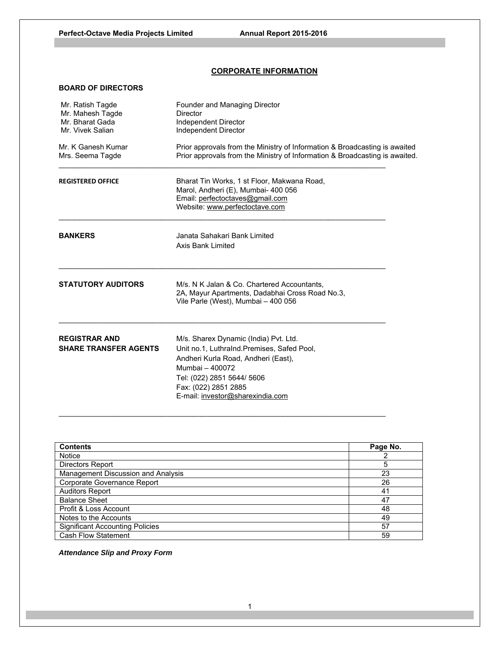## **CORPORATE INFORMATION**

## **BOARD OF DIRECTORS**

| Mr. Ratish Tagde<br>Mr. Mahesh Tagde<br>Mr. Bharat Gada<br>Mr. Vivek Salian | Founder and Managing Director<br>Director<br>Independent Director<br>Independent Director<br>Prior approvals from the Ministry of Information & Broadcasting is awaited<br>Prior approvals from the Ministry of Information & Broadcasting is awaited. |  |  |
|-----------------------------------------------------------------------------|--------------------------------------------------------------------------------------------------------------------------------------------------------------------------------------------------------------------------------------------------------|--|--|
| Mr. K Ganesh Kumar<br>Mrs. Seema Tagde                                      |                                                                                                                                                                                                                                                        |  |  |
| <b>REGISTERED OFFICE</b>                                                    | Bharat Tin Works, 1 st Floor, Makwana Road,<br>Marol, Andheri (E), Mumbai- 400 056<br>Email: perfectoctaves@gmail.com<br>Website: www.perfectoctave.com                                                                                                |  |  |
| <b>BANKERS</b>                                                              | Janata Sahakari Bank Limited<br><b>Axis Bank Limited</b>                                                                                                                                                                                               |  |  |
| <b>STATUTORY AUDITORS</b>                                                   | M/s. N K Jalan & Co. Chartered Accountants,<br>2A, Mayur Apartments, Dadabhai Cross Road No.3,<br>Vile Parle (West), Mumbai - 400 056                                                                                                                  |  |  |
| <b>REGISTRAR AND</b><br><b>SHARE TRANSFER AGENTS</b>                        | M/s. Sharex Dynamic (India) Pvt. Ltd.<br>Unit no.1, Luthralnd.Premises, Safed Pool,<br>Andheri Kurla Road, Andheri (East),<br>Mumbai - 400072<br>Tel: (022) 2851 5644/ 5606<br>Fax: (022) 2851 2885<br>E-mail: investor@sharexindia.com                |  |  |

| <b>Contents</b>                        | Page No. |
|----------------------------------------|----------|
| <b>Notice</b>                          |          |
| Directors Report                       | 5        |
| Management Discussion and Analysis     | 23       |
| Corporate Governance Report            | 26       |
| <b>Auditors Report</b>                 | 41       |
| <b>Balance Sheet</b>                   | 47       |
| Profit & Loss Account                  | 48       |
| Notes to the Accounts                  | 49       |
| <b>Significant Accounting Policies</b> | 57       |
| <b>Cash Flow Statement</b>             | 59       |

 $\_$  , and the set of the set of the set of the set of the set of the set of the set of the set of the set of the set of the set of the set of the set of the set of the set of the set of the set of the set of the set of th

*Attendance Slip and Proxy Form*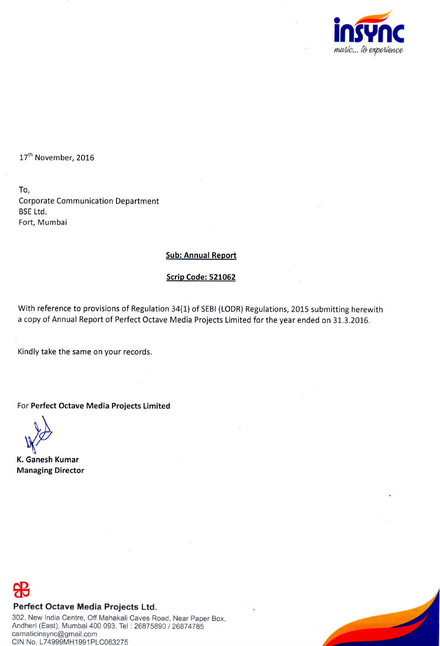

17<sup>th</sup> November, 2016

To, Corporate Communication Department BsE Ltd. Fort, Mumbai

# Sub: Annual Report

# Scrip Code: 521062

With reference to provisions of Regulation 34(1) of SEBI (LODR) Regulations, 2015 submitting herewith a copy of Annual Report of Perfect Octave Media Projects Limited for the year ended on 31.3.2016.

Kindly take the same on your records.

For Perfect Octave Media Projects Limited

\  $\mathcal{L}$  $\mathcal{Y}$  $\sqrt{v}$  $\mathbf y$ 

K. Ganesh Kumar Managing Director

# Perfect Octave Media Projects Ltd.

302, New India Centre, Off Mahakali Caves Road, Near Paper Box, Andheri (East), Mumbai 400 093. Tel : 26875890 / 26874785 carnaticinsync@gmail.com CIN No. L74999MH1991 PLC063275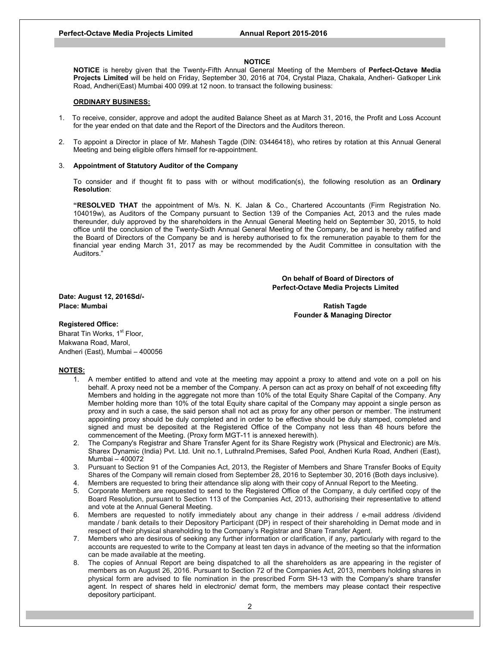#### **NOTICE**

**NOTICE** is hereby given that the Twenty-Fifth Annual General Meeting of the Members of **Perfect-Octave Media Projects Limited** will be held on Friday, September 30, 2016 at 704, Crystal Plaza, Chakala, Andheri- Gatkoper Link Road, Andheri(East) Mumbai 400 099.at 12 noon. to transact the following business:

#### **ORDINARY BUSINESS:**

- 1. To receive, consider, approve and adopt the audited Balance Sheet as at March 31, 2016, the Profit and Loss Account for the year ended on that date and the Report of the Directors and the Auditors thereon.
- 2. To appoint a Director in place of Mr. Mahesh Tagde (DIN: 03446418), who retires by rotation at this Annual General Meeting and being eligible offers himself for re-appointment.

#### 3. **Appointment of Statutory Auditor of the Company**

To consider and if thought fit to pass with or without modification(s), the following resolution as an **Ordinary Resolution**:

**"RESOLVED THAT** the appointment of M/s. N. K. Jalan & Co., Chartered Accountants (Firm Registration No. 104019w), as Auditors of the Company pursuant to Section 139 of the Companies Act, 2013 and the rules made thereunder, duly approved by the shareholders in the Annual General Meeting held on September 30, 2015, to hold office until the conclusion of the Twenty-Sixth Annual General Meeting of the Company, be and is hereby ratified and the Board of Directors of the Company be and is hereby authorised to fix the remuneration payable to them for the financial year ending March 31, 2017 as may be recommended by the Audit Committee in consultation with the Auditors."

## **On behalf of Board of Directors of Perfect-Octave Media Projects Limited**

**Date: August 12, 2016Sd/- Place: Mumbai Ratish Tagde** 

 **Founder & Managing Director** 

## **Registered Office:**

Bharat Tin Works, 1<sup>st</sup> Floor, Makwana Road, Marol, Andheri (East), Mumbai – 400056

### **NOTES:**

- 1. A member entitled to attend and vote at the meeting may appoint a proxy to attend and vote on a poll on his behalf. A proxy need not be a member of the Company. A person can act as proxy on behalf of not exceeding fifty Members and holding in the aggregate not more than 10% of the total Equity Share Capital of the Company. Any Member holding more than 10% of the total Equity share capital of the Company may appoint a single person as proxy and in such a case, the said person shall not act as proxy for any other person or member. The instrument appointing proxy should be duly completed and in order to be effective should be duly stamped, completed and signed and must be deposited at the Registered Office of the Company not less than 48 hours before the commencement of the Meeting. (Proxy form MGT-11 is annexed herewith).
- 2. The Company's Registrar and Share Transfer Agent for its Share Registry work (Physical and Electronic) are M/s. Sharex Dynamic (India) Pvt. Ltd. Unit no.1, LuthraInd.Premises, Safed Pool, Andheri Kurla Road, Andheri (East), Mumbai – 400072
- 3. Pursuant to Section 91 of the Companies Act, 2013, the Register of Members and Share Transfer Books of Equity Shares of the Company will remain closed from September 28, 2016 to September 30, 2016 (Both days inclusive).
- 4. Members are requested to bring their attendance slip along with their copy of Annual Report to the Meeting.
- 5. Corporate Members are requested to send to the Registered Office of the Company, a duly certified copy of the Board Resolution, pursuant to Section 113 of the Companies Act, 2013, authorising their representative to attend and vote at the Annual General Meeting.
- 6. Members are requested to notify immediately about any change in their address / e-mail address /dividend mandate / bank details to their Depository Participant (DP) in respect of their shareholding in Demat mode and in respect of their physical shareholding to the Company's Registrar and Share Transfer Agent.
- 7. Members who are desirous of seeking any further information or clarification, if any, particularly with regard to the accounts are requested to write to the Company at least ten days in advance of the meeting so that the information can be made available at the meeting.
- 8. The copies of Annual Report are being dispatched to all the shareholders as are appearing in the register of members as on August 26, 2016. Pursuant to Section 72 of the Companies Act, 2013, members holding shares in physical form are advised to file nomination in the prescribed Form SH-13 with the Company's share transfer agent. In respect of shares held in electronic/ demat form, the members may please contact their respective depository participant.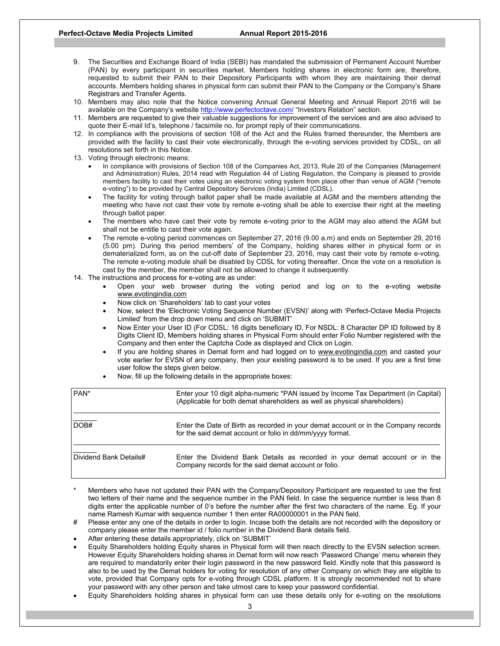- 9. The Securities and Exchange Board of India (SEBI) has mandated the submission of Permanent Account Number (PAN) by every participant in securities market. Members holding shares in electronic form are, therefore, requested to submit their PAN to their Depository Participants with whom they are maintaining their demat accounts. Members holding shares in physical form can submit their PAN to the Company or the Company's Share Registrars and Transfer Agents.
- 10. Members may also note that the Notice convening Annual General Meeting and Annual Report 2016 will be available on the Company's website http://www.perfectoctave.com/ "Investors Relation" section.
- 11. Members are requested to give their valuable suggestions for improvement of the services and are also advised to quote their E-mail Id's, telephone / facsimile no. for prompt reply of their communications.
- 12. In compliance with the provisions of section 108 of the Act and the Rules framed thereunder, the Members are provided with the facility to cast their vote electronically, through the e-voting services provided by CDSL, on all resolutions set forth in this Notice.
- 13. Voting through electronic means:
	- In compliance with provisions of Section 108 of the Companies Act, 2013, Rule 20 of the Companies (Management and Administration) Rules, 2014 read with Regulation 44 of Listing Regulation, the Company is pleased to provide members facility to cast their votes using an electronic voting system from place other than venue of AGM ("remote e-voting") to be provided by Central Depository Services (India) Limited (CDSL).
	- The facility for voting through ballot paper shall be made available at AGM and the members attending the meeting who have not cast their vote by remote e-voting shall be able to exercise their right at the meeting through ballot paper.
	- The members who have cast their vote by remote e-voting prior to the AGM may also attend the AGM but shall not be entitle to cast their vote again.
	- The remote e-voting period commences on September 27, 2016 (9.00 a.m) and ends on September 29, 2016 (5.00 pm). During this period members' of the Company, holding shares either in physical form or in dematerialized form, as on the cut-off date of September 23, 2016, may cast their vote by remote e-voting. The remote e-voting module shall be disabled by CDSL for voting thereafter. Once the vote on a resolution is cast by the member, the member shall not be allowed to change it subsequently.
- 14. The instructions and process for e-voting are as under:
	- Open your web browser during the voting period and log on to the e-voting website www.evotingindia.com
	- Now click on 'Shareholders' tab to cast your votes
	- Now, select the 'Electronic Voting Sequence Number (EVSN)' along with 'Perfect-Octave Media Projects Limited' from the drop down menu and click on 'SUBMIT'
	- Now Enter your User ID (For CDSL: 16 digits beneficiary ID, For NSDL: 8 Character DP ID followed by 8 Digits Client ID, Members holding shares in Physical Form should enter Folio Number registered with the Company and then enter the Captcha Code as displayed and Click on Login.
	- If you are holding shares in Demat form and had logged on to www.evotingindia.com and casted your vote earlier for EVSN of any company, then your existing password is to be used. If you are a first time user follow the steps given below.
	- Now, fill up the following details in the appropriate boxes:

| PAN <sup>*</sup>       | Enter your 10 digit alpha-numeric *PAN issued by Income Tax Department (in Capital)<br>(Applicable for both demat shareholders as well as physical shareholders) |
|------------------------|------------------------------------------------------------------------------------------------------------------------------------------------------------------|
| DOB#                   | Enter the Date of Birth as recorded in your demat account or in the Company records<br>for the said demat account or folio in dd/mm/yyyy format.                 |
| Dividend Bank Details# | Enter the Dividend Bank Details as recorded in your demat account or in the<br>Company records for the said demat account or folio.                              |

- Members who have not updated their PAN with the Company/Depository Participant are requested to use the first two letters of their name and the sequence number in the PAN field. In case the sequence number is less than 8 digits enter the applicable number of 0's before the number after the first two characters of the name. Eg. If your name Ramesh Kumar with sequence number 1 then enter RA00000001 in the PAN field.
- Please enter any one of the details in order to login. Incase both the details are not recorded with the depository or company please enter the member id / folio number in the Dividend Bank details field.
- After entering these details appropriately, click on 'SUBMIT'
- Equity Shareholders holding Equity shares in Physical form will then reach directly to the EVSN selection screen. However Equity Shareholders holding shares in Demat form will now reach 'Password Change' menu wherein they are required to mandatorily enter their login password in the new password field. Kindly note that this password is also to be used by the Demat holders for voting for resolution of any other Company on which they are eligible to vote, provided that Company opts for e-voting through CDSL platform. It is strongly recommended not to share your password with any other person and take utmost care to keep your password confidential.
- Equity Shareholders holding shares in physical form can use these details only for e-voting on the resolutions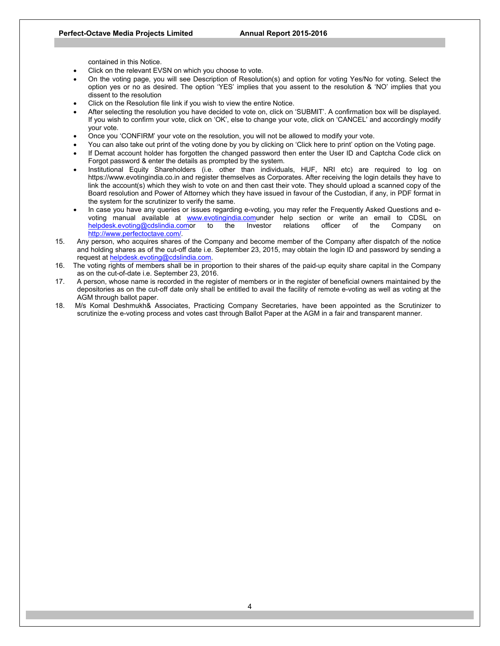contained in this Notice.

- Click on the relevant EVSN on which you choose to vote.
- On the voting page, you will see Description of Resolution(s) and option for voting Yes/No for voting. Select the option yes or no as desired. The option 'YES' implies that you assent to the resolution & 'NO' implies that you dissent to the resolution
- Click on the Resolution file link if you wish to view the entire Notice.
- After selecting the resolution you have decided to vote on, click on 'SUBMIT'. A confirmation box will be displayed. If you wish to confirm your vote, click on 'OK', else to change your vote, click on 'CANCEL' and accordingly modify your vote.
- Once you 'CONFIRM' your vote on the resolution, you will not be allowed to modify your vote.
- You can also take out print of the voting done by you by clicking on 'Click here to print' option on the Voting page.
- If Demat account holder has forgotten the changed password then enter the User ID and Captcha Code click on Forgot password & enter the details as prompted by the system.
- Institutional Equity Shareholders (i.e. other than individuals, HUF, NRI etc) are required to log on https://www.evotingindia.co.in and register themselves as Corporates. After receiving the login details they have to link the account(s) which they wish to vote on and then cast their vote. They should upload a scanned copy of the Board resolution and Power of Attorney which they have issued in favour of the Custodian, if any, in PDF format in the system for the scrutinizer to verify the same.
- In case you have any queries or issues regarding e-voting, you may refer the Frequently Asked Questions and evoting manual available at www.evotingindia.comunder help section or write an email to CDSL on helpdesk.evoting@cdslindia.comor to the Investor relations officer of the Company on http://www.perfectoctave.com/.
- 15. Any person, who acquires shares of the Company and become member of the Company after dispatch of the notice and holding shares as of the cut-off date i.e. September 23, 2015, may obtain the login ID and password by sending a request at helpdesk.evoting@cdslindia.com.
- 16. The voting rights of members shall be in proportion to their shares of the paid-up equity share capital in the Company as on the cut-of-date i.e. September 23, 2016.
- 17. A person, whose name is recorded in the register of members or in the register of beneficial owners maintained by the depositories as on the cut-off date only shall be entitled to avail the facility of remote e-voting as well as voting at the AGM through ballot paper.
- 18. M/s Komal Deshmukh& Associates, Practicing Company Secretaries, have been appointed as the Scrutinizer to scrutinize the e-voting process and votes cast through Ballot Paper at the AGM in a fair and transparent manner.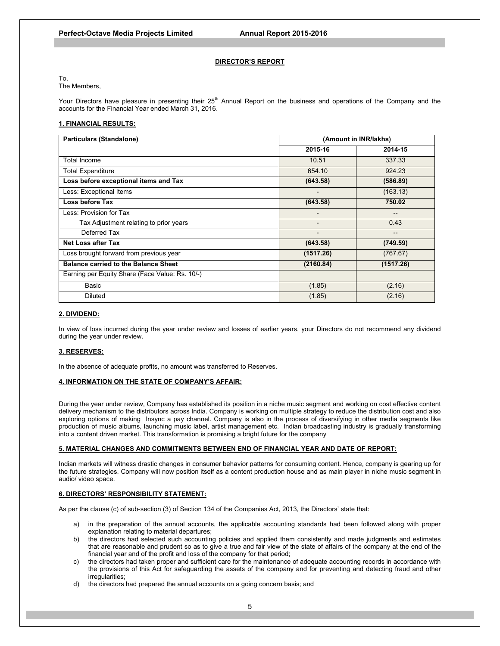#### **DIRECTOR'S REPORT**

To,

The Members,

Your Directors have pleasure in presenting their 25<sup>th</sup> Annual Report on the business and operations of the Company and the accounts for the Financial Year ended March 31, 2016.

#### **1. FINANCIAL RESULTS:**

| <b>Particulars (Standalone)</b>                 | (Amount in INR/lakhs)    |           |
|-------------------------------------------------|--------------------------|-----------|
|                                                 | 2015-16                  | 2014-15   |
| Total Income                                    | 10.51                    | 337.33    |
| <b>Total Expenditure</b>                        | 654.10                   | 924.23    |
| Loss before exceptional items and Tax           | (643.58)                 | (586.89)  |
| Less: Exceptional Items                         | $\blacksquare$           | (163.13)  |
| Loss before Tax                                 | (643.58)                 | 750.02    |
| Less: Provision for Tax                         | -                        |           |
| Tax Adjustment relating to prior years          | $\overline{\phantom{0}}$ | 0.43      |
| Deferred Tax                                    | $\overline{\phantom{a}}$ | $- -$     |
| Net Loss after Tax                              | (643.58)                 | (749.59)  |
| Loss brought forward from previous year         | (1517.26)                | (767.67)  |
| <b>Balance carried to the Balance Sheet</b>     | (2160.84)                | (1517.26) |
| Earning per Equity Share (Face Value: Rs. 10/-) |                          |           |
| Basic                                           | (1.85)                   | (2.16)    |
| <b>Diluted</b>                                  | (1.85)                   | (2.16)    |

#### **2. DIVIDEND:**

In view of loss incurred during the year under review and losses of earlier years, your Directors do not recommend any dividend during the year under review.

#### **3. RESERVES:**

In the absence of adequate profits, no amount was transferred to Reserves.

## **4. INFORMATION ON THE STATE OF COMPANY'S AFFAIR:**

During the year under review, Company has established its position in a niche music segment and working on cost effective content delivery mechanism to the distributors across India. Company is working on multiple strategy to reduce the distribution cost and also exploring options of making Insync a pay channel. Company is also in the process of diversifying in other media segments like production of music albums, launching music label, artist management etc. Indian broadcasting industry is gradually transforming into a content driven market. This transformation is promising a bright future for the company

#### **5. MATERIAL CHANGES AND COMMITMENTS BETWEEN END OF FINANCIAL YEAR AND DATE OF REPORT:**

Indian markets will witness drastic changes in consumer behavior patterns for consuming content. Hence, company is gearing up for the future strategies. Company will now position itself as a content production house and as main player in niche music segment in audio/ video space.

#### **6. DIRECTORS' RESPONSIBILITY STATEMENT:**

As per the clause (c) of sub-section (3) of Section 134 of the Companies Act, 2013, the Directors' state that:

- a) in the preparation of the annual accounts, the applicable accounting standards had been followed along with proper explanation relating to material departures;
- b) the directors had selected such accounting policies and applied them consistently and made judgments and estimates that are reasonable and prudent so as to give a true and fair view of the state of affairs of the company at the end of the financial year and of the profit and loss of the company for that period;
- c) the directors had taken proper and sufficient care for the maintenance of adequate accounting records in accordance with the provisions of this Act for safeguarding the assets of the company and for preventing and detecting fraud and other irregularities;
- d) the directors had prepared the annual accounts on a going concern basis; and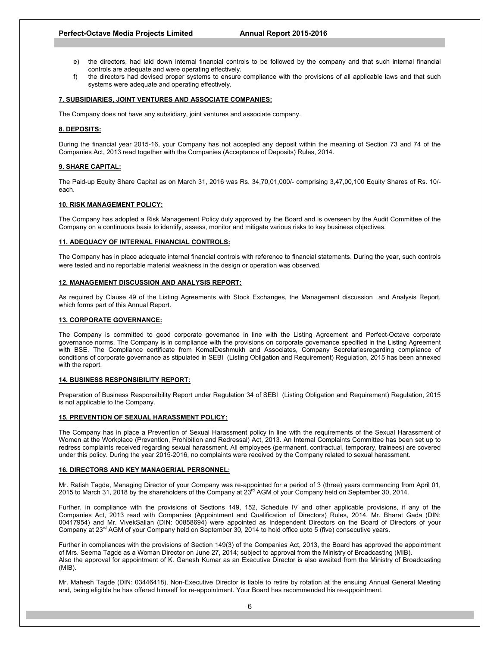#### **Perfect-Octave Media Projects Limited Annual Report 2015-2016**

- e) the directors, had laid down internal financial controls to be followed by the company and that such internal financial controls are adequate and were operating effectively.
- f) the directors had devised proper systems to ensure compliance with the provisions of all applicable laws and that such systems were adequate and operating effectively.

#### **7. SUBSIDIARIES, JOINT VENTURES AND ASSOCIATE COMPANIES:**

The Company does not have any subsidiary, joint ventures and associate company.

#### **8. DEPOSITS:**

During the financial year 2015-16, your Company has not accepted any deposit within the meaning of Section 73 and 74 of the Companies Act, 2013 read together with the Companies (Acceptance of Deposits) Rules, 2014.

#### **9. SHARE CAPITAL:**

The Paid-up Equity Share Capital as on March 31, 2016 was Rs. 34,70,01,000/- comprising 3,47,00,100 Equity Shares of Rs. 10/ each.

#### **10. RISK MANAGEMENT POLICY:**

The Company has adopted a Risk Management Policy duly approved by the Board and is overseen by the Audit Committee of the Company on a continuous basis to identify, assess, monitor and mitigate various risks to key business objectives.

#### **11. ADEQUACY OF INTERNAL FINANCIAL CONTROLS:**

The Company has in place adequate internal financial controls with reference to financial statements. During the year, such controls were tested and no reportable material weakness in the design or operation was observed.

#### **12. MANAGEMENT DISCUSSION AND ANALYSIS REPORT:**

As required by Clause 49 of the Listing Agreements with Stock Exchanges, the Management discussion and Analysis Report, which forms part of this Annual Report.

#### **13. CORPORATE GOVERNANCE:**

The Company is committed to good corporate governance in line with the Listing Agreement and Perfect-Octave corporate governance norms. The Company is in compliance with the provisions on corporate governance specified in the Listing Agreement with BSE. The Compliance certificate from KomalDeshmukh and Associates, Company Secretariesregarding compliance of conditions of corporate governance as stipulated in SEBI (Listing Obligation and Requirement) Regulation, 2015 has been annexed with the report.

#### **14. BUSINESS RESPONSIBILITY REPORT:**

Preparation of Business Responsibility Report under Regulation 34 of SEBI (Listing Obligation and Requirement) Regulation, 2015 is not applicable to the Company.

#### **15. PREVENTION OF SEXUAL HARASSMENT POLICY:**

The Company has in place a Prevention of Sexual Harassment policy in line with the requirements of the Sexual Harassment of Women at the Workplace (Prevention, Prohibition and Redressal) Act, 2013. An Internal Complaints Committee has been set up to redress complaints received regarding sexual harassment. All employees (permanent, contractual, temporary, trainees) are covered under this policy. During the year 2015-2016, no complaints were received by the Company related to sexual harassment.

### **16. DIRECTORS AND KEY MANAGERIAL PERSONNEL:**

Mr. Ratish Tagde, Managing Director of your Company was re-appointed for a period of 3 (three) years commencing from April 01, 2015 to March 31, 2018 by the shareholders of the Company at  $23<sup>rd</sup>$  AGM of your Company held on September 30, 2014.

Further, in compliance with the provisions of Sections 149, 152, Schedule IV and other applicable provisions, if any of the Companies Act, 2013 read with Companies (Appointment and Qualification of Directors) Rules, 2014, Mr. Bharat Gada (DIN: 00417954) and Mr. VivekSalian (DIN: 00858694) were appointed as Independent Directors on the Board of Directors of your Company at 23<sup>rd</sup> AGM of your Company held on September 30, 2014 to hold office upto 5 (five) consecutive years.

Further in compliances with the provisions of Section 149(3) of the Companies Act, 2013, the Board has approved the appointment of Mrs. Seema Tagde as a Woman Director on June 27, 2014; subject to approval from the Ministry of Broadcasting (MIB). Also the approval for appointment of K. Ganesh Kumar as an Executive Director is also awaited from the Ministry of Broadcasting (MIB).

Mr. Mahesh Tagde (DIN: 03446418), Non-Executive Director is liable to retire by rotation at the ensuing Annual General Meeting and, being eligible he has offered himself for re-appointment. Your Board has recommended his re-appointment.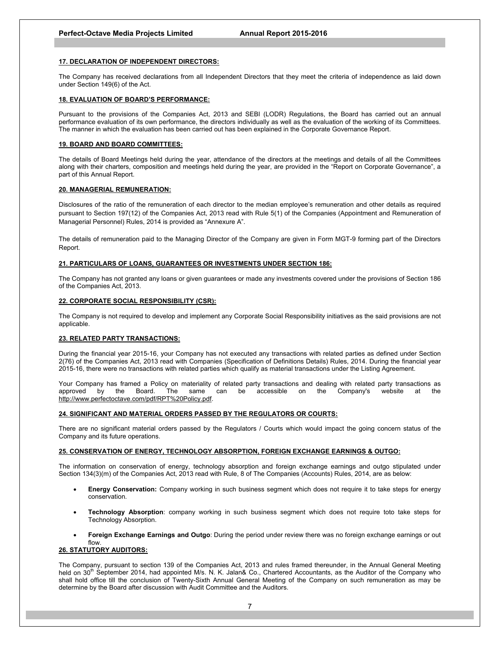#### **17. DECLARATION OF INDEPENDENT DIRECTORS:**

The Company has received declarations from all Independent Directors that they meet the criteria of independence as laid down under Section 149(6) of the Act.

### **18. EVALUATION OF BOARD'S PERFORMANCE:**

Pursuant to the provisions of the Companies Act, 2013 and SEBI (LODR) Regulations, the Board has carried out an annual performance evaluation of its own performance, the directors individually as well as the evaluation of the working of its Committees. The manner in which the evaluation has been carried out has been explained in the Corporate Governance Report.

### **19. BOARD AND BOARD COMMITTEES:**

The details of Board Meetings held during the year, attendance of the directors at the meetings and details of all the Committees along with their charters, composition and meetings held during the year, are provided in the "Report on Corporate Governance", a part of this Annual Report.

#### **20. MANAGERIAL REMUNERATION:**

Disclosures of the ratio of the remuneration of each director to the median employee's remuneration and other details as required pursuant to Section 197(12) of the Companies Act, 2013 read with Rule 5(1) of the Companies (Appointment and Remuneration of Managerial Personnel) Rules, 2014 is provided as "Annexure A".

The details of remuneration paid to the Managing Director of the Company are given in Form MGT-9 forming part of the Directors Report.

#### **21. PARTICULARS OF LOANS, GUARANTEES OR INVESTMENTS UNDER SECTION 186:**

The Company has not granted any loans or given guarantees or made any investments covered under the provisions of Section 186 of the Companies Act, 2013.

#### **22. CORPORATE SOCIAL RESPONSIBILITY (CSR):**

The Company is not required to develop and implement any Corporate Social Responsibility initiatives as the said provisions are not applicable.

#### **23. RELATED PARTY TRANSACTIONS:**

During the financial year 2015-16, your Company has not executed any transactions with related parties as defined under Section 2(76) of the Companies Act, 2013 read with Companies (Specification of Definitions Details) Rules, 2014. During the financial year 2015-16, there were no transactions with related parties which qualify as material transactions under the Listing Agreement.

Your Company has framed a Policy on materiality of related party transactions and dealing with related party transactions as<br>approved by the Board. The same can be accessible on the Company's website at the approved by the Board. The same can be accessible on the Company's website at the http://www.perfectoctave.com/pdf/RPT%20Policy.pdf.

### **24. SIGNIFICANT AND MATERIAL ORDERS PASSED BY THE REGULATORS OR COURTS:**

There are no significant material orders passed by the Regulators / Courts which would impact the going concern status of the Company and its future operations.

#### **25. CONSERVATION OF ENERGY, TECHNOLOGY ABSORPTION, FOREIGN EXCHANGE EARNINGS & OUTGO:**

The information on conservation of energy, technology absorption and foreign exchange earnings and outgo stipulated under Section 134(3)(m) of the Companies Act, 2013 read with Rule, 8 of The Companies (Accounts) Rules, 2014, are as below:

- **Energy Conservation:** Company working in such business segment which does not require it to take steps for energy conservation.
- **Technology Absorption**: company working in such business segment which does not require toto take steps for Technology Absorption.
- **Foreign Exchange Earnings and Outgo**: During the period under review there was no foreign exchange earnings or out flow.

### **26. STATUTORY AUDITORS:**

The Company, pursuant to section 139 of the Companies Act, 2013 and rules framed thereunder, in the Annual General Meeting held on 30<sup>th</sup> September 2014, had appointed M/s. N. K. Jalan& Co., Chartered Accountants, as the Auditor of the Company who shall hold office till the conclusion of Twenty-Sixth Annual General Meeting of the Company on such remuneration as may be determine by the Board after discussion with Audit Committee and the Auditors.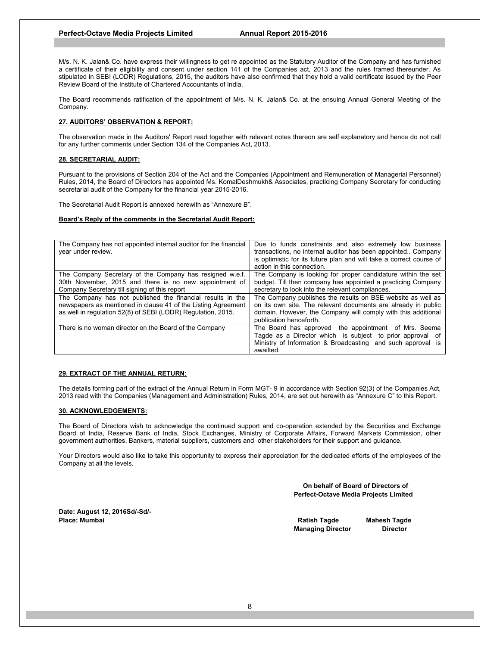M/s. N. K. Jalan& Co. have express their willingness to get re appointed as the Statutory Auditor of the Company and has furnished a certificate of their eligibility and consent under section 141 of the Companies act, 2013 and the rules framed thereunder. As stipulated in SEBI (LODR) Regulations, 2015, the auditors have also confirmed that they hold a valid certificate issued by the Peer Review Board of the Institute of Chartered Accountants of India.

The Board recommends ratification of the appointment of M/s. N. K. Jalan& Co. at the ensuing Annual General Meeting of the Company.

## **27. AUDITORS' OBSERVATION & REPORT:**

The observation made in the Auditors' Report read together with relevant notes thereon are self explanatory and hence do not call for any further comments under Section 134 of the Companies Act, 2013.

#### **28. SECRETARIAL AUDIT:**

Pursuant to the provisions of Section 204 of the Act and the Companies (Appointment and Remuneration of Managerial Personnel) Rules, 2014, the Board of Directors has appointed Ms. KomalDeshmukh& Associates, practicing Company Secretary for conducting secretarial audit of the Company for the financial year 2015-2016.

The Secretarial Audit Report is annexed herewith as "Annexure B".

#### **Board's Reply of the comments in the Secretarial Audit Report:**

| The Company has not appointed internal auditor for the financial<br>year under review. | Due to funds constraints and also extremely low business<br>transactions, no internal auditor has been appointed Company<br>is optimistic for its future plan and will take a correct course of<br>action in this connection. |
|----------------------------------------------------------------------------------------|-------------------------------------------------------------------------------------------------------------------------------------------------------------------------------------------------------------------------------|
| The Company Secretary of the Company has resigned w.e.f.                               | The Company is looking for proper candidature within the set                                                                                                                                                                  |
| 30th November, 2015 and there is no new appointment of                                 | budget. Till then company has appointed a practicing Company                                                                                                                                                                  |
| Company Secretary till signing of this report                                          | secretary to look into the relevant compliances.                                                                                                                                                                              |
| The Company has not published the financial results in the                             | The Company publishes the results on BSE website as well as                                                                                                                                                                   |
| newspapers as mentioned in clause 41 of the Listing Agreement                          | on its own site. The relevant documents are already in public                                                                                                                                                                 |
| as well in regulation 52(8) of SEBI (LODR) Regulation, 2015.                           | domain. However, the Company will comply with this additional                                                                                                                                                                 |
|                                                                                        | publication henceforth.                                                                                                                                                                                                       |
| There is no woman director on the Board of the Company                                 | The Board has approved the appointment of Mrs. Seema                                                                                                                                                                          |
|                                                                                        | Tagde as a Director which is subject to prior approval of                                                                                                                                                                     |
|                                                                                        | Ministry of Information & Broadcasting and such approval is                                                                                                                                                                   |
|                                                                                        | awailted.                                                                                                                                                                                                                     |

#### **29. EXTRACT OF THE ANNUAL RETURN:**

The details forming part of the extract of the Annual Return in Form MGT- 9 in accordance with Section 92(3) of the Companies Act, 2013 read with the Companies (Management and Administration) Rules, 2014, are set out herewith as "Annexure C" to this Report.

#### **30. ACKNOWLEDGEMENTS:**

The Board of Directors wish to acknowledge the continued support and co-operation extended by the Securities and Exchange Board of India, Reserve Bank of India, Stock Exchanges, Ministry of Corporate Affairs, Forward Markets Commission, other government authorities, Bankers, material suppliers, customers and other stakeholders for their support and guidance.

Your Directors would also like to take this opportunity to express their appreciation for the dedicated efforts of the employees of the Company at all the levels.

> **On behalf of Board of Directors of Perfect-Octave Media Projects Limited**

**Date: August 12, 2016Sd/-Sd/- Place: Mumbai Ratish Tagde Mahesh Tagde** 

**Managing Director Director**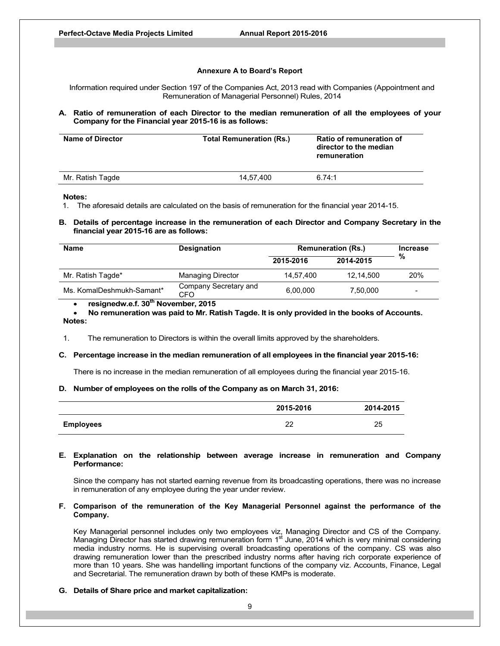### **Annexure A to Board's Report**

Information required under Section 197 of the Companies Act, 2013 read with Companies (Appointment and Remuneration of Managerial Personnel) Rules, 2014

### **A. Ratio of remuneration of each Director to the median remuneration of all the employees of your Company for the Financial year 2015-16 is as follows:**

| <b>Name of Director</b> | <b>Total Remuneration (Rs.)</b> | Ratio of remuneration of<br>director to the median<br>remuneration |
|-------------------------|---------------------------------|--------------------------------------------------------------------|
| Mr. Ratish Tagde        | 14.57.400                       | 6.74:1                                                             |

**Notes:** 

1. The aforesaid details are calculated on the basis of remuneration for the financial year 2014-15.

**B. Details of percentage increase in the remuneration of each Director and Company Secretary in the financial year 2015-16 are as follows:** 

| <b>Name</b>               | <b>Designation</b>           | <b>Remuneration (Rs.)</b> |           | <b>Increase</b>          |
|---------------------------|------------------------------|---------------------------|-----------|--------------------------|
|                           |                              | 2015-2016                 | 2014-2015 | %                        |
| Mr. Ratish Tagde*         | <b>Managing Director</b>     | 14.57.400                 | 12.14.500 | 20%                      |
| Ms. KomalDeshmukh-Samant* | Company Secretary and<br>CFO | 6.00.000                  | 7,50,000  | $\overline{\phantom{0}}$ |

**•** resignedw.e.f. 30<sup>th</sup> November, 2015

 **No remuneration was paid to Mr. Ratish Tagde. It is only provided in the books of Accounts. Notes:** 

1. The remuneration to Directors is within the overall limits approved by the shareholders.

#### **C. Percentage increase in the median remuneration of all employees in the financial year 2015-16:**

There is no increase in the median remuneration of all employees during the financial year 2015-16.

#### **D. Number of employees on the rolls of the Company as on March 31, 2016:**

|                  | 2015-2016 | 2014-2015 |
|------------------|-----------|-----------|
| <b>Employees</b> | ററ<br>∠∠  | 25        |

### **E. Explanation on the relationship between average increase in remuneration and Company Performance:**

Since the company has not started earning revenue from its broadcasting operations, there was no increase in remuneration of any employee during the year under review.

## **F. Comparison of the remuneration of the Key Managerial Personnel against the performance of the Company.**

Key Managerial personnel includes only two employees viz, Managing Director and CS of the Company. Managing Director has started drawing remuneration form  $1<sup>st</sup>$  June, 2014 which is very minimal considering media industry norms. He is supervising overall broadcasting operations of the company. CS was also drawing remuneration lower than the prescribed industry norms after having rich corporate experience of more than 10 years. She was handelling important functions of the company viz. Accounts, Finance, Legal and Secretarial. The remuneration drawn by both of these KMPs is moderate.

#### **G. Details of Share price and market capitalization:**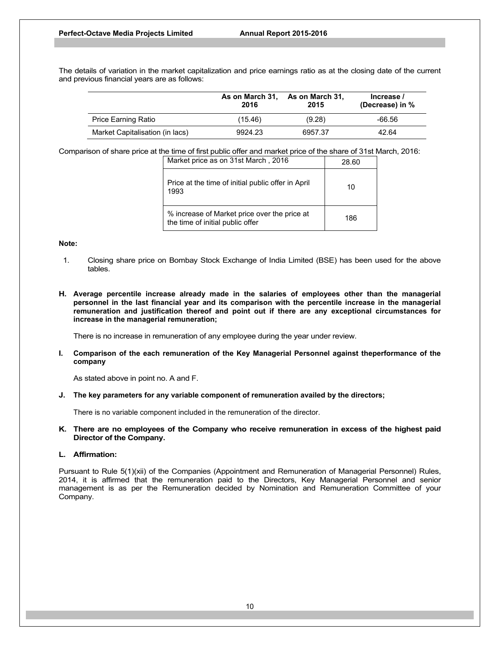The details of variation in the market capitalization and price earnings ratio as at the closing date of the current and previous financial years are as follows:

|                                 | As on March 31,<br>2016 | As on March 31,<br>2015 | Increase /<br>(Decrease) in % |
|---------------------------------|-------------------------|-------------------------|-------------------------------|
| Price Earning Ratio             | (15.46)                 | (9.28)                  | -66.56                        |
| Market Capitalisation (in lacs) | 9924.23                 | 6957.37                 | 42.64                         |

Comparison of share price at the time of first public offer and market price of the share of 31st March, 2016:

| Market price as on 31st March, 2016                                              | 28.60 |
|----------------------------------------------------------------------------------|-------|
| Price at the time of initial public offer in April<br>1993                       | 10    |
| % increase of Market price over the price at<br>the time of initial public offer | 186   |

### **Note:**

- 1. Closing share price on Bombay Stock Exchange of India Limited (BSE) has been used for the above tables.
- **H. Average percentile increase already made in the salaries of employees other than the managerial personnel in the last financial year and its comparison with the percentile increase in the managerial remuneration and justification thereof and point out if there are any exceptional circumstances for increase in the managerial remuneration;**

There is no increase in remuneration of any employee during the year under review.

**I. Comparison of the each remuneration of the Key Managerial Personnel against theperformance of the company**

As stated above in point no. A and F.

**J. The key parameters for any variable component of remuneration availed by the directors;**

There is no variable component included in the remuneration of the director.

**K. There are no employees of the Company who receive remuneration in excess of the highest paid Director of the Company.** 

### **L. Affirmation:**

Pursuant to Rule 5(1)(xii) of the Companies (Appointment and Remuneration of Managerial Personnel) Rules, 2014, it is affirmed that the remuneration paid to the Directors, Key Managerial Personnel and senior management is as per the Remuneration decided by Nomination and Remuneration Committee of your Company.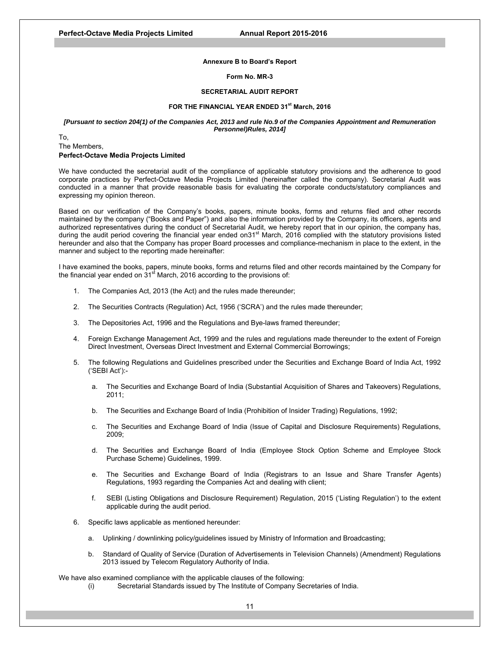#### **Annexure B to Board's Report**

## **Form No. MR-3**

#### **SECRETARIAL AUDIT REPORT**

#### FOR THE FINANCIAL YEAR ENDED 31<sup>st</sup> March, 2016

#### *[Pursuant to section 204(1) of the Companies Act, 2013 and rule No.9 of the Companies Appointment and Remuneration Personnel)Rules, 2014]*

To, The Members, **Perfect-Octave Media Projects Limited** 

We have conducted the secretarial audit of the compliance of applicable statutory provisions and the adherence to good corporate practices by Perfect-Octave Media Projects Limited (hereinafter called the company). Secretarial Audit was conducted in a manner that provide reasonable basis for evaluating the corporate conducts/statutory compliances and expressing my opinion thereon.

Based on our verification of the Company's books, papers, minute books, forms and returns filed and other records maintained by the company ("Books and Paper") and also the information provided by the Company, its officers, agents and authorized representatives during the conduct of Secretarial Audit, we hereby report that in our opinion, the company has, during the audit period covering the financial year ended on $31<sup>st</sup>$  March, 2016 complied with the statutory provisions listed hereunder and also that the Company has proper Board processes and compliance-mechanism in place to the extent, in the manner and subject to the reporting made hereinafter:

I have examined the books, papers, minute books, forms and returns filed and other records maintained by the Company for the financial year ended on  $31<sup>st</sup>$  March, 2016 according to the provisions of:

- 1. The Companies Act, 2013 (the Act) and the rules made thereunder;
- 2. The Securities Contracts (Regulation) Act, 1956 ('SCRA') and the rules made thereunder;
- 3. The Depositories Act, 1996 and the Regulations and Bye-laws framed thereunder;
- 4. Foreign Exchange Management Act, 1999 and the rules and regulations made thereunder to the extent of Foreign Direct Investment, Overseas Direct Investment and External Commercial Borrowings;
- 5. The following Regulations and Guidelines prescribed under the Securities and Exchange Board of India Act, 1992 ('SEBI Act'):
	- a. The Securities and Exchange Board of India (Substantial Acquisition of Shares and Takeovers) Regulations, 2011;
	- b. The Securities and Exchange Board of India (Prohibition of Insider Trading) Regulations, 1992;
	- c. The Securities and Exchange Board of India (Issue of Capital and Disclosure Requirements) Regulations, 2009;
	- d. The Securities and Exchange Board of India (Employee Stock Option Scheme and Employee Stock Purchase Scheme) Guidelines, 1999.
	- e. The Securities and Exchange Board of India (Registrars to an Issue and Share Transfer Agents) Regulations, 1993 regarding the Companies Act and dealing with client;
	- f. SEBI (Listing Obligations and Disclosure Requirement) Regulation, 2015 ('Listing Regulation') to the extent applicable during the audit period.
- 6. Specific laws applicable as mentioned hereunder:
	- a. Uplinking / downlinking policy/guidelines issued by Ministry of Information and Broadcasting;
	- b. Standard of Quality of Service (Duration of Advertisements in Television Channels) (Amendment) Regulations 2013 issued by Telecom Regulatory Authority of India.

We have also examined compliance with the applicable clauses of the following:

(i) Secretarial Standards issued by The Institute of Company Secretaries of India.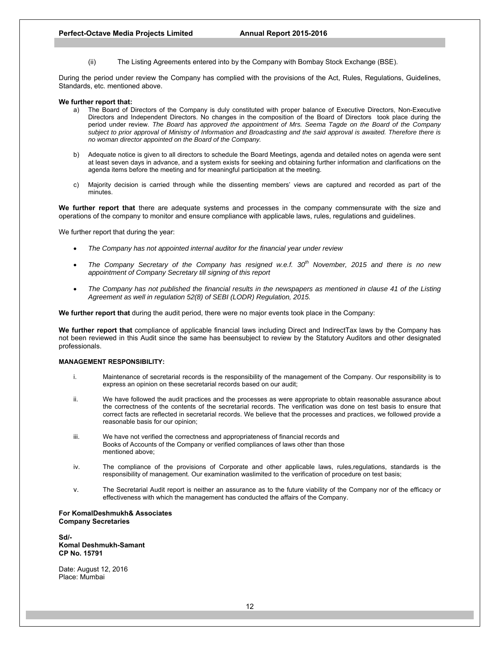(ii) The Listing Agreements entered into by the Company with Bombay Stock Exchange (BSE).

During the period under review the Company has complied with the provisions of the Act, Rules, Regulations, Guidelines, Standards, etc. mentioned above.

#### **We further report that:**

- a) The Board of Directors of the Company is duly constituted with proper balance of Executive Directors, Non-Executive Directors and Independent Directors. No changes in the composition of the Board of Directors took place during the period under review. *The Board has approved the appointment of Mrs. Seema Tagde on the Board of the Company subject to prior approval of Ministry of Information and Broadcasting and the said approval is awaited. Therefore there is no woman director appointed on the Board of the Company.*
- b) Adequate notice is given to all directors to schedule the Board Meetings, agenda and detailed notes on agenda were sent at least seven days in advance, and a system exists for seeking and obtaining further information and clarifications on the agenda items before the meeting and for meaningful participation at the meeting.
- c) Majority decision is carried through while the dissenting members' views are captured and recorded as part of the minutes.

**We further report that** there are adequate systems and processes in the company commensurate with the size and operations of the company to monitor and ensure compliance with applicable laws, rules, regulations and guidelines.

We further report that during the year:

- *The Company has not appointed internal auditor for the financial year under review*
- *The Company Secretary of the Company has resigned w.e.f. 30th November, 2015 and there is no new appointment of Company Secretary till signing of this report*
- *The Company has not published the financial results in the newspapers as mentioned in clause 41 of the Listing Agreement as well in regulation 52(8) of SEBI (LODR) Regulation, 2015.*

**We further report that** during the audit period, there were no major events took place in the Company:

**We further report that** compliance of applicable financial laws including Direct and IndirectTax laws by the Company has not been reviewed in this Audit since the same has beensubject to review by the Statutory Auditors and other designated professionals.

#### **MANAGEMENT RESPONSIBILITY:**

- i. Maintenance of secretarial records is the responsibility of the management of the Company. Our responsibility is to express an opinion on these secretarial records based on our audit;
- ii. We have followed the audit practices and the processes as were appropriate to obtain reasonable assurance about the correctness of the contents of the secretarial records. The verification was done on test basis to ensure that correct facts are reflected in secretarial records. We believe that the processes and practices, we followed provide a reasonable basis for our opinion;
- iii. We have not verified the correctness and appropriateness of financial records and Books of Accounts of the Company or verified compliances of laws other than those mentioned above;
- iv. The compliance of the provisions of Corporate and other applicable laws, rules,regulations, standards is the responsibility of management. Our examination waslimited to the verification of procedure on test basis;
- v. The Secretarial Audit report is neither an assurance as to the future viability of the Company nor of the efficacy or effectiveness with which the management has conducted the affairs of the Company.

**For KomalDeshmukh& Associates Company Secretaries** 

**Sd/- Komal Deshmukh-Samant CP No. 15791** 

Date: August 12, 2016 Place: Mumbai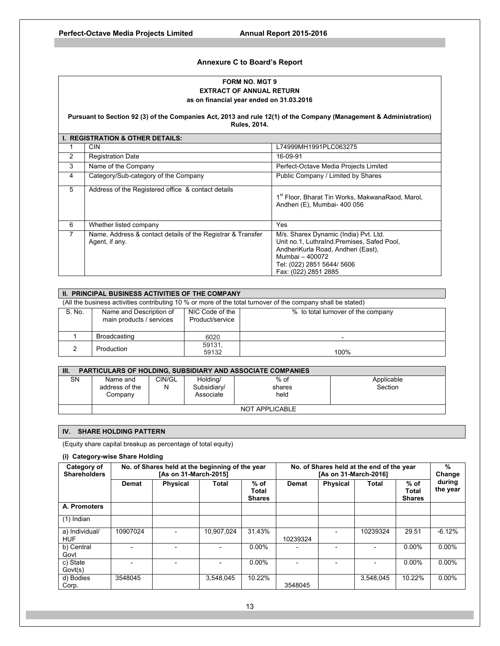## **Annexure C to Board's Report**

## **FORM NO. MGT 9 EXTRACT OF ANNUAL RETURN as on financial year ended on 31.03.2016**

**Pursuant to Section 92 (3) of the Companies Act, 2013 and rule 12(1) of the Company (Management & Administration) Rules, 2014.** 

|   | <b>I. REGISTRATION &amp; OTHER DETAILS:</b>                                   |                                                                                                                                                                                                    |
|---|-------------------------------------------------------------------------------|----------------------------------------------------------------------------------------------------------------------------------------------------------------------------------------------------|
|   | <b>CIN</b>                                                                    | L74999MH1991PLC063275                                                                                                                                                                              |
| 2 | <b>Registration Date</b>                                                      | 16-09-91                                                                                                                                                                                           |
| 3 | Name of the Company                                                           | Perfect-Octave Media Projects Limited                                                                                                                                                              |
| 4 | Category/Sub-category of the Company                                          | Public Company / Limited by Shares                                                                                                                                                                 |
| 5 | Address of the Registered office & contact details                            | 1 <sup>st</sup> Floor, Bharat Tin Works, MakwanaRaod, Marol,<br>Andheri (E), Mumbai- 400 056                                                                                                       |
| 6 | Whether listed company                                                        | Yes                                                                                                                                                                                                |
| 7 | Name, Address & contact details of the Registrar & Transfer<br>Agent, if any. | M/s. Sharex Dynamic (India) Pvt. Ltd.<br>Unit no.1, LuthraInd.Premises, Safed Pool,<br>AndheriKurla Road, Andheri (East),<br>Mumbai - 400072<br>Tel: (022) 2851 5644/ 5606<br>Fax: (022) 2851 2885 |

|                                                                                                              | II. PRINCIPAL BUSINESS ACTIVITIES OF THE COMPANY    |                                    |                                    |  |  |
|--------------------------------------------------------------------------------------------------------------|-----------------------------------------------------|------------------------------------|------------------------------------|--|--|
| (All the business activities contributing 10 % or more of the total turnover of the company shall be stated) |                                                     |                                    |                                    |  |  |
| S. No.                                                                                                       | Name and Description of<br>main products / services | NIC Code of the<br>Product/service | % to total turnover of the company |  |  |
|                                                                                                              | Broadcasting                                        | 6020                               |                                    |  |  |
|                                                                                                              | Production                                          | 59131.<br>59132                    | 100%                               |  |  |

| Ш.        | <b>PARTICULARS OF HOLDING. SUBSIDIARY AND ASSOCIATE COMPANIES</b> |                |                                      |                          |                       |  |  |  |  |  |  |
|-----------|-------------------------------------------------------------------|----------------|--------------------------------------|--------------------------|-----------------------|--|--|--|--|--|--|
| <b>SN</b> | Name and<br>address of the<br>Company                             | CIN/GL<br>N    | Holding/<br>Subsidiary/<br>Associate | $%$ of<br>shares<br>held | Applicable<br>Section |  |  |  |  |  |  |
|           |                                                                   | NOT APPLICABLE |                                      |                          |                       |  |  |  |  |  |  |

## **IV. SHARE HOLDING PATTERN**

(Equity share capital breakup as percentage of total equity)

## **(i) Category-wise Share Holding**

| Category of<br><b>Shareholders</b> |              | No. of Shares held at the beginning of the year<br>[As on 31-March-2015] |            |                                  |              | No. of Shares held at the end of the year<br>[As on 31-March-2016] |           |                                  |                    |  |  |
|------------------------------------|--------------|--------------------------------------------------------------------------|------------|----------------------------------|--------------|--------------------------------------------------------------------|-----------|----------------------------------|--------------------|--|--|
|                                    | <b>Demat</b> | <b>Physical</b>                                                          | Total      | $%$ of<br>Total<br><b>Shares</b> | <b>Demat</b> | <b>Physical</b>                                                    | Total     | $%$ of<br>Total<br><b>Shares</b> | during<br>the year |  |  |
| A. Promoters                       |              |                                                                          |            |                                  |              |                                                                    |           |                                  |                    |  |  |
| $(1)$ Indian                       |              |                                                                          |            |                                  |              |                                                                    |           |                                  |                    |  |  |
| a) Individual/<br><b>HUF</b>       | 10907024     |                                                                          | 10.907.024 | 31.43%                           | 10239324     |                                                                    | 10239324  | 29.51                            | $-6.12%$           |  |  |
| b) Central<br>Govt                 |              |                                                                          |            | $0.00\%$                         |              |                                                                    |           | $0.00\%$                         | $0.00\%$           |  |  |
| c) State<br>Govt(s)                |              |                                                                          |            | $0.00\%$                         |              |                                                                    |           | $0.00\%$                         | $0.00\%$           |  |  |
| d) Bodies<br>Corp.                 | 3548045      |                                                                          | 3.548.045  | 10.22%                           | 3548045      |                                                                    | 3.548.045 | 10.22%                           | $0.00\%$           |  |  |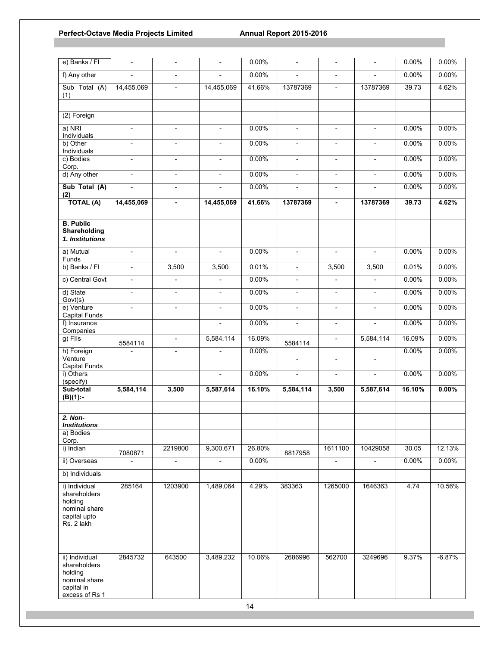| e) Banks / FI                                                                           |                          |                          |                          | 0.00%    | $\overline{a}$           |                          |                          | 0.00%  | 0.00%    |
|-----------------------------------------------------------------------------------------|--------------------------|--------------------------|--------------------------|----------|--------------------------|--------------------------|--------------------------|--------|----------|
| f) Any other                                                                            | $\blacksquare$           | $\blacksquare$           | ÷,                       | 0.00%    | $\overline{a}$           | $\overline{\phantom{a}}$ | $\overline{\phantom{a}}$ | 0.00%  | 0.00%    |
| Sub Total (A)<br>(1)                                                                    | 14,455,069               | $\overline{\phantom{a}}$ | 14,455,069               | 41.66%   | 13787369                 | $\blacksquare$           | 13787369                 | 39.73  | 4.62%    |
|                                                                                         |                          |                          |                          |          |                          |                          |                          |        |          |
| (2) Foreign                                                                             |                          |                          |                          |          |                          |                          |                          |        |          |
| a) NRI<br>Individuals                                                                   | $\overline{\phantom{a}}$ | $\overline{\phantom{a}}$ | $\overline{\phantom{a}}$ | 0.00%    | $\overline{\phantom{a}}$ | $\overline{\phantom{a}}$ | $\overline{\phantom{a}}$ | 0.00%  | 0.00%    |
| b) Other<br>Individuals                                                                 | $\overline{\phantom{a}}$ | $\overline{\phantom{a}}$ | $\overline{\phantom{a}}$ | 0.00%    | $\blacksquare$           | $\overline{\phantom{a}}$ | $\overline{\phantom{a}}$ | 0.00%  | 0.00%    |
| c) Bodies<br>Corp.                                                                      | $\overline{\phantom{a}}$ | $\overline{\phantom{a}}$ | $\overline{\phantom{a}}$ | 0.00%    | $\overline{\phantom{a}}$ | $\overline{\phantom{a}}$ | $\overline{\phantom{a}}$ | 0.00%  | 0.00%    |
| d) Any other                                                                            | $\blacksquare$           | $\overline{\phantom{a}}$ | $\overline{\phantom{a}}$ | 0.00%    | $\overline{\phantom{a}}$ | $\blacksquare$           | $\overline{\phantom{a}}$ | 0.00%  | 0.00%    |
| Sub Total (A)<br>(2)                                                                    | $\overline{\phantom{a}}$ | $\overline{\phantom{a}}$ | $\overline{a}$           | 0.00%    | $\overline{\phantom{0}}$ | $\overline{\phantom{a}}$ | $\overline{\phantom{a}}$ | 0.00%  | 0.00%    |
| <b>TOTAL (A)</b>                                                                        | 14,455,069               | $\blacksquare$           | 14,455,069               | 41.66%   | 13787369                 | $\blacksquare$           | 13787369                 | 39.73  | 4.62%    |
|                                                                                         |                          |                          |                          |          |                          |                          |                          |        |          |
| <b>B.</b> Public<br>Shareholding                                                        |                          |                          |                          |          |                          |                          |                          |        |          |
| 1. Institutions                                                                         |                          |                          |                          |          |                          |                          |                          |        |          |
| a) Mutual<br>Funds                                                                      | $\blacksquare$           | $\blacksquare$           | $\blacksquare$           | 0.00%    | $\mathbf{r}$             | $\blacksquare$           | $\blacksquare$           | 0.00%  | 0.00%    |
| b) Banks / FI                                                                           | $\overline{\phantom{a}}$ | 3,500                    | 3,500                    | 0.01%    | $\overline{\phantom{a}}$ | 3,500                    | 3,500                    | 0.01%  | 0.00%    |
| c) Central Govt                                                                         | $\overline{\phantom{a}}$ | $\frac{1}{2}$            | $\overline{\phantom{a}}$ | 0.00%    | $\overline{\phantom{a}}$ | $\overline{\phantom{a}}$ | $\overline{\phantom{a}}$ | 0.00%  | 0.00%    |
| d) State<br>Govt(s)                                                                     | $\blacksquare$           | $\overline{\phantom{a}}$ | $\blacksquare$           | 0.00%    | $\overline{\phantom{a}}$ | $\overline{\phantom{a}}$ | $\overline{\phantom{a}}$ | 0.00%  | 0.00%    |
| e) Venture<br>Capital Funds                                                             | $\overline{\phantom{a}}$ | $\overline{\phantom{a}}$ | $\overline{\phantom{a}}$ | 0.00%    | $\overline{\phantom{a}}$ | $\overline{\phantom{a}}$ | $\overline{\phantom{a}}$ | 0.00%  | 0.00%    |
| f) Insurance<br>Companies                                                               |                          |                          | $\overline{\phantom{a}}$ | 0.00%    | $\overline{\phantom{a}}$ | $\overline{\phantom{a}}$ | $\overline{\phantom{a}}$ | 0.00%  | $0.00\%$ |
| g) Flls                                                                                 | 5584114                  | $\overline{\phantom{a}}$ | 5,584,114                | 16.09%   | 5584114                  | $\overline{\phantom{a}}$ | 5,584,114                | 16.09% | 0.00%    |
| h) Foreign                                                                              | $\blacksquare$           | $\overline{\phantom{a}}$ | $\overline{\phantom{a}}$ | $0.00\%$ |                          |                          |                          | 0.00%  | 0.00%    |
| Venture<br><b>Capital Funds</b>                                                         |                          |                          |                          |          | $\overline{\phantom{a}}$ | $\overline{\phantom{a}}$ | $\overline{\phantom{a}}$ |        |          |
| i) Others<br>(specify)                                                                  |                          |                          | $\overline{a}$           | 0.00%    | $\overline{a}$           | $\overline{a}$           | $\blacksquare$           | 0.00%  | 0.00%    |
| Sub-total<br>$(B)(1)$ :-                                                                | 5,584,114                | 3,500                    | 5,587,614                | 16.10%   | 5,584,114                | 3,500                    | 5,587,614                | 16.10% | $0.00\%$ |
|                                                                                         |                          |                          |                          |          |                          |                          |                          |        |          |
| 2. Non-                                                                                 |                          |                          |                          |          |                          |                          |                          |        |          |
| Institutions<br>a) Bodies                                                               |                          |                          |                          |          |                          |                          |                          |        |          |
| Corp.                                                                                   |                          |                          |                          |          |                          |                          |                          |        | 12.13%   |
| i) Indian                                                                               | 7080871                  | 2219800                  | 9,300,671                | 26.80%   | 8817958                  | 1611100                  | 10429058                 | 30.05  |          |
| ii) Overseas                                                                            |                          | $\blacksquare$           | $\overline{a}$           | 0.00%    |                          | $\overline{\phantom{a}}$ | $\overline{\phantom{a}}$ | 0.00%  | $0.00\%$ |
| b) Individuals                                                                          |                          |                          |                          |          |                          |                          |                          |        |          |
| i) Individual<br>shareholders<br>holding<br>nominal share<br>capital upto<br>Rs. 2 lakh | 285164                   | 1203900                  | 1,489,064                | 4.29%    | 383363                   | 1265000                  | 1646363                  | 4.74   | 10.56%   |
| ii) Individual                                                                          | 2845732                  | 643500                   | 3,489,232                | 10.06%   | 2686996                  | 562700                   | 3249696                  | 9.37%  | $-6.87%$ |
| shareholders<br>holding<br>nominal share<br>capital in<br>excess of Rs 1                |                          |                          |                          |          |                          |                          |                          |        |          |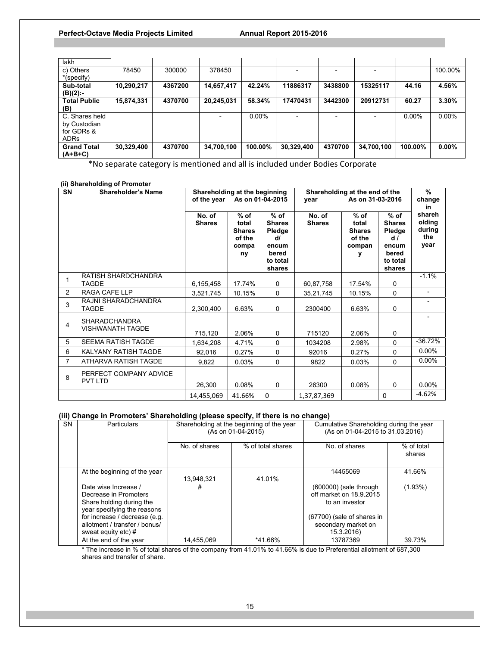| lakh                |            |         |            |          |            |         |            |          |          |
|---------------------|------------|---------|------------|----------|------------|---------|------------|----------|----------|
| c) Others           | 78450      | 300000  | 378450     |          |            |         |            |          | 100.00%  |
| *(specify)          |            |         |            |          |            |         |            |          |          |
| Sub-total           | 10,290,217 | 4367200 | 14,657,417 | 42.24%   | 11886317   | 3438800 | 15325117   | 44.16    | 4.56%    |
| (B)(2):-            |            |         |            |          |            |         |            |          |          |
| <b>Total Public</b> | 15,874,331 | 4370700 | 20,245,031 | 58.34%   | 17470431   | 3442300 | 20912731   | 60.27    | 3.30%    |
| (B)                 |            |         |            |          |            |         |            |          |          |
| C. Shares held      |            |         |            | $0.00\%$ |            |         |            | $0.00\%$ | $0.00\%$ |
| by Custodian        |            |         |            |          |            |         |            |          |          |
| for GDRs &          |            |         |            |          |            |         |            |          |          |
| <b>ADRs</b>         |            |         |            |          |            |         |            |          |          |
| <b>Grand Total</b>  | 30,329,400 | 4370700 | 34,700,100 | 100.00%  | 30.329.400 | 4370700 | 34,700,100 | 100.00%  | $0.00\%$ |
| $(A+B+C)$           |            |         |            |          |            |         |            |          |          |

\*No separate category is mentioned and all is included under Bodies Corporate

## **(ii) Shareholding of Promoter**

| SN             | <b>Shareholder's Name</b>                       | Shareholding at the beginning<br>of the year |                                                           | As on 01-04-2015                                                                | vear                    | Shareholding at the end of the<br>As on 31-03-2016   |                                                                                 | $\frac{9}{6}$<br>change<br>in             |
|----------------|-------------------------------------------------|----------------------------------------------|-----------------------------------------------------------|---------------------------------------------------------------------------------|-------------------------|------------------------------------------------------|---------------------------------------------------------------------------------|-------------------------------------------|
|                |                                                 | No. of<br><b>Shares</b>                      | $%$ of<br>total<br><b>Shares</b><br>of the<br>compa<br>ny | $%$ of<br><b>Shares</b><br>Pledge<br>d/<br>encum<br>bered<br>to total<br>shares | No. of<br><b>Shares</b> | $%$ of<br>total<br><b>Shares</b><br>of the<br>compan | $%$ of<br><b>Shares</b><br>Pledge<br>d/<br>encum<br>bered<br>to total<br>shares | shareh<br>olding<br>during<br>the<br>year |
| 1              | RATISH SHARDCHANDRA<br><b>TAGDE</b>             | 6,155,458                                    | 17.74%                                                    | 0                                                                               | 60,87,758               | 17.54%                                               | 0                                                                               | $-1.1%$                                   |
| $\overline{2}$ | RAGA CAFE LLP                                   | 3,521,745                                    | 10.15%                                                    | 0                                                                               | 35,21,745               | 10.15%                                               | 0                                                                               | $\overline{\phantom{a}}$                  |
| 3              | RAJNI SHARADCHANDRA<br><b>TAGDE</b>             | 2,300,400                                    | 6.63%                                                     | 0                                                                               | 2300400                 | 6.63%                                                | 0                                                                               |                                           |
| 4              | <b>SHARADCHANDRA</b><br><b>VISHWANATH TAGDE</b> | 715,120                                      | 2.06%                                                     | 0                                                                               | 715120                  | 2.06%                                                | 0                                                                               |                                           |
| 5              | <b>SEEMA RATISH TAGDE</b>                       | 1,634,208                                    | 4.71%                                                     | 0                                                                               | 1034208                 | 2.98%                                                | $\Omega$                                                                        | $-36.72%$                                 |
| 6              | KALYANY RATISH TAGDE                            | 92,016                                       | 0.27%                                                     | 0                                                                               | 92016                   | 0.27%                                                | 0                                                                               | $0.00\%$                                  |
| $\overline{7}$ | ATHARVA RATISH TAGDE                            | 9,822                                        | 0.03%                                                     | 0                                                                               | 9822                    | 0.03%                                                | 0                                                                               | $0.00\%$                                  |
| 8              | PERFECT COMPANY ADVICE<br><b>PVT LTD</b>        | 26,300                                       | 0.08%                                                     | $\mathbf 0$                                                                     | 26300                   | 0.08%                                                | $\Omega$                                                                        | $0.00\%$                                  |
|                |                                                 | 14,455,069                                   | 41.66%                                                    | 0                                                                               | 1,37,87,369             |                                                      | 0                                                                               | $-4.62%$                                  |

## **(iii) Change in Promoters' Shareholding (please specify, if there is no change)**

| <b>SN</b> | Particulars                                                                                                                                                                                         | Shareholding at the beginning of the year<br>(As on 01-04-2015) |                   | Cumulative Shareholding during the year<br>(As on 01-04-2015 to 31.03.2016)                                                              |                      |
|-----------|-----------------------------------------------------------------------------------------------------------------------------------------------------------------------------------------------------|-----------------------------------------------------------------|-------------------|------------------------------------------------------------------------------------------------------------------------------------------|----------------------|
|           |                                                                                                                                                                                                     | No. of shares                                                   | % of total shares | No. of shares                                                                                                                            | % of total<br>shares |
|           | At the beginning of the year                                                                                                                                                                        | 13.948.321                                                      | 41.01%            | 14455069                                                                                                                                 | 41.66%               |
|           | Date wise Increase /<br>Decrease in Promoters<br>Share holding during the<br>year specifying the reasons<br>for increase / decrease (e.g.<br>allotment / transfer / bonus/<br>sweat equity etc) $#$ | #                                                               |                   | $(600000)$ (sale through<br>off market on 18.9.2015<br>to an investor<br>(67700) (sale of shares in<br>secondary market on<br>15.3.2016) | (1.93%)              |
|           | At the end of the year                                                                                                                                                                              | 14.455.069                                                      | *41.66%           | 13787369                                                                                                                                 | 39.73%               |

\* The increase in % of total shares of the company from 41.01% to 41.66% is due to Preferential allotment of 687,300 shares and transfer of share.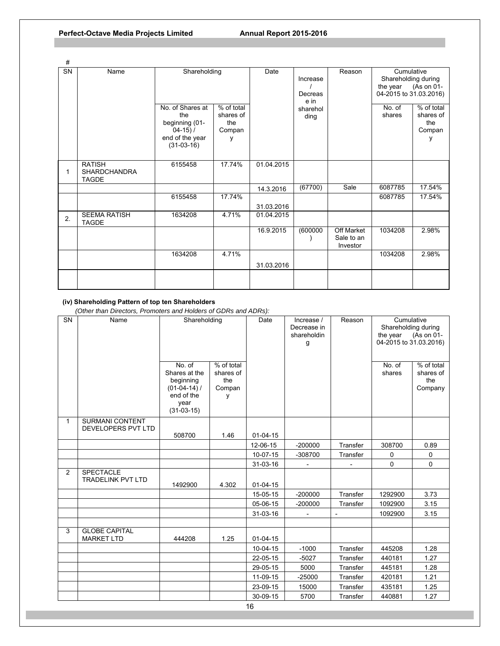| #                      |                                                      |                                                                                            |                                               |            |                             |                                             |                                                                         |                                               |
|------------------------|------------------------------------------------------|--------------------------------------------------------------------------------------------|-----------------------------------------------|------------|-----------------------------|---------------------------------------------|-------------------------------------------------------------------------|-----------------------------------------------|
| $\overline{\text{SN}}$ | Name                                                 | Shareholding                                                                               |                                               | Date       | Increase<br>Decreas<br>e in | Reason                                      | Cumulative<br>Shareholding during<br>the year<br>04-2015 to 31.03.2016) | (As on 01-                                    |
|                        |                                                      | No. of Shares at<br>the<br>beginning (01-<br>$04-15) /$<br>end of the year<br>$(31-03-16)$ | % of total<br>shares of<br>the<br>Compan<br>۷ |            | sharehol<br>ding            |                                             | No. of<br>shares                                                        | % of total<br>shares of<br>the<br>Compan<br>y |
| 1                      | <b>RATISH</b><br><b>SHARDCHANDRA</b><br><b>TAGDE</b> | 6155458                                                                                    | 17.74%                                        | 01.04.2015 |                             |                                             |                                                                         |                                               |
|                        |                                                      |                                                                                            |                                               | 14.3.2016  | (67700)                     | Sale                                        | 6087785                                                                 | 17.54%                                        |
|                        |                                                      | 6155458                                                                                    | 17.74%                                        | 31.03.2016 |                             |                                             | 6087785                                                                 | 17.54%                                        |
| 2.                     | <b>SEEMA RATISH</b><br><b>TAGDE</b>                  | 1634208                                                                                    | 4.71%                                         | 01.04.2015 |                             |                                             |                                                                         |                                               |
|                        |                                                      |                                                                                            |                                               | 16.9.2015  | (600000)                    | <b>Off Market</b><br>Sale to an<br>Investor | 1034208                                                                 | 2.98%                                         |
|                        |                                                      | 1634208                                                                                    | 4.71%                                         | 31.03.2016 |                             |                                             | 1034208                                                                 | 2.98%                                         |
|                        |                                                      |                                                                                            |                                               |            |                             |                                             |                                                                         |                                               |

# **(iv) Shareholding Pattern of top ten Shareholders**

 *(Other than Directors, Promoters and Holders of GDRs and ADRs):* 

| SN           | Name                                         | Shareholding                                                                                 |                                               | Date           | Increase /<br>Decrease in<br>shareholdin<br>g | Reason   | Cumulative<br>Shareholding during<br>the year<br>04-2015 to 31.03.2016) | (As on 01-                                |
|--------------|----------------------------------------------|----------------------------------------------------------------------------------------------|-----------------------------------------------|----------------|-----------------------------------------------|----------|-------------------------------------------------------------------------|-------------------------------------------|
|              |                                              | No. of<br>Shares at the<br>beginning<br>$(01-04-14)$ /<br>end of the<br>year<br>$(31-03-15)$ | % of total<br>shares of<br>the<br>Compan<br>y |                |                                               |          | No. of<br>shares                                                        | % of total<br>shares of<br>the<br>Company |
| $\mathbf{1}$ | <b>SURMANI CONTENT</b>                       |                                                                                              |                                               |                |                                               |          |                                                                         |                                           |
|              | DEVELOPERS PVT LTD                           | 508700                                                                                       | 1.46                                          | $01 - 04 - 15$ |                                               |          |                                                                         |                                           |
|              |                                              |                                                                                              |                                               | 12-06-15       | $-200000$                                     | Transfer | 308700                                                                  | 0.89                                      |
|              |                                              |                                                                                              |                                               | 10-07-15       | -308700                                       | Transfer | 0                                                                       | $\mathbf 0$                               |
|              |                                              |                                                                                              |                                               | $31 - 03 - 16$ |                                               |          | $\Omega$                                                                | $\Omega$                                  |
| 2            | <b>SPECTACLE</b><br><b>TRADELINK PVT LTD</b> | 1492900                                                                                      | 4.302                                         | $01 - 04 - 15$ |                                               |          |                                                                         |                                           |
|              |                                              |                                                                                              |                                               | 15-05-15       | $-200000$                                     | Transfer | 1292900                                                                 | 3.73                                      |
|              |                                              |                                                                                              |                                               | 05-06-15       | $-200000$                                     | Transfer | 1092900                                                                 | 3.15                                      |
|              |                                              |                                                                                              |                                               | 31-03-16       |                                               |          | 1092900                                                                 | 3.15                                      |
|              |                                              |                                                                                              |                                               |                |                                               |          |                                                                         |                                           |
| 3            | <b>GLOBE CAPITAL</b><br><b>MARKET LTD</b>    | 444208                                                                                       | 1.25                                          | $01 - 04 - 15$ |                                               |          |                                                                         |                                           |
|              |                                              |                                                                                              |                                               | 10-04-15       | $-1000$                                       | Transfer | 445208                                                                  | 1.28                                      |
|              |                                              |                                                                                              |                                               | 22-05-15       | $-5027$                                       | Transfer | 440181                                                                  | 1.27                                      |
|              |                                              |                                                                                              |                                               | 29-05-15       | 5000                                          | Transfer | 445181                                                                  | 1.28                                      |
|              |                                              |                                                                                              |                                               | 11-09-15       | $-25000$                                      | Transfer | 420181                                                                  | 1.21                                      |
|              |                                              |                                                                                              |                                               | 23-09-15       | 15000                                         | Transfer | 435181                                                                  | 1.25                                      |
|              |                                              |                                                                                              |                                               | 30-09-15       | 5700                                          | Transfer | 440881                                                                  | 1.27                                      |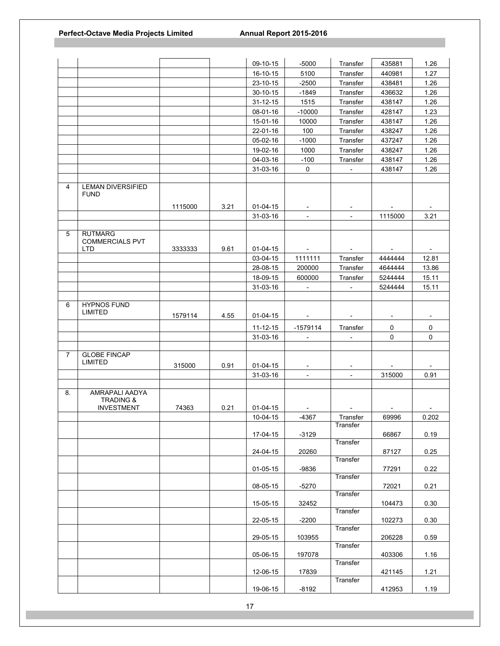|                |                                                             |         |      | 09-10-15       | $-5000$                  | Transfer                 | 435881                   | 1.26                     |
|----------------|-------------------------------------------------------------|---------|------|----------------|--------------------------|--------------------------|--------------------------|--------------------------|
|                |                                                             |         |      | 16-10-15       | 5100                     | Transfer                 | 440981                   | 1.27                     |
|                |                                                             |         |      | 23-10-15       | $-2500$                  | Transfer                 | 438481                   | 1.26                     |
|                |                                                             |         |      | 30-10-15       | $-1849$                  | Transfer                 | 436632                   | 1.26                     |
|                |                                                             |         |      | $31 - 12 - 15$ | 1515                     | Transfer                 | 438147                   | 1.26                     |
|                |                                                             |         |      | 08-01-16       | $-10000$                 | Transfer                 | 428147                   | 1.23                     |
|                |                                                             |         |      | 15-01-16       | 10000                    | Transfer                 | 438147                   | 1.26                     |
|                |                                                             |         |      | 22-01-16       | 100                      | Transfer                 | 438247                   | 1.26                     |
|                |                                                             |         |      | 05-02-16       | $-1000$                  | Transfer                 | 437247                   | 1.26                     |
|                |                                                             |         |      | 19-02-16       | 1000                     | Transfer                 | 438247                   | 1.26                     |
|                |                                                             |         |      | 04-03-16       | $-100$                   | Transfer                 | 438147                   | 1.26                     |
|                |                                                             |         |      | 31-03-16       | $\mathbf 0$              | $\overline{\phantom{a}}$ | 438147                   | 1.26                     |
|                |                                                             |         |      |                |                          |                          |                          |                          |
| 4              | <b>LEMAN DIVERSIFIED</b><br><b>FUND</b>                     |         |      |                |                          |                          |                          |                          |
|                |                                                             | 1115000 | 3.21 | $01 - 04 - 15$ |                          | $\overline{\phantom{a}}$ |                          |                          |
|                |                                                             |         |      | 31-03-16       | $\blacksquare$           | $\overline{\phantom{a}}$ | 1115000                  | 3.21                     |
|                |                                                             |         |      |                |                          |                          |                          |                          |
| 5              | <b>RUTMARG</b><br><b>COMMERCIALS PVT</b><br><b>LTD</b>      | 3333333 | 9.61 | $01 - 04 - 15$ |                          |                          |                          |                          |
|                |                                                             |         |      | 03-04-15       | 1111111                  | Transfer                 | 4444444                  | 12.81                    |
|                |                                                             |         |      | 28-08-15       | 200000                   | Transfer                 | 4644444                  | 13.86                    |
|                |                                                             |         |      | 18-09-15       | 600000                   | Transfer                 | 5244444                  | 15.11                    |
|                |                                                             |         |      | 31-03-16       | $\overline{\phantom{a}}$ | $\overline{\phantom{a}}$ | 5244444                  | 15.11                    |
|                |                                                             |         |      |                |                          |                          |                          |                          |
| 6              | <b>HYPNOS FUND</b><br><b>LIMITED</b>                        | 1579114 | 4.55 | $01 - 04 - 15$ | $\overline{\phantom{a}}$ | $\overline{\phantom{a}}$ | $\overline{\phantom{a}}$ | $\overline{\phantom{a}}$ |
|                |                                                             |         |      | 11-12-15       | $-1579114$               | Transfer                 | 0                        | $\mathbf 0$              |
|                |                                                             |         |      | 31-03-16       |                          |                          | 0                        | $\mathbf 0$              |
|                |                                                             |         |      |                |                          |                          |                          |                          |
| $\overline{7}$ | <b>GLOBE FINCAP</b>                                         |         |      |                |                          |                          |                          |                          |
|                | LIMITED                                                     | 315000  | 0.91 | $01 - 04 - 15$ |                          |                          |                          |                          |
|                |                                                             |         |      | 31-03-16       | $\blacksquare$           | $\blacksquare$           | 315000                   | 0.91                     |
|                |                                                             |         |      |                |                          |                          |                          |                          |
| 8.             | AMRAPALI AADYA<br><b>TRADING &amp;</b><br><b>INVESTMENT</b> | 74363   | 0.21 | 01-04-15       |                          |                          |                          |                          |
|                |                                                             |         |      | 10-04-15       | $-4367$                  | Transfer                 | 69996                    | 0.202                    |
|                |                                                             |         |      |                |                          | Transfer                 |                          |                          |
|                |                                                             |         |      | 17-04-15       | $-3129$                  |                          | 66867                    | 0.19                     |
|                |                                                             |         |      | 24-04-15       | 20260                    | Transfer                 | 87127                    | 0.25                     |
|                |                                                             |         |      | $01 - 05 - 15$ | $-9836$                  | Transfer                 | 77291                    | 0.22                     |
|                |                                                             |         |      | 08-05-15       | $-5270$                  | Transfer<br>Transfer     | 72021                    | 0.21                     |
|                |                                                             |         |      | 15-05-15       | 32452                    | Transfer                 | 104473                   | 0.30                     |
|                |                                                             |         |      | 22-05-15       | $-2200$                  | Transfer                 | 102273                   | 0.30                     |
|                |                                                             |         |      | 29-05-15       | 103955                   | Transfer                 | 206228                   | 0.59                     |
|                |                                                             |         |      | 05-06-15       | 197078                   | Transfer                 | 403306                   | 1.16                     |
|                |                                                             |         |      | 12-06-15       | 17839                    | Transfer                 | 421145                   | 1.21                     |
|                |                                                             |         |      | 19-06-15       | $-8192$                  |                          | 412953                   | 1.19                     |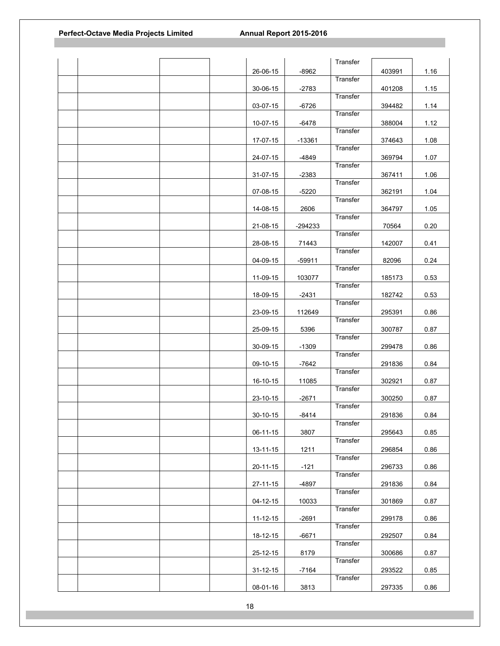|  |  |                |          | Transfer |        |      |
|--|--|----------------|----------|----------|--------|------|
|  |  | 26-06-15       | $-8962$  | Transfer | 403991 | 1.16 |
|  |  | $30 - 06 - 15$ | $-2783$  |          |        | 1.15 |
|  |  |                |          | Transfer | 401208 |      |
|  |  | 03-07-15       | $-6726$  |          | 394482 | 1.14 |
|  |  |                |          | Transfer |        |      |
|  |  | 10-07-15       | $-6478$  |          | 388004 | 1.12 |
|  |  |                |          | Transfer |        |      |
|  |  | 17-07-15       | $-13361$ |          | 374643 | 1.08 |
|  |  |                |          | Transfer |        |      |
|  |  | 24-07-15       | $-4849$  |          | 369794 | 1.07 |
|  |  |                |          | Transfer |        |      |
|  |  | 31-07-15       | $-2383$  |          | 367411 | 1.06 |
|  |  |                |          | Transfer |        |      |
|  |  | 07-08-15       | $-5220$  |          | 362191 | 1.04 |
|  |  |                |          | Transfer |        |      |
|  |  | 14-08-15       | 2606     |          | 364797 | 1.05 |
|  |  |                |          | Transfer |        |      |
|  |  | 21-08-15       | -294233  |          | 70564  | 0.20 |
|  |  |                |          | Transfer |        |      |
|  |  | 28-08-15       | 71443    |          | 142007 | 0.41 |
|  |  |                |          | Transfer |        |      |
|  |  | 04-09-15       | $-59911$ |          | 82096  | 0.24 |
|  |  |                |          | Transfer |        |      |
|  |  | 11-09-15       | 103077   |          | 185173 | 0.53 |
|  |  |                |          | Transfer |        |      |
|  |  | 18-09-15       | $-2431$  |          | 182742 | 0.53 |
|  |  |                |          | Transfer |        |      |
|  |  | 23-09-15       | 112649   |          | 295391 | 0.86 |
|  |  |                |          | Transfer |        |      |
|  |  | 25-09-15       | 5396     |          | 300787 | 0.87 |
|  |  |                |          | Transfer |        |      |
|  |  | 30-09-15       | $-1309$  |          | 299478 | 0.86 |
|  |  |                |          | Transfer |        |      |
|  |  | 09-10-15       | $-7642$  |          | 291836 | 0.84 |
|  |  |                |          | Transfer |        |      |
|  |  | 16-10-15       | 11085    |          | 302921 | 0.87 |
|  |  |                |          | Transfer |        |      |
|  |  | 23-10-15       | $-2671$  |          | 300250 | 0.87 |
|  |  |                |          | Transfer |        |      |
|  |  | 30-10-15       | $-8414$  | Transfer | 291836 | 0.84 |
|  |  |                |          |          |        | 0.85 |
|  |  | 06-11-15       | 3807     | Transfer | 295643 |      |
|  |  | $13 - 11 - 15$ | 1211     |          | 296854 | 0.86 |
|  |  |                |          | Transfer |        |      |
|  |  | 20-11-15       | $-121$   |          | 296733 | 0.86 |
|  |  |                |          | Transfer |        |      |
|  |  | 27-11-15       | -4897    |          | 291836 | 0.84 |
|  |  |                |          | Transfer |        |      |
|  |  | 04-12-15       | 10033    |          | 301869 | 0.87 |
|  |  |                |          | Transfer |        |      |
|  |  | $11 - 12 - 15$ | $-2691$  |          | 299178 | 0.86 |
|  |  |                |          | Transfer |        |      |
|  |  | 18-12-15       | $-6671$  |          | 292507 | 0.84 |
|  |  |                |          | Transfer |        |      |
|  |  | 25-12-15       | 8179     |          | 300686 | 0.87 |
|  |  |                |          | Transfer |        |      |
|  |  | $31 - 12 - 15$ | $-7164$  |          | 293522 | 0.85 |
|  |  |                |          | Transfer |        |      |
|  |  | 08-01-16       | 3813     |          | 297335 | 0.86 |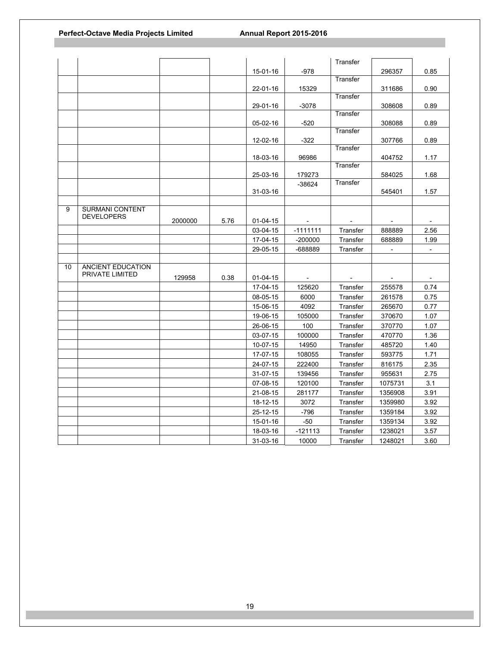|    |                        |         |      |                |                | Transfer |                |                          |
|----|------------------------|---------|------|----------------|----------------|----------|----------------|--------------------------|
|    |                        |         |      | 15-01-16       | $-978$         |          | 296357         | 0.85                     |
|    |                        |         |      |                |                | Transfer |                |                          |
|    |                        |         |      | 22-01-16       | 15329          |          | 311686         | 0.90                     |
|    |                        |         |      |                |                | Transfer |                |                          |
|    |                        |         |      | 29-01-16       | $-3078$        |          | 308608         | 0.89                     |
|    |                        |         |      |                |                | Transfer |                |                          |
|    |                        |         |      | 05-02-16       | $-520$         |          | 308088         | 0.89                     |
|    |                        |         |      |                |                | Transfer |                |                          |
|    |                        |         |      | 12-02-16       | $-322$         | Transfer | 307766         | 0.89                     |
|    |                        |         |      | 18-03-16       | 96986          |          | 404752         | 1.17                     |
|    |                        |         |      |                |                | Transfer |                |                          |
|    |                        |         |      | 25-03-16       | 179273         |          | 584025         | 1.68                     |
|    |                        |         |      |                | $-38624$       | Transfer |                |                          |
|    |                        |         |      | 31-03-16       |                |          | 545401         | 1.57                     |
|    |                        |         |      |                |                |          |                |                          |
| 9  | <b>SURMANI CONTENT</b> |         |      |                |                |          |                |                          |
|    | <b>DEVELOPERS</b>      | 2000000 | 5.76 | $01 - 04 - 15$ |                |          |                | $\blacksquare$           |
|    |                        |         |      | 03-04-15       | $-1111111$     | Transfer | 888889         | 2.56                     |
|    |                        |         |      | 17-04-15       | $-200000$      | Transfer | 688889         | 1.99                     |
|    |                        |         |      | 29-05-15       | -688889        | Transfer |                | $\blacksquare$           |
|    |                        |         |      |                |                |          |                |                          |
| 10 | ANCIENT EDUCATION      |         |      |                |                |          |                |                          |
|    | PRIVATE LIMITED        | 129958  | 0.38 | $01 - 04 - 15$ | $\blacksquare$ |          | $\blacksquare$ | $\overline{\phantom{a}}$ |
|    |                        |         |      | 17-04-15       | 125620         | Transfer | 255578         | 0.74                     |
|    |                        |         |      | 08-05-15       | 6000           | Transfer | 261578         | 0.75                     |
|    |                        |         |      | 15-06-15       | 4092           | Transfer | 265670         | 0.77                     |
|    |                        |         |      | 19-06-15       | 105000         | Transfer | 370670         | 1.07                     |
|    |                        |         |      | 26-06-15       | 100            | Transfer | 370770         | 1.07                     |
|    |                        |         |      | 03-07-15       | 100000         | Transfer | 470770         | 1.36                     |
|    |                        |         |      | 10-07-15       | 14950          | Transfer | 485720         | 1.40                     |
|    |                        |         |      | 17-07-15       | 108055         | Transfer | 593775         | 1.71                     |
|    |                        |         |      | 24-07-15       | 222400         | Transfer | 816175         | 2.35                     |
|    |                        |         |      | 31-07-15       | 139456         | Transfer | 955631         | 2.75                     |
|    |                        |         |      | 07-08-15       | 120100         | Transfer | 1075731        | 3.1                      |
|    |                        |         |      | 21-08-15       | 281177         | Transfer | 1356908        | 3.91                     |
|    |                        |         |      |                |                |          |                |                          |
|    |                        |         |      | 18-12-15       | 3072           | Transfer | 1359980        | 3.92                     |
|    |                        |         |      | 25-12-15       | $-796$         | Transfer | 1359184        | 3.92                     |
|    |                        |         |      | 15-01-16       | $-50$          | Transfer | 1359134        | 3.92                     |
|    |                        |         |      | 18-03-16       | $-121113$      | Transfer | 1238021        | 3.57                     |
|    |                        |         |      | 31-03-16       | 10000          | Transfer | 1248021        | 3.60                     |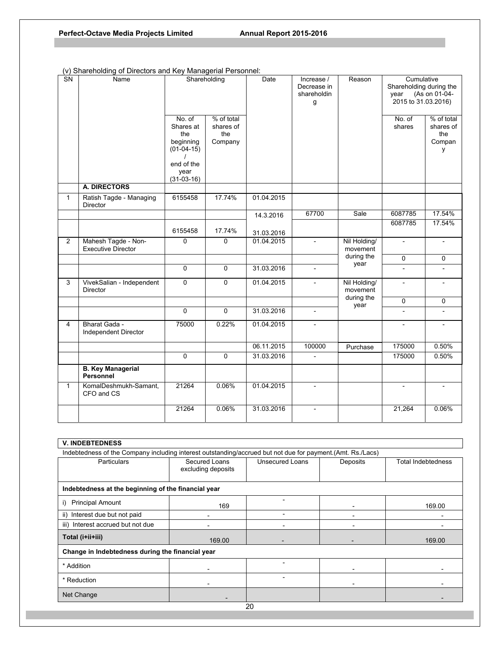| <b>SN</b>      | Name                                             | Shareholding                            |                                           | Date       | Increase /<br>Decrease in<br>shareholdin<br>g | Reason                   | Cumulative<br>Shareholding during the<br>year<br>2015 to 31.03.2016) | (As on 01-04-                            |
|----------------|--------------------------------------------------|-----------------------------------------|-------------------------------------------|------------|-----------------------------------------------|--------------------------|----------------------------------------------------------------------|------------------------------------------|
|                |                                                  | No. of<br>Shares at<br>the<br>beginning | % of total<br>shares of<br>the<br>Company |            |                                               |                          | No. of<br>shares                                                     | % of total<br>shares of<br>the<br>Compan |
|                |                                                  | $(01-04-15)$<br>end of the              |                                           |            |                                               |                          |                                                                      | y                                        |
|                |                                                  | year<br>$(31-03-16)$                    |                                           |            |                                               |                          |                                                                      |                                          |
|                | A. DIRECTORS                                     |                                         |                                           |            |                                               |                          |                                                                      |                                          |
| 1              | Ratish Tagde - Managing<br>Director              | 6155458                                 | 17.74%                                    | 01.04.2015 |                                               |                          |                                                                      |                                          |
|                |                                                  |                                         |                                           | 14.3.2016  | 67700                                         | Sale                     | 6087785                                                              | 17.54%                                   |
|                |                                                  | 6155458                                 | 17.74%                                    | 31.03.2016 |                                               |                          | 6087785                                                              | 17.54%                                   |
| $\overline{2}$ | Mahesh Tagde - Non-<br><b>Executive Director</b> | $\Omega$                                | $\Omega$                                  | 01.04.2015 | $\overline{\phantom{a}}$                      | Nil Holding/<br>movement | $\overline{\phantom{a}}$                                             |                                          |
|                |                                                  |                                         |                                           |            |                                               | during the<br>year       | $\mathbf 0$                                                          | 0                                        |
|                |                                                  | $\Omega$                                | $\mathbf{0}$                              | 31.03.2016 | $\overline{a}$                                |                          |                                                                      |                                          |
| 3              | VivekSalian - Independent<br><b>Director</b>     | $\Omega$                                | $\mathbf{0}$                              | 01.04.2015 | $\overline{\phantom{a}}$                      | Nil Holding/<br>movement | $\overline{\phantom{0}}$                                             |                                          |
|                |                                                  |                                         |                                           |            |                                               | during the<br>year       | $\Omega$                                                             | 0                                        |
|                |                                                  | $\Omega$                                | $\mathbf{0}$                              | 31.03.2016 | $\overline{\phantom{0}}$                      |                          | $\overline{\phantom{0}}$                                             | $\overline{a}$                           |
| 4              | Bharat Gada -<br>Independent Director            | 75000                                   | 0.22%                                     | 01.04.2015 | $\overline{a}$                                |                          |                                                                      |                                          |
|                |                                                  |                                         |                                           | 06.11.2015 | 100000                                        | Purchase                 | 175000                                                               | 0.50%                                    |
|                |                                                  | $\Omega$                                | $\mathbf 0$                               | 31.03.2016 |                                               |                          | 175000                                                               | 0.50%                                    |
|                | <b>B. Key Managerial</b><br><b>Personnel</b>     |                                         |                                           |            |                                               |                          |                                                                      |                                          |
| $\mathbf{1}$   | KomalDeshmukh-Samant,<br>CFO and CS              | 21264                                   | 0.06%                                     | 01.04.2015 | $\overline{\phantom{a}}$                      |                          | $\blacksquare$                                                       | $\blacksquare$                           |
|                |                                                  | 21264                                   | 0.06%                                     | 31.03.2016 | $\blacksquare$                                |                          | 21,264                                                               | 0.06%                                    |

# (v) Shareholding of Directors and Key Managerial Personnel:

| <b>V. INDEBTEDNESS</b>                                                                                     |                                     |                 |          |                    |  |  |
|------------------------------------------------------------------------------------------------------------|-------------------------------------|-----------------|----------|--------------------|--|--|
| Indebtedness of the Company including interest outstanding/accrued but not due for payment.(Amt. Rs./Lacs) |                                     |                 |          |                    |  |  |
| <b>Particulars</b>                                                                                         | Secured Loans<br>excluding deposits | Unsecured Loans | Deposits | Total Indebtedness |  |  |
| Indebtedness at the beginning of the financial year                                                        |                                     |                 |          |                    |  |  |
| <b>Principal Amount</b><br>i)                                                                              | 169                                 |                 |          | 169.00             |  |  |
| ii) Interest due but not paid                                                                              |                                     |                 |          |                    |  |  |
| iii) Interest accrued but not due                                                                          |                                     |                 |          |                    |  |  |
| Total (i+ii+iii)                                                                                           | 169.00                              |                 |          | 169.00             |  |  |
| Change in Indebtedness during the financial year                                                           |                                     |                 |          |                    |  |  |
| * Addition                                                                                                 |                                     |                 |          |                    |  |  |
| * Reduction                                                                                                |                                     |                 |          |                    |  |  |
| Net Change                                                                                                 |                                     |                 |          |                    |  |  |
| 20                                                                                                         |                                     |                 |          |                    |  |  |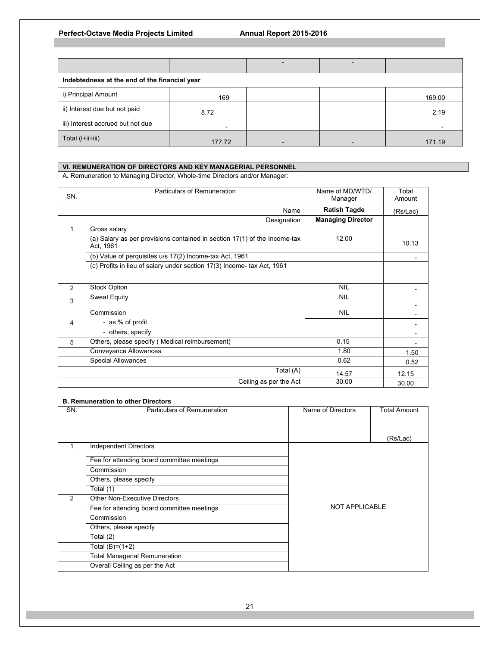| Indebtedness at the end of the financial year |        |  |  |        |  |
|-----------------------------------------------|--------|--|--|--------|--|
| i) Principal Amount                           | 169    |  |  | 169.00 |  |
| ii) Interest due but not paid                 | 8.72   |  |  | 2.19   |  |
| iii) Interest accrued but not due             |        |  |  |        |  |
| Total (i+ii+iii)                              | 177.72 |  |  | 171.19 |  |

## **VI. REMUNERATION OF DIRECTORS AND KEY MANAGERIAL PERSONNEL**

A**.** Remuneration to Managing Director, Whole-time Directors and/or Manager:

| SN. | <b>Particulars of Remuneration</b>                                                     | Name of MD/WTD/<br>Manager | Total<br>Amount |
|-----|----------------------------------------------------------------------------------------|----------------------------|-----------------|
|     | Name                                                                                   | <b>Ratish Tagde</b>        | (Rs/Lac)        |
|     | Designation                                                                            | <b>Managing Director</b>   |                 |
| 1   | Gross salary                                                                           |                            |                 |
|     | (a) Salary as per provisions contained in section 17(1) of the Income-tax<br>Act, 1961 | 12.00                      | 10.13           |
|     | (b) Value of perquisites u/s 17(2) Income-tax Act, 1961                                |                            |                 |
|     | (c) Profits in lieu of salary under section 17(3) Income- tax Act, 1961                |                            |                 |
| 2   | <b>Stock Option</b>                                                                    | <b>NIL</b>                 |                 |
| 3   | <b>Sweat Equity</b>                                                                    | <b>NIL</b>                 |                 |
|     | Commission                                                                             | <b>NIL</b>                 |                 |
| 4   | - as % of profit                                                                       |                            |                 |
|     | - others, specify                                                                      |                            |                 |
| 5   | Others, please specify (Medical reimbursement)                                         | 0.15                       |                 |
|     | Conveyance Allowances                                                                  | 1.80                       | 1.50            |
|     | <b>Special Allowances</b>                                                              | 0.62                       | 0.52            |
|     | Total (A)                                                                              | 14.57                      | 12.15           |
|     | Ceiling as per the Act                                                                 | 30.00                      | 30.00           |

## **B. Remuneration to other Directors**

| SN. | Particulars of Remuneration                | Name of Directors | <b>Total Amount</b> |
|-----|--------------------------------------------|-------------------|---------------------|
|     |                                            |                   |                     |
|     |                                            |                   | (Rs/Lac)            |
|     | <b>Independent Directors</b>               |                   |                     |
|     | Fee for attending board committee meetings |                   |                     |
|     | Commission                                 |                   |                     |
|     | Others, please specify                     |                   |                     |
|     | Total (1)                                  |                   |                     |
| 2   | <b>Other Non-Executive Directors</b>       |                   |                     |
|     | Fee for attending board committee meetings | NOT APPLICABLE    |                     |
|     | Commission                                 |                   |                     |
|     | Others, please specify                     |                   |                     |
|     | Total (2)                                  |                   |                     |
|     | Total $(B)=(1+2)$                          |                   |                     |
|     | <b>Total Managerial Remuneration</b>       |                   |                     |
|     | Overall Ceiling as per the Act             |                   |                     |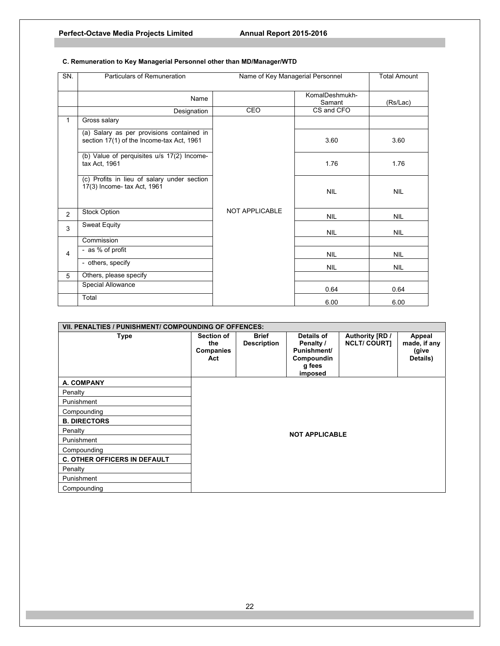| SN.            | Particulars of Remuneration<br>Name of Key Managerial Personnel                        |                       |                          | <b>Total Amount</b> |
|----------------|----------------------------------------------------------------------------------------|-----------------------|--------------------------|---------------------|
|                | Name                                                                                   |                       | KomalDeshmukh-<br>Samant | (Rs/Lac)            |
|                | Designation                                                                            | CEO                   | CS and CFO               |                     |
| $\mathbf{1}$   | Gross salary                                                                           |                       |                          |                     |
|                | (a) Salary as per provisions contained in<br>section 17(1) of the Income-tax Act, 1961 |                       | 3.60                     | 3.60                |
|                | (b) Value of perquisites u/s 17(2) Income-<br>tax Act, 1961                            |                       | 1.76                     | 1.76                |
|                | (c) Profits in lieu of salary under section<br>17(3) Income- tax Act, 1961             |                       | <b>NIL</b>               | <b>NIL</b>          |
| $\overline{2}$ | Stock Option                                                                           | <b>NOT APPLICABLE</b> | <b>NIL</b>               | <b>NIL</b>          |
| 3              | <b>Sweat Equity</b>                                                                    |                       | <b>NIL</b>               | <b>NIL</b>          |
|                | Commission                                                                             |                       |                          |                     |
| $\overline{4}$ | - as % of profit                                                                       |                       | <b>NIL</b>               | <b>NIL</b>          |
|                | - others, specify                                                                      |                       | <b>NIL</b>               | <b>NIL</b>          |
| 5              | Others, please specify                                                                 |                       |                          |                     |
|                | Special Allowance                                                                      |                       | 0.64                     | 0.64                |
|                | Total                                                                                  |                       | 6.00                     | 6.00                |

# **C. Remuneration to Key Managerial Personnel other than MD/Manager/WTD**

| VII. PENALTIES / PUNISHMENT/ COMPOUNDING OF OFFENCES: |                                       |                                    |                                                                                  |                                       |                                             |
|-------------------------------------------------------|---------------------------------------|------------------------------------|----------------------------------------------------------------------------------|---------------------------------------|---------------------------------------------|
| Type                                                  | Section of<br>the<br>Companies<br>Act | <b>Brief</b><br><b>Description</b> | Details of<br>Penalty /<br><b>Punishment/</b><br>Compoundin<br>g fees<br>imposed | Authority [RD /<br><b>NCLT/COURT]</b> | Appeal<br>made, if any<br>(give<br>Details) |
| A. COMPANY                                            |                                       |                                    |                                                                                  |                                       |                                             |
| Penalty                                               |                                       |                                    |                                                                                  |                                       |                                             |
| Punishment                                            |                                       |                                    |                                                                                  |                                       |                                             |
| Compounding                                           |                                       |                                    |                                                                                  |                                       |                                             |
| <b>B. DIRECTORS</b>                                   |                                       |                                    |                                                                                  |                                       |                                             |
| Penalty                                               |                                       |                                    | <b>NOT APPLICABLE</b>                                                            |                                       |                                             |
| Punishment                                            |                                       |                                    |                                                                                  |                                       |                                             |
| Compounding                                           |                                       |                                    |                                                                                  |                                       |                                             |
| <b>C. OTHER OFFICERS IN DEFAULT</b>                   |                                       |                                    |                                                                                  |                                       |                                             |
| Penalty                                               |                                       |                                    |                                                                                  |                                       |                                             |
| Punishment                                            |                                       |                                    |                                                                                  |                                       |                                             |
| Compounding                                           |                                       |                                    |                                                                                  |                                       |                                             |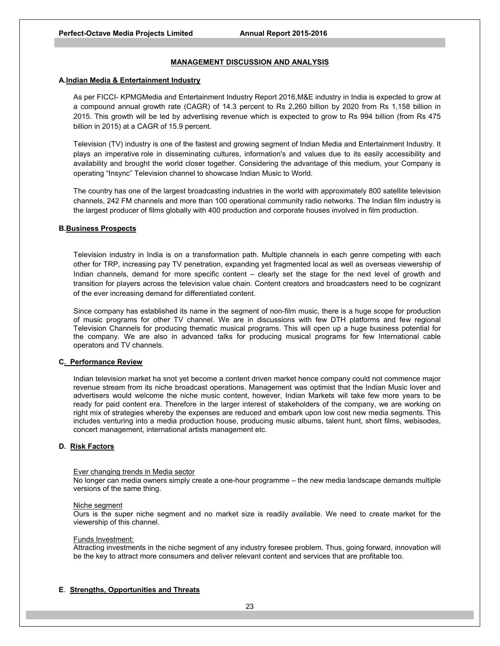## **MANAGEMENT DISCUSSION AND ANALYSIS**

### **A.Indian Media & Entertainment Industry**

As per FICCI- KPMGMedia and Entertainment Industry Report 2016,M&E industry in India is expected to grow at a compound annual growth rate (CAGR) of 14.3 percent to Rs 2,260 billion by 2020 from Rs 1,158 billion in 2015. This growth will be led by advertising revenue which is expected to grow to Rs 994 billion (from Rs 475 billion in 2015) at a CAGR of 15.9 percent.

Television (TV) industry is one of the fastest and growing segment of Indian Media and Entertainment Industry. It plays an imperative role in disseminating cultures, information's and values due to its easily accessibility and availability and brought the world closer together. Considering the advantage of this medium, your Company is operating "Insync" Television channel to showcase Indian Music to World.

 The country has one of the largest broadcasting industries in the world with approximately 800 satellite television channels, 242 FM channels and more than 100 operational community radio networks. The Indian film industry is the largest producer of films globally with 400 production and corporate houses involved in film production.

### **B.Business Prospects**

Television industry in India is on a transformation path. Multiple channels in each genre competing with each other for TRP, increasing pay TV penetration, expanding yet fragmented local as well as overseas viewership of Indian channels, demand for more specific content – clearly set the stage for the next level of growth and transition for players across the television value chain. Content creators and broadcasters need to be cognizant of the ever increasing demand for differentiated content.

Since company has established its name in the segment of non-film music, there is a huge scope for production of music programs for other TV channel. We are in discussions with few DTH platforms and few regional Television Channels for producing thematic musical programs. This will open up a huge business potential for the company. We are also in advanced talks for producing musical programs for few International cable operators and TV channels.

### **C. Performance Review**

Indian television market ha snot yet become a content driven market hence company could not commence major revenue stream from its niche broadcast operations. Management was optimist that the Indian Music lover and advertisers would welcome the niche music content, however, Indian Markets will take few more years to be ready for paid content era. Therefore in the larger interest of stakeholders of the company, we are working on right mix of strategies whereby the expenses are reduced and embark upon low cost new media segments. This includes venturing into a media production house, producing music albums, talent hunt, short films, webisodes, concert management, international artists management etc.

### **D. Risk Factors**

#### Ever changing trends in Media sector

No longer can media owners simply create a one-hour programme – the new media landscape demands multiple versions of the same thing.

#### Niche segment

Ours is the super niche segment and no market size is readily available. We need to create market for the viewership of this channel.

#### Funds Investment:

Attracting investments in the niche segment of any industry foresee problem. Thus, going forward, innovation will be the key to attract more consumers and deliver relevant content and services that are profitable too.

### **E**. **Strengths, Opportunities and Threats**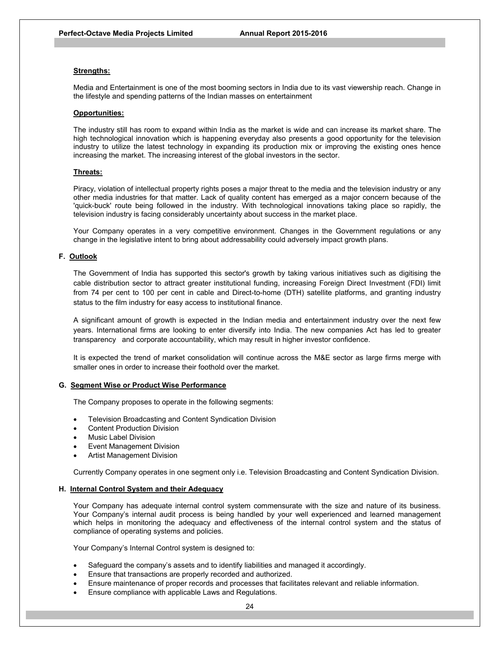#### **Strengths:**

Media and Entertainment is one of the most booming sectors in India due to its vast viewership reach. Change in the lifestyle and spending patterns of the Indian masses on entertainment

#### **Opportunities:**

The industry still has room to expand within India as the market is wide and can increase its market share. The high technological innovation which is happening everyday also presents a good opportunity for the television industry to utilize the latest technology in expanding its production mix or improving the existing ones hence increasing the market. The increasing interest of the global investors in the sector.

#### **Threats:**

Piracy, violation of intellectual property rights poses a major threat to the media and the television industry or any other media industries for that matter. Lack of quality content has emerged as a major concern because of the 'quick-buck' route being followed in the industry. With technological innovations taking place so rapidly, the television industry is facing considerably uncertainty about success in the market place.

Your Company operates in a very competitive environment. Changes in the Government regulations or any change in the legislative intent to bring about addressability could adversely impact growth plans.

## **F. Outlook**

The Government of India has supported this sector's growth by taking various initiatives such as digitising the cable distribution sector to attract greater institutional funding, increasing Foreign Direct Investment (FDI) limit from 74 per cent to 100 per cent in cable and Direct-to-home (DTH) satellite platforms, and granting industry status to the film industry for easy access to institutional finance.

A significant amount of growth is expected in the Indian media and entertainment industry over the next few years. International firms are looking to enter diversify into India. The new companies Act has led to greater transparency and corporate accountability, which may result in higher investor confidence.

It is expected the trend of market consolidation will continue across the M&E sector as large firms merge with smaller ones in order to increase their foothold over the market.

#### **G. Segment Wise or Product Wise Performance**

The Company proposes to operate in the following segments:

- Television Broadcasting and Content Syndication Division
- Content Production Division
- Music Label Division
- Event Management Division
- Artist Management Division

Currently Company operates in one segment only i.e. Television Broadcasting and Content Syndication Division.

#### **H. Internal Control System and their Adequacy**

Your Company has adequate internal control system commensurate with the size and nature of its business. Your Company's internal audit process is being handled by your well experienced and learned management which helps in monitoring the adequacy and effectiveness of the internal control system and the status of compliance of operating systems and policies.

Your Company's Internal Control system is designed to:

- Safeguard the company's assets and to identify liabilities and managed it accordingly.
- Ensure that transactions are properly recorded and authorized.
- Ensure maintenance of proper records and processes that facilitates relevant and reliable information.
- Ensure compliance with applicable Laws and Regulations.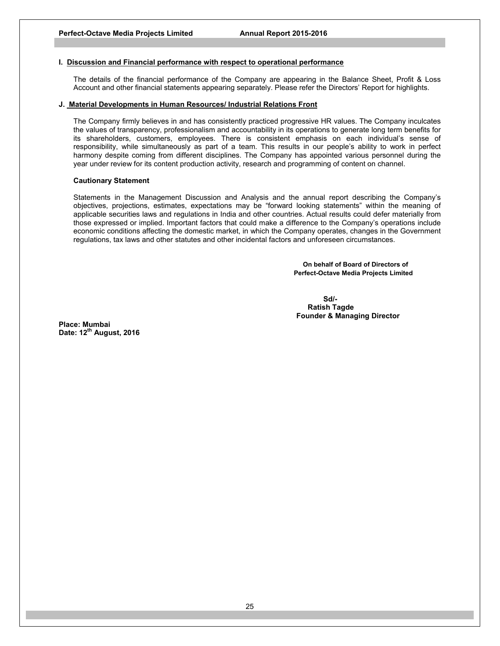### **I. Discussion and Financial performance with respect to operational performance**

The details of the financial performance of the Company are appearing in the Balance Sheet, Profit & Loss Account and other financial statements appearing separately. Please refer the Directors' Report for highlights.

## **J. Material Developments in Human Resources/ Industrial Relations Front**

The Company firmly believes in and has consistently practiced progressive HR values. The Company inculcates the values of transparency, professionalism and accountability in its operations to generate long term benefits for its shareholders, customers, employees. There is consistent emphasis on each individual's sense of responsibility, while simultaneously as part of a team. This results in our people's ability to work in perfect harmony despite coming from different disciplines. The Company has appointed various personnel during the year under review for its content production activity, research and programming of content on channel.

#### **Cautionary Statement**

Statements in the Management Discussion and Analysis and the annual report describing the Company's objectives, projections, estimates, expectations may be "forward looking statements" within the meaning of applicable securities laws and regulations in India and other countries. Actual results could defer materially from those expressed or implied. Important factors that could make a difference to the Company's operations include economic conditions affecting the domestic market, in which the Company operates, changes in the Government regulations, tax laws and other statutes and other incidental factors and unforeseen circumstances.

> **On behalf of Board of Directors of Perfect-Octave Media Projects Limited**

 $S$ d/- $S$ d/- $S$ d/- $S$ d/- $S$ d/- $S$ d/- $S$ d/- $S$ d/- $S$ d/- $S$ d/- $S$ d/- $S$ d/- $S$ d/- $S$ d/- $S$ d/- $S$ d/- $S$ d/- $S$ d/- $S$ d/- $S$ d/- $S$ d/- $S$ d/- $S$ d/- $S$ d/- $S$ d/- $S$ d/- $S$ d/- $S$ d/- $S$ d/- $S$ d/- $S$ d/- $S$ d/- $S$ d/- $S$ d/- $S$ d/- $S$ d/- $S$ d/  **Ratish Tagde Founder & Managing Director** 

**Place: Mumbai Date: 12th August, 2016**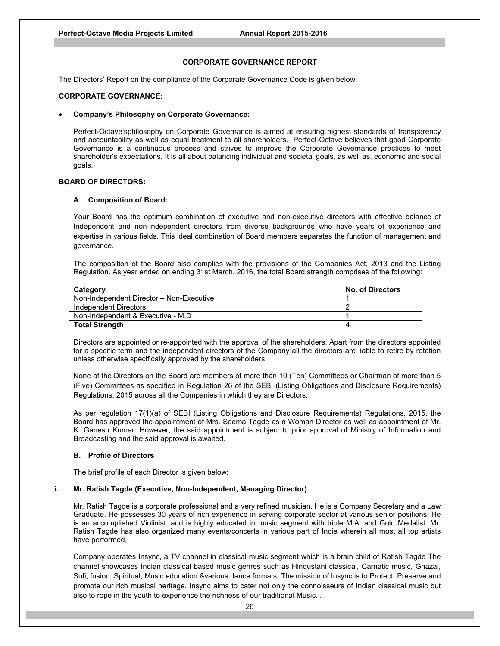## **CORPORATE GOVERNANCE REPORT**

The Directors' Report on the compliance of the Corporate Governance Code is given below:

## **CORPORATE GOVERNANCE:**

#### **Company's Philosophy on Corporate Governance:**

Perfect-Octave'sphilosophy on Corporate Governance is aimed at ensuring highest standards of transparency and accountability as well as equal treatment to all shareholders. Perfect-Octave believes that good Corporate Governance is a continuous process and strives to improve the Corporate Governance practices to meet shareholder's expectations. It is all about balancing individual and societal goals, as well as, economic and social goals.

### **BOARD OF DIRECTORS:**

#### **A. Composition of Board:**

Your Board has the optimum combination of executive and non-executive directors with effective balance of Independent and non-independent directors from diverse backgrounds who have years of experience and expertise in various fields. This ideal combination of Board members separates the function of management and governance.

The composition of the Board also complies with the provisions of the Companies Act, 2013 and the Listing Regulation. As year ended on ending 31st March, 2016, the total Board strength comprises of the following:

| Category                                 | <b>No. of Directors</b> |
|------------------------------------------|-------------------------|
| Non-Independent Director - Non-Executive |                         |
| Independent Directors                    |                         |
| Non-Independent & Executive - M.D        |                         |
| <b>Total Strength</b>                    |                         |

Directors are appointed or re-appointed with the approval of the shareholders. Apart from the directors appointed for a specific term and the independent directors of the Company all the directors are liable to retire by rotation unless otherwise specifically approved by the shareholders.

 None of the Directors on the Board are members of more than 10 (Ten) Committees or Chairman of more than 5 (Five) Committees as specified in Regulation 26 of the SEBI (Listing Obligations and Disclosure Requirements) Regulations, 2015 across all the Companies in which they are Directors.

As per regulation 17(1)(a) of SEBI (Listing Obligations and Disclosure Requirements) Regulations, 2015, the Board has approved the appointment of Mrs. Seema Tagde as a Woman Director as well as appointment of Mr. K. Ganesh Kumar. However, the said appointment is subject to prior approval of Ministry of Information and Broadcasting and the said approval is awaited.

### **B. Profile of Directors**

The brief profile of each Director is given below:

### **i. Mr. Ratish Tagde (Executive, Non-Independent, Managing Director)**

 Mr. Ratish Tagde is a corporate professional and a very refined musician. He is a Company Secretary and a Law Graduate. He possesses 30 years of rich experience in serving corporate sector at various senior positions. He is an accomplished Violinist, and is highly educated in music segment with triple M.A. and Gold Medalist. Mr. Ratish Tagde has also organized many events/concerts in various part of India wherein all most all top artists have performed.

Company operates Insync, a TV channel in classical music segment which is a brain child of Ratish Tagde The channel showcases Indian classical based music genres such as Hindustani classical, Carnatic music, Ghazal, Sufi, fusion, Spiritual, Music education &various dance formats. The mission of Insync is to Protect, Preserve and promote our rich musical heritage. Insync aims to cater not only the connoisseurs of Indian classical music but also to rope in the youth to experience the richness of our traditional Music. .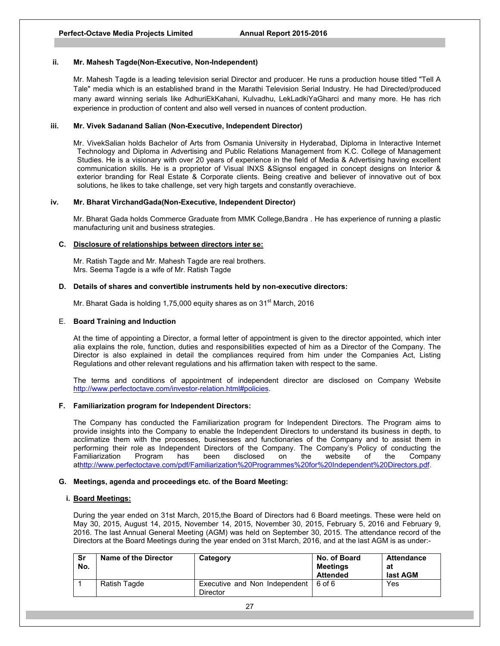### **ii. Mr. Mahesh Tagde(Non-Executive, Non-Independent)**

Mr. Mahesh Tagde is a leading television serial Director and producer. He runs a production house titled "Tell A Tale" media which is an established brand in the Marathi Television Serial Industry. He had Directed/produced many award winning serials like AdhuriEkKahani, Kulvadhu, LekLadkiYaGharci and many more. He has rich experience in production of content and also well versed in nuances of content production.

## **iii. Mr. Vivek Sadanand Salian (Non-Executive, Independent Director)**

 Mr. VivekSalian holds Bachelor of Arts from Osmania University in Hyderabad, Diploma in Interactive Internet Technology and Diploma in Advertising and Public Relations Management from K.C. College of Management Studies. He is a visionary with over 20 years of experience in the field of Media & Advertising having excellent communication skills. He is a proprietor of Visual INXS &Signsol engaged in concept designs on Interior & exterior branding for Real Estate & Corporate clients. Being creative and believer of innovative out of box solutions, he likes to take challenge, set very high targets and constantly overachieve.

### **iv. Mr. Bharat VirchandGada(Non-Executive, Independent Director)**

 Mr. Bharat Gada holds Commerce Graduate from MMK College,Bandra . He has experience of running a plastic manufacturing unit and business strategies.

## **C. Disclosure of relationships between directors inter se:**

Mr. Ratish Tagde and Mr. Mahesh Tagde are real brothers. Mrs. Seema Tagde is a wife of Mr. Ratish Tagde

## **D. Details of shares and convertible instruments held by non-executive directors:**

Mr. Bharat Gada is holding 1,75,000 equity shares as on 31 $^{\rm st}$  March, 2016

### E. **Board Training and Induction**

At the time of appointing a Director, a formal letter of appointment is given to the director appointed, which inter alia explains the role, function, duties and responsibilities expected of him as a Director of the Company. The Director is also explained in detail the compliances required from him under the Companies Act, Listing Regulations and other relevant regulations and his affirmation taken with respect to the same.

The terms and conditions of appointment of independent director are disclosed on Company Website http://www.perfectoctave.com/investor-relation.html#policies.

### **F. Familiarization program for Independent Directors:**

The Company has conducted the Familiarization program for Independent Directors. The Program aims to provide insights into the Company to enable the Independent Directors to understand its business in depth, to acclimatize them with the processes, businesses and functionaries of the Company and to assist them in performing their role as Independent Directors of the Company. The Company's Policy of conducting the Familiarization Program has been disclosed on the website of the Company athttp://www.perfectoctave.com/pdf/Familiarization%20Programmes%20for%20Independent%20Directors.pdf.

### **G. Meetings, agenda and proceedings etc. of the Board Meeting:**

### **i. Board Meetings:**

During the year ended on 31st March, 2015,the Board of Directors had 6 Board meetings. These were held on May 30, 2015, August 14, 2015, November 14, 2015, November 30, 2015, February 5, 2016 and February 9, 2016. The last Annual General Meeting (AGM) was held on September 30, 2015. The attendance record of the Directors at the Board Meetings during the year ended on 31st March, 2016, and at the last AGM is as under:-

| Sr<br>No. | Name of the Director | Category                                         | No. of Board<br>Meetings<br><b>Attended</b> | <b>Attendance</b><br>at<br>last AGM |
|-----------|----------------------|--------------------------------------------------|---------------------------------------------|-------------------------------------|
|           | Ratish Tagde         | Executive and Non Independent<br><b>Director</b> | .6 იf 6                                     | Yes                                 |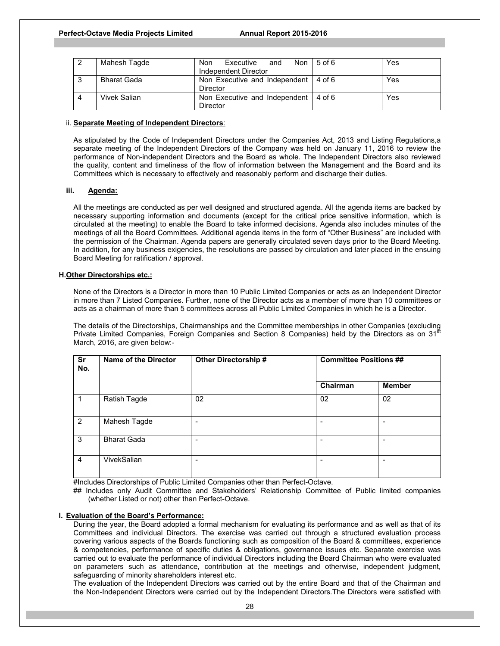| Mahesh Tagde       | <b>Non</b><br>Executive<br>Non<br>and<br>Independent Director | $5$ of $6$ | Yes        |
|--------------------|---------------------------------------------------------------|------------|------------|
| <b>Bharat Gada</b> | Non Executive and Independent                                 | $4$ of 6   | Yes        |
|                    | <b>Director</b>                                               |            |            |
| Vivek Salian       | Non Executive and Independent                                 | 4 of 6     | <b>Yes</b> |
|                    | Director                                                      |            |            |

## ii. **Separate Meeting of Independent Directors**:

As stipulated by the Code of Independent Directors under the Companies Act, 2013 and Listing Regulations,a separate meeting of the Independent Directors of the Company was held on January 11, 2016 to review the performance of Non-independent Directors and the Board as whole. The Independent Directors also reviewed the quality, content and timeliness of the flow of information between the Management and the Board and its Committees which is necessary to effectively and reasonably perform and discharge their duties.

## **iii. Agenda:**

All the meetings are conducted as per well designed and structured agenda. All the agenda items are backed by necessary supporting information and documents (except for the critical price sensitive information, which is circulated at the meeting) to enable the Board to take informed decisions. Agenda also includes minutes of the meetings of all the Board Committees. Additional agenda items in the form of "Other Business" are included with the permission of the Chairman. Agenda papers are generally circulated seven days prior to the Board Meeting. In addition, for any business exigencies, the resolutions are passed by circulation and later placed in the ensuing Board Meeting for ratification / approval.

## **H.Other Directorships etc.:**

None of the Directors is a Director in more than 10 Public Limited Companies or acts as an Independent Director in more than 7 Listed Companies. Further, none of the Director acts as a member of more than 10 committees or acts as a chairman of more than 5 committees across all Public Limited Companies in which he is a Director.

The details of the Directorships, Chairmanships and the Committee memberships in other Companies (excluding Private Limited Companies, Foreign Companies and Section 8 Companies) held by the Directors as on  $31<sup>5</sup>$ March, 2016, are given below:-

| Sr<br>No.      | <b>Name of the Director</b> | <b>Other Directorship #</b> | <b>Committee Positions ##</b> |               |
|----------------|-----------------------------|-----------------------------|-------------------------------|---------------|
|                |                             |                             | Chairman                      | <b>Member</b> |
| $\mathbf 1$    | Ratish Tagde                | 02                          | 02                            | 02            |
| $\overline{2}$ | Mahesh Tagde                | ۰                           | $\overline{\phantom{a}}$      |               |
| 3              | <b>Bharat Gada</b>          | -                           | $\overline{\phantom{a}}$      |               |
| $\overline{4}$ | VivekSalian                 | ۰                           | $\overline{\phantom{a}}$      |               |

#Includes Directorships of Public Limited Companies other than Perfect-Octave.

## Includes only Audit Committee and Stakeholders' Relationship Committee of Public limited companies (whether Listed or not) other than Perfect-Octave.

### **I. Evaluation of the Board's Performance:**

During the year, the Board adopted a formal mechanism for evaluating its performance and as well as that of its Committees and individual Directors. The exercise was carried out through a structured evaluation process covering various aspects of the Boards functioning such as composition of the Board & committees, experience & competencies, performance of specific duties & obligations, governance issues etc. Separate exercise was carried out to evaluate the performance of individual Directors including the Board Chairman who were evaluated on parameters such as attendance, contribution at the meetings and otherwise, independent judgment, safeguarding of minority shareholders interest etc.

The evaluation of the Independent Directors was carried out by the entire Board and that of the Chairman and the Non-Independent Directors were carried out by the Independent Directors.The Directors were satisfied with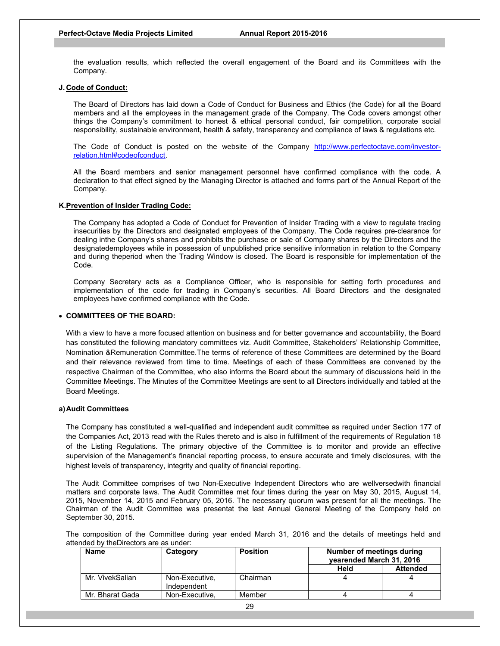the evaluation results, which reflected the overall engagement of the Board and its Committees with the Company.

### **J. Code of Conduct:**

The Board of Directors has laid down a Code of Conduct for Business and Ethics (the Code) for all the Board members and all the employees in the management grade of the Company. The Code covers amongst other things the Company's commitment to honest & ethical personal conduct, fair competition, corporate social responsibility, sustainable environment, health & safety, transparency and compliance of laws & regulations etc.

The Code of Conduct is posted on the website of the Company http://www.perfectoctave.com/investorrelation.html#codeofconduct.

All the Board members and senior management personnel have confirmed compliance with the code. A declaration to that effect signed by the Managing Director is attached and forms part of the Annual Report of the Company.

### **K.Prevention of Insider Trading Code:**

The Company has adopted a Code of Conduct for Prevention of Insider Trading with a view to regulate trading insecurities by the Directors and designated employees of the Company. The Code requires pre-clearance for dealing inthe Company's shares and prohibits the purchase or sale of Company shares by the Directors and the designatedemployees while in possession of unpublished price sensitive information in relation to the Company and during theperiod when the Trading Window is closed. The Board is responsible for implementation of the Code.

Company Secretary acts as a Compliance Officer, who is responsible for setting forth procedures and implementation of the code for trading in Company's securities. All Board Directors and the designated employees have confirmed compliance with the Code.

### **COMMITTEES OF THE BOARD:**

With a view to have a more focused attention on business and for better governance and accountability, the Board has constituted the following mandatory committees viz. Audit Committee, Stakeholders' Relationship Committee, Nomination &Remuneration Committee.The terms of reference of these Committees are determined by the Board and their relevance reviewed from time to time. Meetings of each of these Committees are convened by the respective Chairman of the Committee, who also informs the Board about the summary of discussions held in the Committee Meetings. The Minutes of the Committee Meetings are sent to all Directors individually and tabled at the Board Meetings.

### **a) Audit Committees**

The Company has constituted a well-qualified and independent audit committee as required under Section 177 of the Companies Act, 2013 read with the Rules thereto and is also in fulfillment of the requirements of Regulation 18 of the Listing Regulations. The primary objective of the Committee is to monitor and provide an effective supervision of the Management's financial reporting process, to ensure accurate and timely disclosures, with the highest levels of transparency, integrity and quality of financial reporting.

The Audit Committee comprises of two Non-Executive Independent Directors who are wellversedwith financial matters and corporate laws. The Audit Committee met four times during the year on May 30, 2015, August 14, 2015, November 14, 2015 and February 05, 2016. The necessary quorum was present for all the meetings. The Chairman of the Audit Committee was presentat the last Annual General Meeting of the Company held on September 30, 2015.

The composition of the Committee during year ended March 31, 2016 and the details of meetings held and attended by theDirectors are as under:

| <b>Name</b>     | Category                      | <b>Position</b> | Number of meetings during<br>vearended March 31, 2016 |                 |
|-----------------|-------------------------------|-----------------|-------------------------------------------------------|-----------------|
|                 |                               |                 | Held                                                  | <b>Attended</b> |
| Mr. VivekSalian | Non-Executive,<br>Independent | Chairman        |                                                       |                 |
| Mr. Bharat Gada | Non-Executive.                | Member          |                                                       |                 |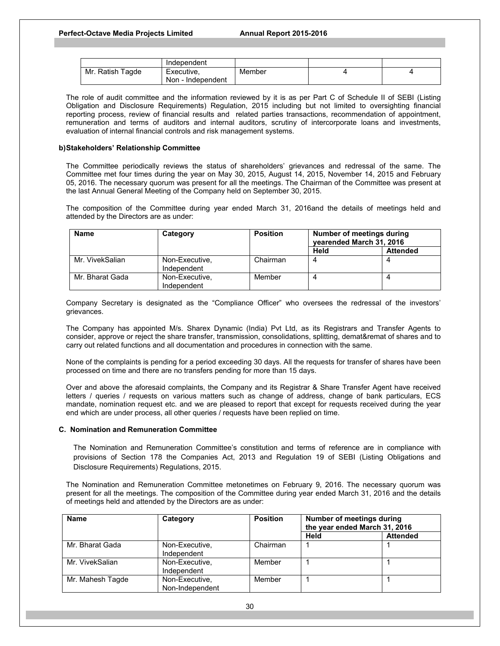|                  | Independent         |        |  |
|------------------|---------------------|--------|--|
| Mr. Ratish Tagde | Executive,          | Member |  |
|                  | Non.<br>Independent |        |  |

The role of audit committee and the information reviewed by it is as per Part C of Schedule II of SEBI (Listing Obligation and Disclosure Requirements) Regulation, 2015 including but not limited to oversighting financial reporting process, review of financial results and related parties transactions, recommendation of appointment, remuneration and terms of auditors and internal auditors, scrutiny of intercorporate loans and investments, evaluation of internal financial controls and risk management systems.

### **b) Stakeholders' Relationship Committee**

The Committee periodically reviews the status of shareholders' grievances and redressal of the same. The Committee met four times during the year on May 30, 2015, August 14, 2015, November 14, 2015 and February 05, 2016. The necessary quorum was present for all the meetings. The Chairman of the Committee was present at the last Annual General Meeting of the Company held on September 30, 2015.

The composition of the Committee during year ended March 31, 2016and the details of meetings held and attended by the Directors are as under:

| <b>Name</b>     | Category                      | <b>Position</b> | Number of meetings during<br>yearended March 31, 2016 |                 |
|-----------------|-------------------------------|-----------------|-------------------------------------------------------|-----------------|
|                 |                               |                 | Held                                                  | <b>Attended</b> |
| Mr. VivekSalian | Non-Executive,<br>Independent | Chairman        |                                                       |                 |
| Mr. Bharat Gada | Non-Executive,<br>Independent | Member          | 4                                                     |                 |

Company Secretary is designated as the "Compliance Officer" who oversees the redressal of the investors' grievances.

The Company has appointed M/s. Sharex Dynamic (India) Pvt Ltd, as its Registrars and Transfer Agents to consider, approve or reject the share transfer, transmission, consolidations, splitting, demat&remat of shares and to carry out related functions and all documentation and procedures in connection with the same.

None of the complaints is pending for a period exceeding 30 days. All the requests for transfer of shares have been processed on time and there are no transfers pending for more than 15 days.

Over and above the aforesaid complaints, the Company and its Registrar & Share Transfer Agent have received letters / queries / requests on various matters such as change of address, change of bank particulars, ECS mandate, nomination request etc. and we are pleased to report that except for requests received during the year end which are under process, all other queries / requests have been replied on time.

#### **C. Nomination and Remuneration Committee**

The Nomination and Remuneration Committee's constitution and terms of reference are in compliance with provisions of Section 178 the Companies Act, 2013 and Regulation 19 of SEBI (Listing Obligations and Disclosure Requirements) Regulations, 2015.

The Nomination and Remuneration Committee metonetimes on February 9, 2016. The necessary quorum was present for all the meetings. The composition of the Committee during year ended March 31, 2016 and the details of meetings held and attended by the Directors are as under:

| <b>Name</b>      | Category                          | <b>Position</b> | <b>Number of meetings during</b><br>the year ended March 31, 2016 |                 |
|------------------|-----------------------------------|-----------------|-------------------------------------------------------------------|-----------------|
|                  |                                   |                 | Held                                                              | <b>Attended</b> |
| Mr. Bharat Gada  | Non-Executive,<br>Independent     | Chairman        |                                                                   |                 |
| Mr. VivekSalian  | Non-Executive,<br>Independent     | Member          |                                                                   |                 |
| Mr. Mahesh Tagde | Non-Executive.<br>Non-Independent | Member          |                                                                   |                 |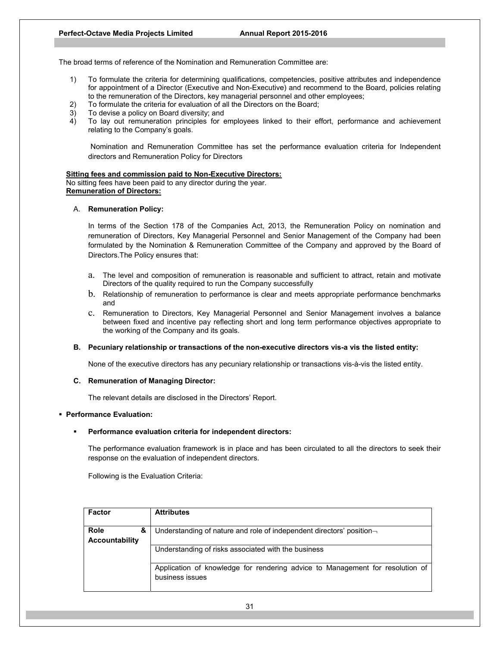The broad terms of reference of the Nomination and Remuneration Committee are:

- 1) To formulate the criteria for determining qualifications, competencies, positive attributes and independence for appointment of a Director (Executive and Non-Executive) and recommend to the Board, policies relating to the remuneration of the Directors, key managerial personnel and other employees;
- 2) To formulate the criteria for evaluation of all the Directors on the Board;
- 3) To devise a policy on Board diversity; and
- 4) To lay out remuneration principles for employees linked to their effort, performance and achievement relating to the Company's goals.

Nomination and Remuneration Committee has set the performance evaluation criteria for Independent directors and Remuneration Policy for Directors

### **Sitting fees and commission paid to Non-Executive Directors:** No sitting fees have been paid to any director during the year.

# **Remuneration of Directors:**

## A. **Remuneration Policy:**

In terms of the Section 178 of the Companies Act, 2013, the Remuneration Policy on nomination and remuneration of Directors, Key Managerial Personnel and Senior Management of the Company had been formulated by the Nomination & Remuneration Committee of the Company and approved by the Board of Directors.The Policy ensures that:

- a. The level and composition of remuneration is reasonable and sufficient to attract, retain and motivate Directors of the quality required to run the Company successfully
- b. Relationship of remuneration to performance is clear and meets appropriate performance benchmarks and
- c. Remuneration to Directors, Key Managerial Personnel and Senior Management involves a balance between fixed and incentive pay reflecting short and long term performance objectives appropriate to the working of the Company and its goals.

## **B. Pecuniary relationship or transactions of the non-executive directors vis-a vis the listed entity:**

None of the executive directors has any pecuniary relationship or transactions vis-à-vis the listed entity.

## **C. Remuneration of Managing Director:**

The relevant details are disclosed in the Directors' Report.

### **Performance Evaluation:**

### **Performance evaluation criteria for independent directors:**

The performance evaluation framework is in place and has been circulated to all the directors to seek their response on the evaluation of independent directors.

Following is the Evaluation Criteria:

| Factor                | <b>Attributes</b>                                                             |
|-----------------------|-------------------------------------------------------------------------------|
|                       |                                                                               |
| <b>Role</b><br>&      | Understanding of nature and role of independent directors' position-          |
| <b>Accountability</b> |                                                                               |
|                       | Understanding of risks associated with the business                           |
|                       |                                                                               |
|                       | Application of knowledge for rendering advice to Management for resolution of |
|                       | business issues                                                               |
|                       |                                                                               |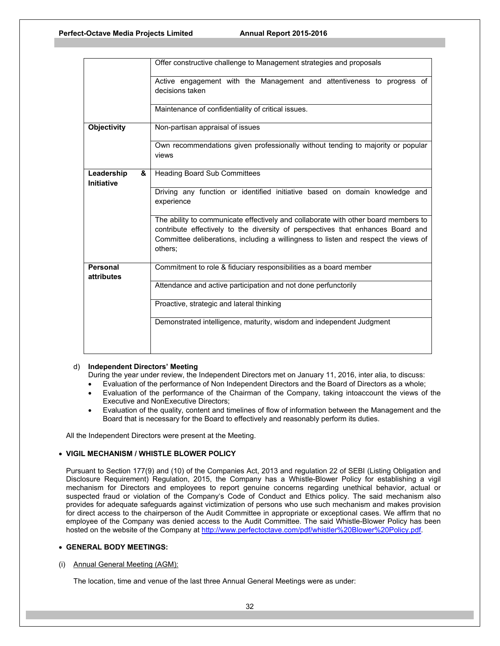|                               | Offer constructive challenge to Management strategies and proposals                                                                                                                                                                                                     |  |  |  |  |  |
|-------------------------------|-------------------------------------------------------------------------------------------------------------------------------------------------------------------------------------------------------------------------------------------------------------------------|--|--|--|--|--|
|                               | Active engagement with the Management and attentiveness to progress of<br>decisions taken                                                                                                                                                                               |  |  |  |  |  |
|                               | Maintenance of confidentiality of critical issues.                                                                                                                                                                                                                      |  |  |  |  |  |
| <b>Objectivity</b>            | Non-partisan appraisal of issues                                                                                                                                                                                                                                        |  |  |  |  |  |
|                               | Own recommendations given professionally without tending to majority or popular<br>views                                                                                                                                                                                |  |  |  |  |  |
| Leadership<br>&<br>Initiative | <b>Heading Board Sub Committees</b>                                                                                                                                                                                                                                     |  |  |  |  |  |
|                               | Driving any function or identified initiative based on domain knowledge and<br>experience                                                                                                                                                                               |  |  |  |  |  |
|                               | The ability to communicate effectively and collaborate with other board members to<br>contribute effectively to the diversity of perspectives that enhances Board and<br>Committee deliberations, including a willingness to listen and respect the views of<br>others; |  |  |  |  |  |
| <b>Personal</b><br>attributes | Commitment to role & fiduciary responsibilities as a board member                                                                                                                                                                                                       |  |  |  |  |  |
|                               | Attendance and active participation and not done perfunctorily                                                                                                                                                                                                          |  |  |  |  |  |
|                               | Proactive, strategic and lateral thinking                                                                                                                                                                                                                               |  |  |  |  |  |
|                               | Demonstrated intelligence, maturity, wisdom and independent Judgment                                                                                                                                                                                                    |  |  |  |  |  |

### d) **Independent Directors' Meeting**

During the year under review, the Independent Directors met on January 11, 2016, inter alia, to discuss:

- Evaluation of the performance of Non Independent Directors and the Board of Directors as a whole;
- Evaluation of the performance of the Chairman of the Company, taking intoaccount the views of the Executive and NonExecutive Directors;
- Evaluation of the quality, content and timelines of flow of information between the Management and the Board that is necessary for the Board to effectively and reasonably perform its duties.

All the Independent Directors were present at the Meeting.

## **VIGIL MECHANISM / WHISTLE BLOWER POLICY**

Pursuant to Section 177(9) and (10) of the Companies Act, 2013 and regulation 22 of SEBI (Listing Obligation and Disclosure Requirement) Regulation, 2015, the Company has a Whistle-Blower Policy for establishing a vigil mechanism for Directors and employees to report genuine concerns regarding unethical behavior, actual or suspected fraud or violation of the Company's Code of Conduct and Ethics policy. The said mechanism also provides for adequate safeguards against victimization of persons who use such mechanism and makes provision for direct access to the chairperson of the Audit Committee in appropriate or exceptional cases. We affirm that no employee of the Company was denied access to the Audit Committee. The said Whistle-Blower Policy has been hosted on the website of the Company at http://www.perfectoctave.com/pdf/whistler%20Blower%20Policy.pdf.

## **GENERAL BODY MEETINGS:**

## (i) Annual General Meeting (AGM):

The location, time and venue of the last three Annual General Meetings were as under: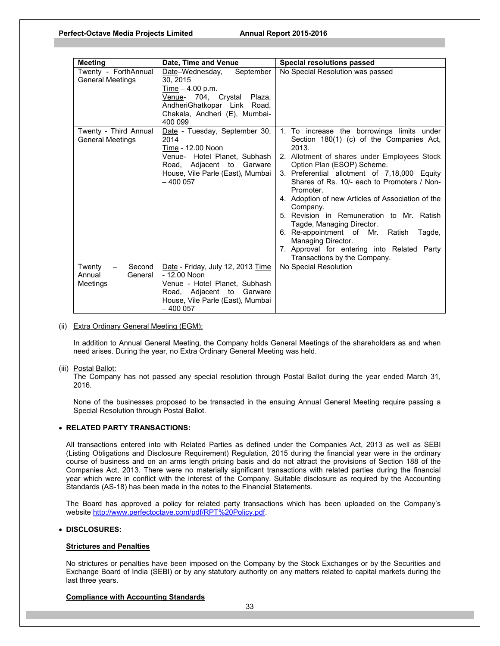| <b>Meeting</b>                                                         | Date, Time and Venue                                                                                                                                                     | <b>Special resolutions passed</b>                                                                                                                                                                                                                                                                                                                                                                                                                                                                                                                                                         |
|------------------------------------------------------------------------|--------------------------------------------------------------------------------------------------------------------------------------------------------------------------|-------------------------------------------------------------------------------------------------------------------------------------------------------------------------------------------------------------------------------------------------------------------------------------------------------------------------------------------------------------------------------------------------------------------------------------------------------------------------------------------------------------------------------------------------------------------------------------------|
| Twenty - ForthAnnual<br><b>General Meetings</b>                        | September<br>Date-Wednesday,<br>30, 2015<br>Time $-4.00$ p.m.<br>Venue- 704, Crystal Plaza,<br>AndheriGhatkopar Link Road,<br>Chakala, Andheri (E), Mumbai-<br>400 099   | No Special Resolution was passed                                                                                                                                                                                                                                                                                                                                                                                                                                                                                                                                                          |
| Twenty - Third Annual<br><b>General Meetings</b>                       | Date - Tuesday, September 30,<br>2014<br>Time - 12.00 Noon<br>Venue- Hotel Planet, Subhash<br>Road, Adjacent to Garware<br>House, Vile Parle (East), Mumbai<br>$-400057$ | 1. To increase the borrowings limits under<br>Section 180(1) (c) of the Companies Act,<br>2013.<br>2. Allotment of shares under Employees Stock<br>Option Plan (ESOP) Scheme.<br>3. Preferential allotment of 7,18,000 Equity<br>Shares of Rs. 10/- each to Promoters / Non-<br>Promoter.<br>4. Adoption of new Articles of Association of the<br>Company.<br>5. Revision in Remuneration to Mr. Ratish<br>Tagde, Managing Director.<br>6. Re-appointment of Mr.<br>Ratish<br>Tagde,<br>Managing Director.<br>7. Approval for entering into Related Party<br>Transactions by the Company. |
| Twenty<br>Second<br>$\qquad \qquad -$<br>Annual<br>General<br>Meetings | Date - Friday, July 12, 2013 Time<br>- 12.00 Noon<br>Venue - Hotel Planet, Subhash<br>Road, Adjacent to<br>Garware<br>House, Vile Parle (East), Mumbai<br>$-400057$      | No Special Resolution                                                                                                                                                                                                                                                                                                                                                                                                                                                                                                                                                                     |

### (ii) Extra Ordinary General Meeting (EGM):

In addition to Annual General Meeting, the Company holds General Meetings of the shareholders as and when need arises. During the year, no Extra Ordinary General Meeting was held.

### (iii) Postal Ballot:

 The Company has not passed any special resolution through Postal Ballot during the year ended March 31, 2016.

None of the businesses proposed to be transacted in the ensuing Annual General Meeting require passing a Special Resolution through Postal Ballot.

### **RELATED PARTY TRANSACTIONS:**

All transactions entered into with Related Parties as defined under the Companies Act, 2013 as well as SEBI (Listing Obligations and Disclosure Requirement) Regulation, 2015 during the financial year were in the ordinary course of business and on an arms length pricing basis and do not attract the provisions of Section 188 of the Companies Act, 2013. There were no materially significant transactions with related parties during the financial year which were in conflict with the interest of the Company. Suitable disclosure as required by the Accounting Standards (AS-18) has been made in the notes to the Financial Statements.

The Board has approved a policy for related party transactions which has been uploaded on the Company's website http://www.perfectoctave.com/pdf/RPT%20Policy.pdf.

## **DISCLOSURES:**

### **Strictures and Penalties**

No strictures or penalties have been imposed on the Company by the Stock Exchanges or by the Securities and Exchange Board of India (SEBI) or by any statutory authority on any matters related to capital markets during the last three years.

## **Compliance with Accounting Standards**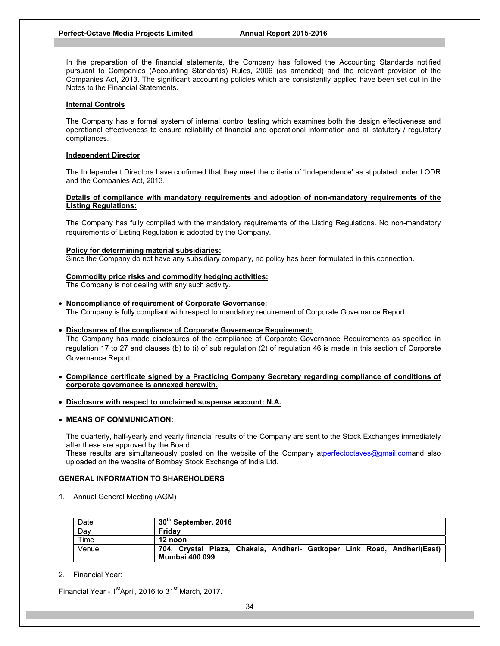In the preparation of the financial statements, the Company has followed the Accounting Standards notified pursuant to Companies (Accounting Standards) Rules, 2006 (as amended) and the relevant provision of the Companies Act, 2013. The significant accounting policies which are consistently applied have been set out in the Notes to the Financial Statements.

### **Internal Controls**

The Company has a formal system of internal control testing which examines both the design effectiveness and operational effectiveness to ensure reliability of financial and operational information and all statutory / regulatory compliances.

### **Independent Director**

The Independent Directors have confirmed that they meet the criteria of 'Independence' as stipulated under LODR and the Companies Act, 2013.

## **Details of compliance with mandatory requirements and adoption of non-mandatory requirements of the Listing Regulations:**

The Company has fully complied with the mandatory requirements of the Listing Regulations. No non-mandatory requirements of Listing Regulation is adopted by the Company.

### **Policy for determining material subsidiaries:**

Since the Company do not have any subsidiary company, no policy has been formulated in this connection.

## **Commodity price risks and commodity hedging activities:**

The Company is not dealing with any such activity.

**Noncompliance of requirement of Corporate Governance:**

The Company is fully compliant with respect to mandatory requirement of Corporate Governance Report.

## **Disclosures of the compliance of Corporate Governance Requirement:**

The Company has made disclosures of the compliance of Corporate Governance Requirements as specified in regulation 17 to 27 and clauses (b) to (i) of sub regulation (2) of regulation 46 is made in this section of Corporate Governance Report.

- **Compliance certificate signed by a Practicing Company Secretary regarding compliance of conditions of corporate governance is annexed herewith.**
- **Disclosure with respect to unclaimed suspense account: N.A.**

## **MEANS OF COMMUNICATION:**

The quarterly, half-yearly and yearly financial results of the Company are sent to the Stock Exchanges immediately after these are approved by the Board.

These results are simultaneously posted on the website of the Company atperfectoctaves@gmail.comand also uploaded on the website of Bombay Stock Exchange of India Ltd.

## **GENERAL INFORMATION TO SHAREHOLDERS**

1. Annual General Meeting (AGM)

| Date  | $30th$ September, 2016                                                                           |
|-------|--------------------------------------------------------------------------------------------------|
| Day   | Fridav                                                                                           |
| Time  | 12 noon                                                                                          |
| Venue | 704, Crystal Plaza, Chakala, Andheri- Gatkoper Link Road, Andheri(East)<br><b>Mumbai 400 099</b> |

## 2. Financial Year:

Financial Year -  $1<sup>st</sup>$ April, 2016 to  $31<sup>st</sup>$  March, 2017.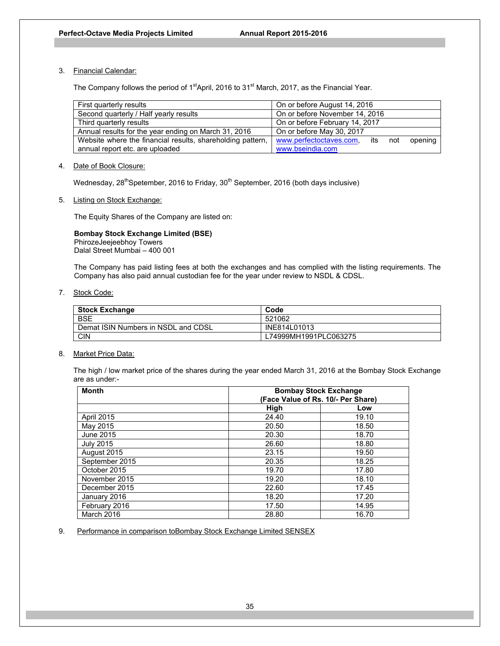## 3. Financial Calendar:

The Company follows the period of 1<sup>st</sup>April, 2016 to 31<sup>st</sup> March, 2017, as the Financial Year.

| First quarterly results                                    | On or before August 14, 2016            |  |  |
|------------------------------------------------------------|-----------------------------------------|--|--|
| Second quarterly / Half yearly results                     | On or before November 14, 2016          |  |  |
| Third quarterly results                                    | On or before February 14, 2017          |  |  |
| Annual results for the year ending on March 31, 2016       | On or before May 30, 2017               |  |  |
| Website where the financial results, shareholding pattern, | www.perfectoctaves.com, its not opening |  |  |
| annual report etc. are uploaded                            | www.bseindia.com                        |  |  |

## 4. Date of Book Closure:

Wednesday, 28<sup>th</sup>Spetember, 2016 to Friday, 30<sup>th</sup> September, 2016 (both days inclusive)

5. Listing on Stock Exchange:

The Equity Shares of the Company are listed on:

## **Bombay Stock Exchange Limited (BSE)**  PhirozeJeejeebhoy Towers

Dalal Street Mumbai – 400 001

The Company has paid listing fees at both the exchanges and has complied with the listing requirements. The Company has also paid annual custodian fee for the year under review to NSDL & CDSL.

7. Stock Code:

| <b>Stock Exchange</b>               | Code                  |  |
|-------------------------------------|-----------------------|--|
| <b>BSE</b>                          | 521062                |  |
| Demat ISIN Numbers in NSDL and CDSL | INE814L01013          |  |
| <b>CIN</b>                          | L74999MH1991PLC063275 |  |

## 8. Market Price Data:

The high / low market price of the shares during the year ended March 31, 2016 at the Bombay Stock Exchange are as under:-

| <b>Month</b>      | <b>Bombay Stock Exchange</b><br>(Face Value of Rs. 10/- Per Share) |       |  |
|-------------------|--------------------------------------------------------------------|-------|--|
|                   | High                                                               | Low   |  |
| <b>April 2015</b> | 24.40                                                              | 19.10 |  |
| May 2015          | 20.50                                                              | 18.50 |  |
| June 2015         | 20.30                                                              | 18.70 |  |
| <b>July 2015</b>  | 26.60                                                              | 18.80 |  |
| August 2015       | 23.15                                                              | 19.50 |  |
| September 2015    | 20.35                                                              | 18.25 |  |
| October 2015      | 19.70                                                              | 17.80 |  |
| November 2015     | 19.20                                                              | 18.10 |  |
| December 2015     | 22.60                                                              | 17.45 |  |
| January 2016      | 18.20                                                              | 17.20 |  |
| February 2016     | 17.50                                                              | 14.95 |  |
| <b>March 2016</b> | 28.80                                                              | 16.70 |  |

9. Performance in comparison toBombay Stock Exchange Limited SENSEX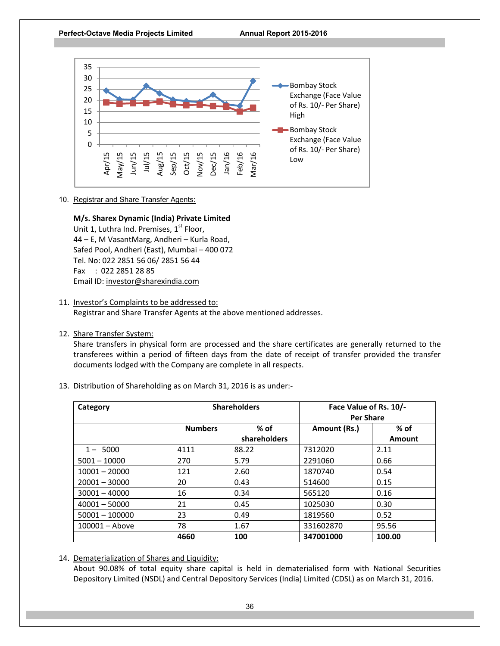

10. Registrar and Share Transfer Agents:

# **M/s. Sharex Dynamic (India) Private Limited**

Unit 1, Luthra Ind. Premises, 1<sup>st</sup> Floor, 44 – E, M VasantMarg, Andheri – Kurla Road, Safed Pool, Andheri (East), Mumbai – 400 072 Tel. No: 022 2851 56 06/ 2851 56 44 Fax : 022 2851 28 85 Email ID: investor@sharexindia.com

- 11. Investor's Complaints to be addressed to: Registrar and Share Transfer Agents at the above mentioned addresses.
- 12. Share Transfer System:

Share transfers in physical form are processed and the share certificates are generally returned to the transferees within a period of fifteen days from the date of receipt of transfer provided the transfer documents lodged with the Company are complete in all respects.

13. Distribution of Shareholding as on March 31, 2016 is as under:‐

| Category         | <b>Shareholders</b> |                        | Face Value of Rs. 10/-<br><b>Per Share</b> |                  |
|------------------|---------------------|------------------------|--------------------------------------------|------------------|
|                  | <b>Numbers</b>      | $%$ of<br>shareholders | Amount (Rs.)                               | $%$ of<br>Amount |
| $1 - 5000$       | 4111                | 88.22                  | 7312020                                    | 2.11             |
| $5001 - 10000$   | 270                 | 5.79                   | 2291060                                    | 0.66             |
| $10001 - 20000$  | 121                 | 2.60                   | 1870740                                    | 0.54             |
| $20001 - 30000$  | 20                  | 0.43                   | 514600                                     | 0.15             |
| $30001 - 40000$  | 16                  | 0.34                   | 565120                                     | 0.16             |
| $40001 - 50000$  | 21                  | 0.45                   | 1025030                                    | 0.30             |
| $50001 - 100000$ | 23                  | 0.49                   | 1819560                                    | 0.52             |
| $100001 -$ Above | 78                  | 1.67                   | 331602870                                  | 95.56            |
|                  | 4660                | 100                    | 347001000                                  | 100.00           |

14. Dematerialization of Shares and Liquidity:

About 90.08% of total equity share capital is held in dematerialised form with National Securities Depository Limited (NSDL) and Central Depository Services (India) Limited (CDSL) as on March 31, 2016.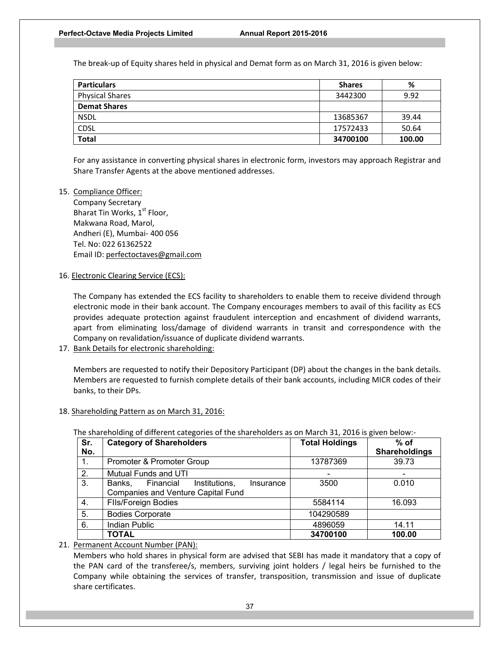The break‐up of Equity shares held in physical and Demat form as on March 31, 2016 is given below:

| <b>Particulars</b>     | <b>Shares</b> | %      |
|------------------------|---------------|--------|
| <b>Physical Shares</b> | 3442300       | 9.92   |
| <b>Demat Shares</b>    |               |        |
| <b>NSDL</b>            | 13685367      | 39.44  |
| CDSL                   | 17572433      | 50.64  |
| <b>Total</b>           | 34700100      | 100.00 |

For any assistance in converting physical shares in electronic form, investors may approach Registrar and Share Transfer Agents at the above mentioned addresses.

## 15. Compliance Officer:

Company Secretary Bharat Tin Works, 1<sup>st</sup> Floor, Makwana Road, Marol, Andheri (E), Mumbai‐ 400 056 Tel. No: 022 61362522 Email ID: perfectoctaves@gmail.com

16. Electronic Clearing Service (ECS):

The Company has extended the ECS facility to shareholders to enable them to receive dividend through electronic mode in their bank account. The Company encourages members to avail of this facility as ECS provides adequate protection against fraudulent interception and encashment of dividend warrants, apart from eliminating loss/damage of dividend warrants in transit and correspondence with the Company on revalidation/issuance of duplicate dividend warrants.

17. Bank Details for electronic shareholding:

Members are requested to notify their Depository Participant (DP) about the changes in the bank details. Members are requested to furnish complete details of their bank accounts, including MICR codes of their banks, to their DPs.

## 18. Shareholding Pattern as on March 31, 2016:

| Sr. | <b>Category of Shareholders</b>                   | <b>Total Holdings</b>    | $%$ of                   |
|-----|---------------------------------------------------|--------------------------|--------------------------|
| No. |                                                   |                          | Shareholdings            |
| 1.  | Promoter & Promoter Group                         | 13787369                 | 39.73                    |
| 2.  | Mutual Funds and UTI                              | $\overline{\phantom{0}}$ | $\overline{\phantom{0}}$ |
| 3.  | Financial<br>Institutions,<br>Banks.<br>Insurance | 3500                     | 0.010                    |
|     | <b>Companies and Venture Capital Fund</b>         |                          |                          |
| 4.  | <b>FIIs/Foreign Bodies</b>                        | 5584114                  | 16.093                   |
| 5.  | <b>Bodies Corporate</b>                           | 104290589                |                          |
| 6.  | <b>Indian Public</b>                              | 4896059                  | 14.11                    |
|     | TOTAL                                             | 34700100                 | 100.00                   |

The shareholding of different categories of the shareholders as on March 31, 2016 is given below:‐

## 21. Permanent Account Number (PAN):

Members who hold shares in physical form are advised that SEBI has made it mandatory that a copy of the PAN card of the transferee/s, members, surviving joint holders / legal heirs be furnished to the Company while obtaining the services of transfer, transposition, transmission and issue of duplicate share certificates.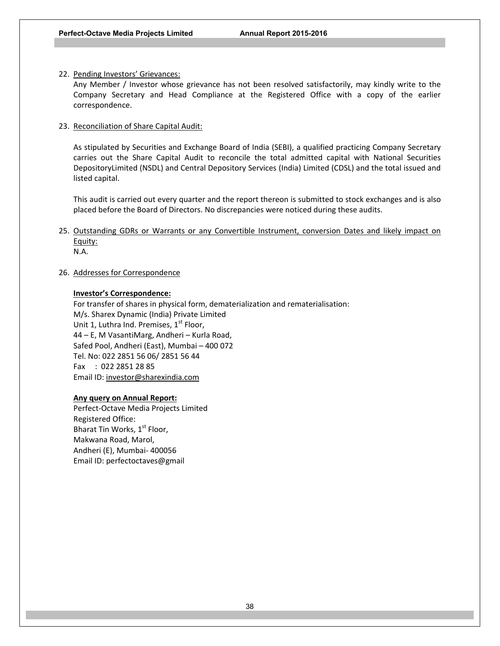## 22. Pending Investors' Grievances:

Any Member / Investor whose grievance has not been resolved satisfactorily, may kindly write to the Company Secretary and Head Compliance at the Registered Office with a copy of the earlier correspondence.

## 23. Reconciliation of Share Capital Audit:

As stipulated by Securities and Exchange Board of India (SEBI), a qualified practicing Company Secretary carries out the Share Capital Audit to reconcile the total admitted capital with National Securities DepositoryLimited (NSDL) and Central Depository Services (India) Limited (CDSL) and the total issued and listed capital.

This audit is carried out every quarter and the report thereon is submitted to stock exchanges and is also placed before the Board of Directors. No discrepancies were noticed during these audits.

25. Outstanding GDRs or Warrants or any Convertible Instrument, conversion Dates and likely impact on Equity: N.A.

## 26. Addresses for Correspondence

## **Investor's Correspondence:**

For transfer of shares in physical form, dematerialization and rematerialisation: M/s. Sharex Dynamic (India) Private Limited Unit 1, Luthra Ind. Premises,  $1<sup>st</sup>$  Floor, 44 – E, M VasantiMarg, Andheri – Kurla Road, Safed Pool, Andheri (East), Mumbai – 400 072 Tel. No: 022 2851 56 06/ 2851 56 44 Fax : 022 2851 28 85 Email ID: investor@sharexindia.com

## **Any query on Annual Report:**

Perfect‐Octave Media Projects Limited Registered Office: Bharat Tin Works,  $1<sup>st</sup>$  Floor, Makwana Road, Marol, Andheri (E), Mumbai‐ 400056 Email ID: perfectoctaves@gmail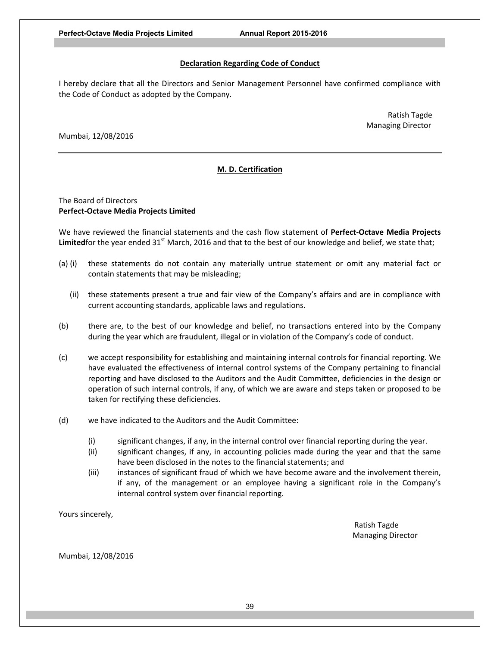## **Declaration Regarding Code of Conduct**

I hereby declare that all the Directors and Senior Management Personnel have confirmed compliance with the Code of Conduct as adopted by the Company.

> Ratish Tagde Managing Director

Mumbai, 12/08/2016

# **M. D. Certification**

## The Board of Directors **Perfect‐Octave Media Projects Limited**

We have reviewed the financial statements and the cash flow statement of **Perfect‐Octave Media Projects**  Limitedfor the year ended 31<sup>st</sup> March, 2016 and that to the best of our knowledge and belief, we state that;

- (a) (i) these statements do not contain any materially untrue statement or omit any material fact or contain statements that may be misleading;
	- (ii) these statements present a true and fair view of the Company's affairs and are in compliance with current accounting standards, applicable laws and regulations.
- (b) there are, to the best of our knowledge and belief, no transactions entered into by the Company during the year which are fraudulent, illegal or in violation of the Company's code of conduct.
- (c) we accept responsibility for establishing and maintaining internal controls for financial reporting. We have evaluated the effectiveness of internal control systems of the Company pertaining to financial reporting and have disclosed to the Auditors and the Audit Committee, deficiencies in the design or operation of such internal controls, if any, of which we are aware and steps taken or proposed to be taken for rectifying these deficiencies.
- (d) we have indicated to the Auditors and the Audit Committee:
	- (i) significant changes, if any, in the internal control over financial reporting during the year.
	- (ii) significant changes, if any, in accounting policies made during the year and that the same have been disclosed in the notes to the financial statements; and
	- (iii) instances of significant fraud of which we have become aware and the involvement therein, if any, of the management or an employee having a significant role in the Company's internal control system over financial reporting.

Yours sincerely,

 Ratish Tagde Managing Director

Mumbai, 12/08/2016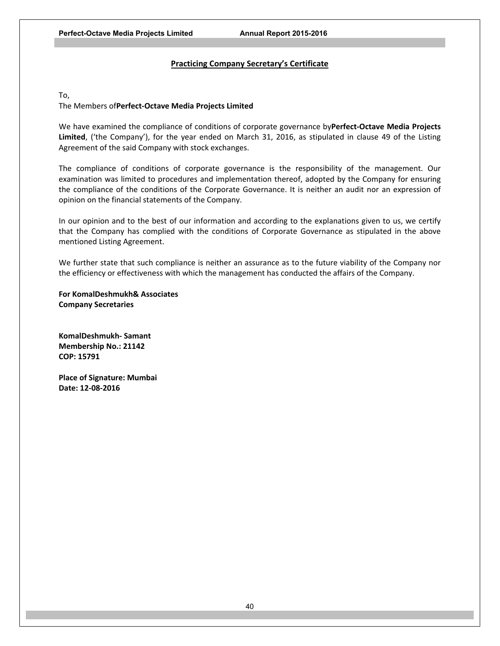## **Practicing Company Secretary's Certificate**

To,

## The Members of**Perfect‐Octave Media Projects Limited**

We have examined the compliance of conditions of corporate governance by**Perfect‐Octave Media Projects**  Limited, ('the Company'), for the year ended on March 31, 2016, as stipulated in clause 49 of the Listing Agreement of the said Company with stock exchanges.

The compliance of conditions of corporate governance is the responsibility of the management. Our examination was limited to procedures and implementation thereof, adopted by the Company for ensuring the compliance of the conditions of the Corporate Governance. It is neither an audit nor an expression of opinion on the financial statements of the Company.

In our opinion and to the best of our information and according to the explanations given to us, we certify that the Company has complied with the conditions of Corporate Governance as stipulated in the above mentioned Listing Agreement.

We further state that such compliance is neither an assurance as to the future viability of the Company nor the efficiency or effectiveness with which the management has conducted the affairs of the Company.

**For KomalDeshmukh& Associates Company Secretaries** 

**KomalDeshmukh‐ Samant Membership No.: 21142 COP: 15791** 

**Place of Signature: Mumbai Date: 12‐08‐2016**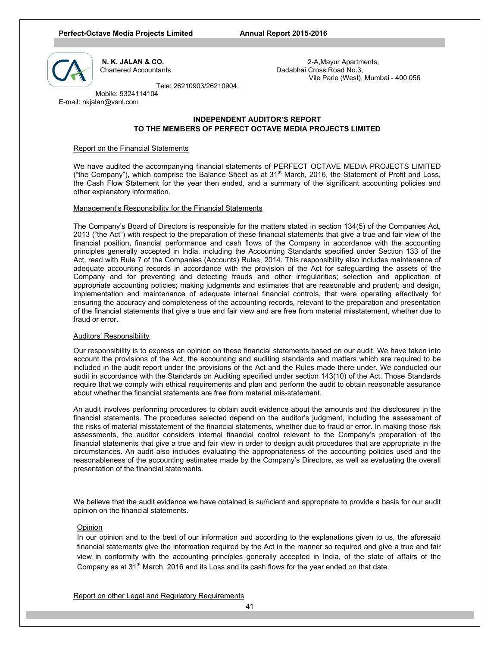#### **Perfect-Octave Media Projects Limited Annual Report 2015-2016**



 **N. K. JALAN & CO.** 2-A,Mayur Apartments, Chartered Accountants. Dadabhai Cross Road No.3, Vile Parle (West), Mumbai - 400 056

Tele: 26210903/26210904.

 Mobile: 9324114104 E-mail: nkjalan@vsnl.com

## **INDEPENDENT AUDITOR'S REPORT TO THE MEMBERS OF PERFECT OCTAVE MEDIA PROJECTS LIMITED**

## Report on the Financial Statements

We have audited the accompanying financial statements of PERFECT OCTAVE MEDIA PROJECTS LIMITED ("the Company"), which comprise the Balance Sheet as at  $31<sup>st</sup>$  March, 2016, the Statement of Profit and Loss, the Cash Flow Statement for the year then ended, and a summary of the significant accounting policies and other explanatory information.

### Management's Responsibility for the Financial Statements

The Company's Board of Directors is responsible for the matters stated in section 134(5) of the Companies Act, 2013 ("the Act") with respect to the preparation of these financial statements that give a true and fair view of the financial position, financial performance and cash flows of the Company in accordance with the accounting principles generally accepted in India, including the Accounting Standards specified under Section 133 of the Act, read with Rule 7 of the Companies (Accounts) Rules, 2014. This responsibility also includes maintenance of adequate accounting records in accordance with the provision of the Act for safeguarding the assets of the Company and for preventing and detecting frauds and other irregularities; selection and application of appropriate accounting policies; making judgments and estimates that are reasonable and prudent; and design, implementation and maintenance of adequate internal financial controls, that were operating effectively for ensuring the accuracy and completeness of the accounting records, relevant to the preparation and presentation of the financial statements that give a true and fair view and are free from material misstatement, whether due to fraud or error.

### Auditors' Responsibility

Our responsibility is to express an opinion on these financial statements based on our audit. We have taken into account the provisions of the Act, the accounting and auditing standards and matters which are required to be included in the audit report under the provisions of the Act and the Rules made there under. We conducted our audit in accordance with the Standards on Auditing specified under section 143(10) of the Act. Those Standards require that we comply with ethical requirements and plan and perform the audit to obtain reasonable assurance about whether the financial statements are free from material mis-statement.

An audit involves performing procedures to obtain audit evidence about the amounts and the disclosures in the financial statements. The procedures selected depend on the auditor's judgment, including the assessment of the risks of material misstatement of the financial statements, whether due to fraud or error. In making those risk assessments, the auditor considers internal financial control relevant to the Company's preparation of the financial statements that give a true and fair view in order to design audit procedures that are appropriate in the circumstances. An audit also includes evaluating the appropriateness of the accounting policies used and the reasonableness of the accounting estimates made by the Company's Directors, as well as evaluating the overall presentation of the financial statements.

We believe that the audit evidence we have obtained is sufficient and appropriate to provide a basis for our audit opinion on the financial statements.

### Opinion

In our opinion and to the best of our information and according to the explanations given to us, the aforesaid financial statements give the information required by the Act in the manner so required and give a true and fair view in conformity with the accounting principles generally accepted in India, of the state of affairs of the Company as at 31 $^{\text{st}}$  March, 2016 and its Loss and its cash flows for the year ended on that date.

Report on other Legal and Regulatory Requirements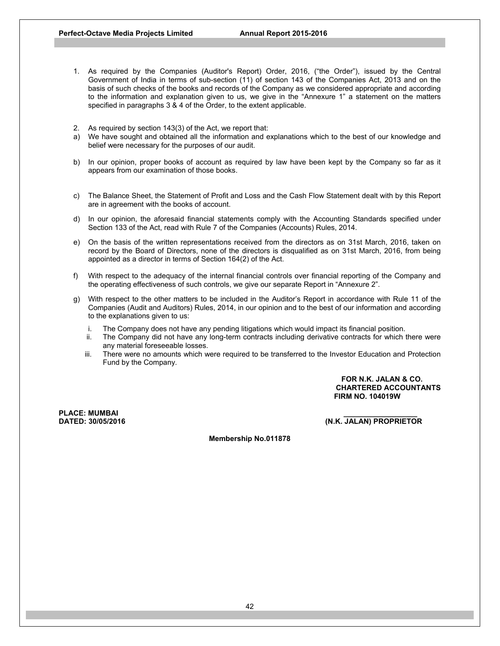- 1. As required by the Companies (Auditor's Report) Order, 2016, ("the Order"), issued by the Central Government of India in terms of sub-section (11) of section 143 of the Companies Act, 2013 and on the basis of such checks of the books and records of the Company as we considered appropriate and according to the information and explanation given to us, we give in the "Annexure 1" a statement on the matters specified in paragraphs 3 & 4 of the Order, to the extent applicable.
- 2. As required by section 143(3) of the Act, we report that:
- a) We have sought and obtained all the information and explanations which to the best of our knowledge and belief were necessary for the purposes of our audit.
- b) In our opinion, proper books of account as required by law have been kept by the Company so far as it appears from our examination of those books.
- c) The Balance Sheet, the Statement of Profit and Loss and the Cash Flow Statement dealt with by this Report are in agreement with the books of account.
- d) In our opinion, the aforesaid financial statements comply with the Accounting Standards specified under Section 133 of the Act, read with Rule 7 of the Companies (Accounts) Rules, 2014.
- e) On the basis of the written representations received from the directors as on 31st March, 2016, taken on record by the Board of Directors, none of the directors is disqualified as on 31st March, 2016, from being appointed as a director in terms of Section 164(2) of the Act.
- f) With respect to the adequacy of the internal financial controls over financial reporting of the Company and the operating effectiveness of such controls, we give our separate Report in "Annexure 2".
- g) With respect to the other matters to be included in the Auditor's Report in accordance with Rule 11 of the Companies (Audit and Auditors) Rules, 2014, in our opinion and to the best of our information and according to the explanations given to us:
	- i. The Company does not have any pending litigations which would impact its financial position.
	- ii. The Company did not have any long-term contracts including derivative contracts for which there were any material foreseeable losses.
	- iii. There were no amounts which were required to be transferred to the Investor Education and Protection Fund by the Company.

**FOR N.K. JALAN & CO. CHARTERED ACCOUNTANTS FIRM NO. 104019W** 

**PLACE: MUMBAI<br>DATED: 30/05/2016** 

**DATED: 30/05/2016 (N.K. JALAN) PROPRIETOR** 

**Membership No.011878**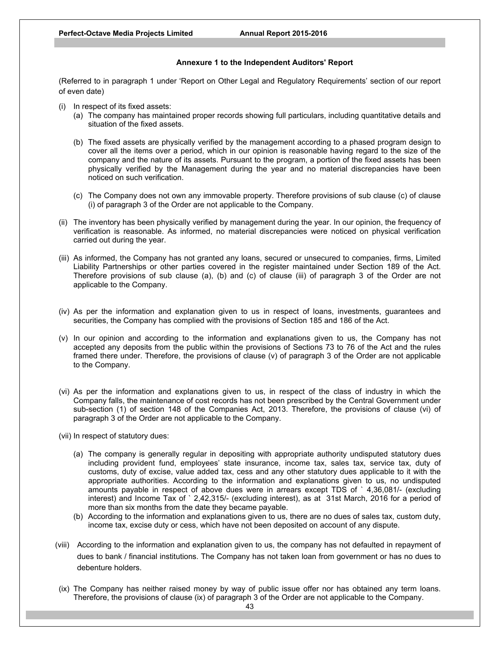## **Annexure 1 to the Independent Auditors' Report**

(Referred to in paragraph 1 under 'Report on Other Legal and Regulatory Requirements' section of our report of even date)

- (i) In respect of its fixed assets:
	- (a) The company has maintained proper records showing full particulars, including quantitative details and situation of the fixed assets.
	- (b) The fixed assets are physically verified by the management according to a phased program design to cover all the items over a period, which in our opinion is reasonable having regard to the size of the company and the nature of its assets. Pursuant to the program, a portion of the fixed assets has been physically verified by the Management during the year and no material discrepancies have been noticed on such verification.
	- (c) The Company does not own any immovable property. Therefore provisions of sub clause (c) of clause (i) of paragraph 3 of the Order are not applicable to the Company.
- (ii) The inventory has been physically verified by management during the year. In our opinion, the frequency of verification is reasonable. As informed, no material discrepancies were noticed on physical verification carried out during the year.
- (iii) As informed, the Company has not granted any loans, secured or unsecured to companies, firms, Limited Liability Partnerships or other parties covered in the register maintained under Section 189 of the Act. Therefore provisions of sub clause (a), (b) and (c) of clause (iii) of paragraph 3 of the Order are not applicable to the Company.
- (iv) As per the information and explanation given to us in respect of loans, investments, guarantees and securities, the Company has complied with the provisions of Section 185 and 186 of the Act.
- (v) In our opinion and according to the information and explanations given to us, the Company has not accepted any deposits from the public within the provisions of Sections 73 to 76 of the Act and the rules framed there under. Therefore, the provisions of clause (v) of paragraph 3 of the Order are not applicable to the Company.
- (vi) As per the information and explanations given to us, in respect of the class of industry in which the Company falls, the maintenance of cost records has not been prescribed by the Central Government under sub-section (1) of section 148 of the Companies Act, 2013. Therefore, the provisions of clause (vi) of paragraph 3 of the Order are not applicable to the Company.
- (vii) In respect of statutory dues:
	- (a) The company is generally regular in depositing with appropriate authority undisputed statutory dues including provident fund, employees' state insurance, income tax, sales tax, service tax, duty of customs, duty of excise, value added tax, cess and any other statutory dues applicable to it with the appropriate authorities. According to the information and explanations given to us, no undisputed amounts payable in respect of above dues were in arrears except TDS of ` 4,36,081/- (excluding interest) and Income Tax of ` 2,42,315/- (excluding interest), as at 31st March, 2016 for a period of more than six months from the date they became payable.
	- (b) According to the information and explanations given to us, there are no dues of sales tax, custom duty, income tax, excise duty or cess, which have not been deposited on account of any dispute.
- (viii) According to the information and explanation given to us, the company has not defaulted in repayment of dues to bank / financial institutions. The Company has not taken loan from government or has no dues to debenture holders.
- (ix) The Company has neither raised money by way of public issue offer nor has obtained any term loans. Therefore, the provisions of clause (ix) of paragraph 3 of the Order are not applicable to the Company.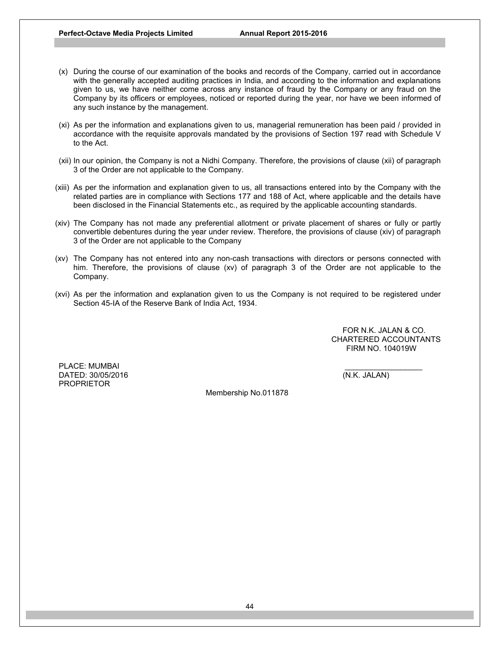- (x) During the course of our examination of the books and records of the Company, carried out in accordance with the generally accepted auditing practices in India, and according to the information and explanations given to us, we have neither come across any instance of fraud by the Company or any fraud on the Company by its officers or employees, noticed or reported during the year, nor have we been informed of any such instance by the management.
- (xi) As per the information and explanations given to us, managerial remuneration has been paid / provided in accordance with the requisite approvals mandated by the provisions of Section 197 read with Schedule V to the Act.
- (xii) In our opinion, the Company is not a Nidhi Company. Therefore, the provisions of clause (xii) of paragraph 3 of the Order are not applicable to the Company.
- (xiii) As per the information and explanation given to us, all transactions entered into by the Company with the related parties are in compliance with Sections 177 and 188 of Act, where applicable and the details have been disclosed in the Financial Statements etc., as required by the applicable accounting standards.
- (xiv) The Company has not made any preferential allotment or private placement of shares or fully or partly convertible debentures during the year under review. Therefore, the provisions of clause (xiv) of paragraph 3 of the Order are not applicable to the Company
- (xv) The Company has not entered into any non-cash transactions with directors or persons connected with him. Therefore, the provisions of clause (xv) of paragraph 3 of the Order are not applicable to the Company.
- (xvi) As per the information and explanation given to us the Company is not required to be registered under Section 45-IA of the Reserve Bank of India Act, 1934.

 FOR N.K. JALAN & CO. CHARTERED ACCOUNTANTS FIRM NO. 104019W

PLACE: MUMBAI DATED: 30/05/2016 (N.K. JALAN) PROPRIETOR

Membership No.011878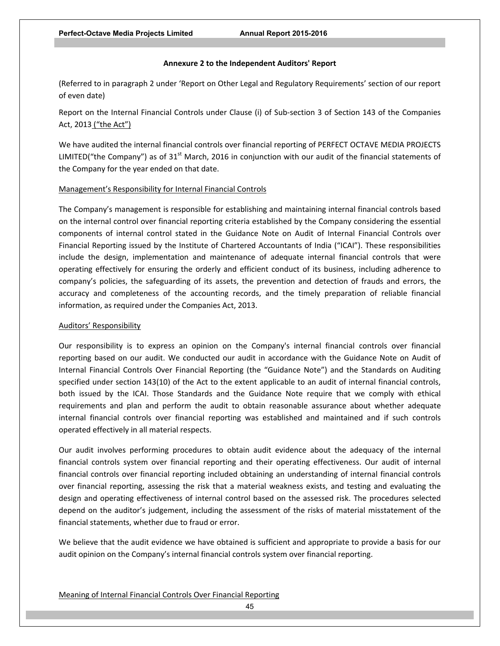## **Annexure 2 to the Independent Auditors' Report**

(Referred to in paragraph 2 under 'Report on Other Legal and Regulatory Requirements' section of our report of even date)

Report on the Internal Financial Controls under Clause (i) of Sub‐section 3 of Section 143 of the Companies Act, 2013 ("the Act")

We have audited the internal financial controls over financial reporting of PERFECT OCTAVE MEDIA PROJECTS LIMITED("the Company") as of 31<sup>st</sup> March, 2016 in conjunction with our audit of the financial statements of the Company for the year ended on that date.

## Management's Responsibility for Internal Financial Controls

The Company's management is responsible for establishing and maintaining internal financial controls based on the internal control over financial reporting criteria established by the Company considering the essential components of internal control stated in the Guidance Note on Audit of Internal Financial Controls over Financial Reporting issued by the Institute of Chartered Accountants of India ("ICAI"). These responsibilities include the design, implementation and maintenance of adequate internal financial controls that were operating effectively for ensuring the orderly and efficient conduct of its business, including adherence to company's policies, the safeguarding of its assets, the prevention and detection of frauds and errors, the accuracy and completeness of the accounting records, and the timely preparation of reliable financial information, as required under the Companies Act, 2013.

## Auditors' Responsibility

Our responsibility is to express an opinion on the Company's internal financial controls over financial reporting based on our audit. We conducted our audit in accordance with the Guidance Note on Audit of Internal Financial Controls Over Financial Reporting (the "Guidance Note") and the Standards on Auditing specified under section 143(10) of the Act to the extent applicable to an audit of internal financial controls, both issued by the ICAI. Those Standards and the Guidance Note require that we comply with ethical requirements and plan and perform the audit to obtain reasonable assurance about whether adequate internal financial controls over financial reporting was established and maintained and if such controls operated effectively in all material respects.

Our audit involves performing procedures to obtain audit evidence about the adequacy of the internal financial controls system over financial reporting and their operating effectiveness. Our audit of internal financial controls over financial reporting included obtaining an understanding of internal financial controls over financial reporting, assessing the risk that a material weakness exists, and testing and evaluating the design and operating effectiveness of internal control based on the assessed risk. The procedures selected depend on the auditor's judgement, including the assessment of the risks of material misstatement of the financial statements, whether due to fraud or error.

We believe that the audit evidence we have obtained is sufficient and appropriate to provide a basis for our audit opinion on the Company's internal financial controls system over financial reporting.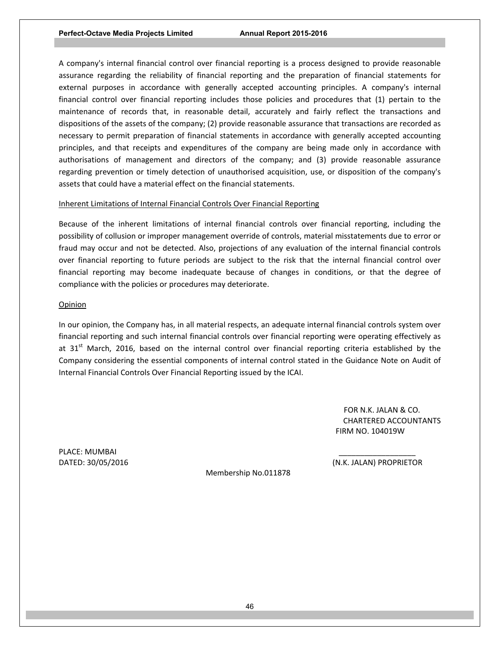A company's internal financial control over financial reporting is a process designed to provide reasonable assurance regarding the reliability of financial reporting and the preparation of financial statements for external purposes in accordance with generally accepted accounting principles. A company's internal financial control over financial reporting includes those policies and procedures that (1) pertain to the maintenance of records that, in reasonable detail, accurately and fairly reflect the transactions and dispositions of the assets of the company; (2) provide reasonable assurance that transactions are recorded as necessary to permit preparation of financial statements in accordance with generally accepted accounting principles, and that receipts and expenditures of the company are being made only in accordance with authorisations of management and directors of the company; and (3) provide reasonable assurance regarding prevention or timely detection of unauthorised acquisition, use, or disposition of the company's assets that could have a material effect on the financial statements.

# Inherent Limitations of Internal Financial Controls Over Financial Reporting

Because of the inherent limitations of internal financial controls over financial reporting, including the possibility of collusion or improper management override of controls, material misstatements due to error or fraud may occur and not be detected. Also, projections of any evaluation of the internal financial controls over financial reporting to future periods are subject to the risk that the internal financial control over financial reporting may become inadequate because of changes in conditions, or that the degree of compliance with the policies or procedures may deteriorate.

## **Opinion**

In our opinion, the Company has, in all material respects, an adequate internal financial controls system over financial reporting and such internal financial controls over financial reporting were operating effectively as at  $31<sup>st</sup>$  March, 2016, based on the internal control over financial reporting criteria established by the Company considering the essential components of internal control stated in the Guidance Note on Audit of Internal Financial Controls Over Financial Reporting issued by the ICAI.

> FOR N.K. JALAN & CO. CHARTERED ACCOUNTANTS FIRM NO. 104019W

PLACE: MUMBAI

DATED: 30/05/2016 (N.K. JALAN) PROPRIETOR

Membership No.011878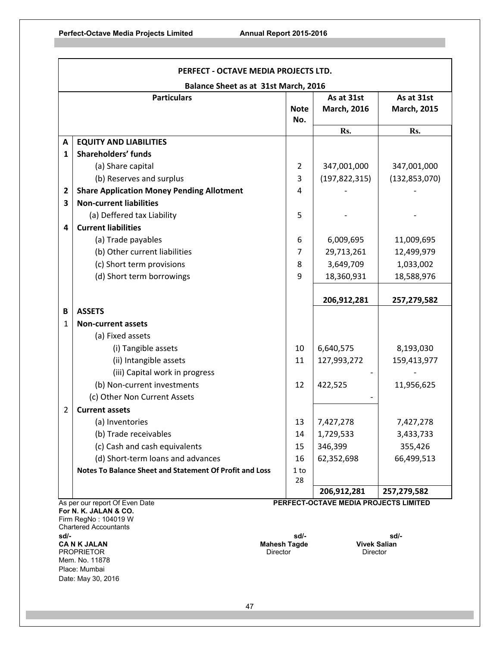| PERFECT - OCTAVE MEDIA PROJECTS LTD. |                                                         |                    |                                                      |                                  |  |
|--------------------------------------|---------------------------------------------------------|--------------------|------------------------------------------------------|----------------------------------|--|
| Balance Sheet as at 31st March, 2016 |                                                         |                    |                                                      |                                  |  |
|                                      | <b>Particulars</b>                                      | <b>Note</b><br>No. | As at 31st<br><b>March, 2016</b>                     | As at 31st<br><b>March, 2015</b> |  |
|                                      |                                                         |                    | Rs.                                                  | Rs.                              |  |
| A                                    | <b>EQUITY AND LIABILITIES</b>                           |                    |                                                      |                                  |  |
| 1                                    | <b>Shareholders' funds</b>                              |                    |                                                      |                                  |  |
|                                      | (a) Share capital                                       | 2                  | 347,001,000                                          | 347,001,000                      |  |
|                                      | (b) Reserves and surplus                                | 3                  | (197, 822, 315)                                      | (132, 853, 070)                  |  |
| $\overline{2}$                       | <b>Share Application Money Pending Allotment</b>        | 4                  |                                                      |                                  |  |
| $\overline{\mathbf{3}}$              | <b>Non-current liabilities</b>                          |                    |                                                      |                                  |  |
|                                      | (a) Deffered tax Liability                              | 5                  |                                                      |                                  |  |
| 4                                    | <b>Current liabilities</b>                              |                    |                                                      |                                  |  |
|                                      | (a) Trade payables                                      | 6                  | 6,009,695                                            | 11,009,695                       |  |
|                                      | (b) Other current liabilities                           | $\overline{7}$     | 29,713,261                                           | 12,499,979                       |  |
|                                      | (c) Short term provisions                               | 8                  | 3,649,709                                            | 1,033,002                        |  |
|                                      | (d) Short term borrowings                               | 9                  | 18,360,931                                           | 18,588,976                       |  |
|                                      |                                                         |                    |                                                      |                                  |  |
|                                      |                                                         |                    | 206,912,281                                          | 257,279,582                      |  |
| B                                    | <b>ASSETS</b>                                           |                    |                                                      |                                  |  |
| 1                                    | <b>Non-current assets</b>                               |                    |                                                      |                                  |  |
|                                      | (a) Fixed assets                                        |                    |                                                      |                                  |  |
|                                      | (i) Tangible assets                                     | 10                 | 6,640,575                                            | 8,193,030                        |  |
|                                      | (ii) Intangible assets                                  | 11                 | 127,993,272                                          | 159,413,977                      |  |
|                                      | (iii) Capital work in progress                          |                    |                                                      |                                  |  |
|                                      | (b) Non-current investments                             | 12                 | 422,525                                              | 11,956,625                       |  |
|                                      | (c) Other Non Current Assets                            |                    |                                                      |                                  |  |
| $\overline{2}$                       | <b>Current assets</b>                                   |                    |                                                      |                                  |  |
|                                      | (a) Inventories                                         | 13                 | 7,427,278                                            | 7,427,278                        |  |
|                                      | (b) Trade receivables                                   | 14                 | 1,729,533                                            | 3,433,733                        |  |
|                                      | (c) Cash and cash equivalents                           | 15                 | 346,399                                              | 355,426                          |  |
|                                      | (d) Short-term loans and advances                       | 16                 | 62,352,698                                           | 66,499,513                       |  |
|                                      | Notes To Balance Sheet and Statement Of Profit and Loss | 1 to               |                                                      |                                  |  |
|                                      |                                                         | 28                 |                                                      |                                  |  |
|                                      | As per our report Of Even Date                          |                    | 206,912,281<br>PERFECT-OCTAVE MEDIA PROJECTS LIMITED | 257,279,582                      |  |

**For N. K. JALAN & CO.**  Firm RegNo : 104019 W Chartered Accountants

**sd/- sd/- sd/- CA N K JALAN Mahesh Tagde Vivek Salian PROPRIETOR CA N K JALAN** Mahesh Tagde Vivek Salian **PROPRIETOR** PROPRIETOR Mem. No. 11878 Place: Mumbai Date: May 30, 2016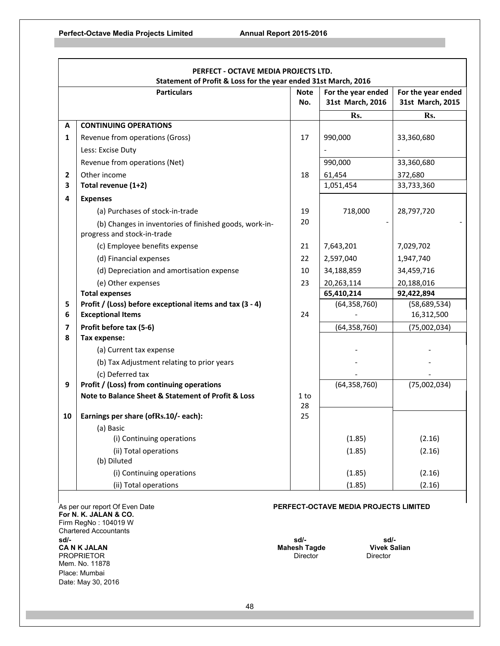- IT

| PERFECT - OCTAVE MEDIA PROJECTS LTD.                           |                                                          |             |                    |                    |
|----------------------------------------------------------------|----------------------------------------------------------|-------------|--------------------|--------------------|
| Statement of Profit & Loss for the year ended 31st March, 2016 |                                                          |             |                    |                    |
|                                                                | <b>Particulars</b>                                       | <b>Note</b> | For the year ended | For the year ended |
|                                                                |                                                          | No.         | 31st March, 2016   | 31st March, 2015   |
|                                                                |                                                          |             | Rs.                | Rs.                |
| А                                                              | <b>CONTINUING OPERATIONS</b>                             |             |                    |                    |
| 1                                                              | Revenue from operations (Gross)                          | 17          | 990,000            | 33,360,680         |
|                                                                | Less: Excise Duty                                        |             |                    |                    |
|                                                                | Revenue from operations (Net)                            |             | 990,000            | 33,360,680         |
| 2                                                              | Other income                                             | 18          | 61,454             | 372,680            |
| 3                                                              | Total revenue (1+2)                                      |             | 1,051,454          | 33,733,360         |
| 4                                                              | <b>Expenses</b>                                          |             |                    |                    |
|                                                                | (a) Purchases of stock-in-trade                          | 19          | 718,000            | 28,797,720         |
|                                                                | (b) Changes in inventories of finished goods, work-in-   | 20          |                    |                    |
|                                                                | progress and stock-in-trade                              |             |                    |                    |
|                                                                | (c) Employee benefits expense                            | 21          | 7,643,201          | 7,029,702          |
|                                                                | (d) Financial expenses                                   | 22          | 2,597,040          | 1,947,740          |
|                                                                | (d) Depreciation and amortisation expense                | 10          | 34,188,859         | 34,459,716         |
|                                                                | (e) Other expenses                                       | 23          | 20,263,114         | 20,188,016         |
|                                                                | <b>Total expenses</b>                                    |             | 65,410,214         | 92,422,894         |
| 5                                                              | Profit / (Loss) before exceptional items and tax (3 - 4) |             | (64, 358, 760)     | (58,689,534)       |
| 6                                                              | <b>Exceptional Items</b>                                 | 24          |                    | 16,312,500         |
| $\overline{\mathbf{z}}$                                        | Profit before tax (5-6)                                  |             | (64, 358, 760)     | (75,002,034)       |
| 8                                                              | Tax expense:                                             |             |                    |                    |
|                                                                | (a) Current tax expense                                  |             |                    |                    |
|                                                                | (b) Tax Adjustment relating to prior years               |             |                    |                    |
|                                                                | (c) Deferred tax                                         |             |                    |                    |
| 9                                                              | Profit / (Loss) from continuing operations               |             | (64, 358, 760)     | (75,002,034)       |
|                                                                | Note to Balance Sheet & Statement of Profit & Loss       | 1 to        |                    |                    |
| 10                                                             | Earnings per share (ofRs.10/- each):                     | 28<br>25    |                    |                    |
|                                                                | (a) Basic                                                |             |                    |                    |
|                                                                | (i) Continuing operations                                |             | (1.85)             | (2.16)             |
|                                                                | (ii) Total operations                                    |             | (1.85)             | (2.16)             |
|                                                                | (b) Diluted                                              |             |                    |                    |
|                                                                | (i) Continuing operations                                |             | (1.85)             | (2.16)             |
|                                                                | (ii) Total operations                                    |             | (1.85)             | (2.16)             |

**For N. K. JALAN & CO.**  Firm RegNo : 104019 W Chartered Accountants<br>sd/**sd/- sd/- sd/- CA N K JALAN Mahesh Tagde Vivek Salian**  PROPRIETOR Mem. No. 11878 Place: Mumbai Date: May 30, 2016

# As per our report Of Even Date **PERFECT-OCTAVE MEDIA PROJECTS LIMITED**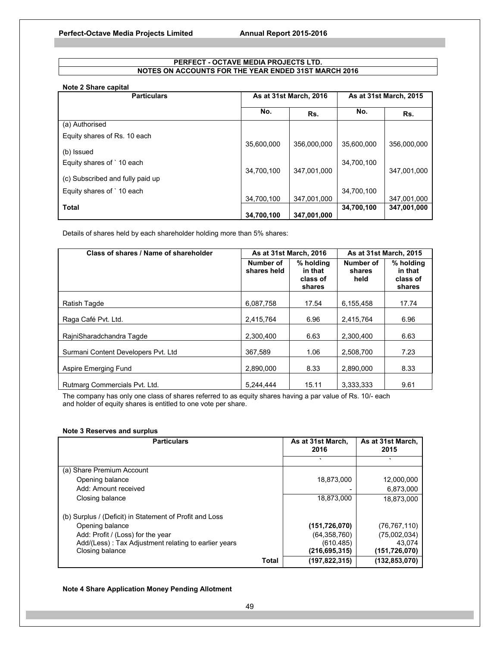## **PERFECT - OCTAVE MEDIA PROJECTS LTD. NOTES ON ACCOUNTS FOR THE YEAR ENDED 31ST MARCH 2016**

## **Note 2 Share capital**

| <b>Particulars</b>               | As at 31st March, 2016 |             | As at 31st March, 2015 |             |
|----------------------------------|------------------------|-------------|------------------------|-------------|
|                                  | No.                    | Rs.         | No.                    | Rs.         |
| (a) Authorised                   |                        |             |                        |             |
| Equity shares of Rs. 10 each     | 35,600,000             | 356.000.000 | 35.600.000             | 356.000.000 |
| (b) Issued                       |                        |             |                        |             |
| Equity shares of 10 each         | 34,700,100             | 347,001,000 | 34,700,100             | 347,001,000 |
| (c) Subscribed and fully paid up |                        |             |                        |             |
| Equity shares of 10 each         |                        |             | 34,700,100             |             |
|                                  | 34,700,100             | 347,001,000 |                        | 347,001,000 |
| <b>Total</b>                     |                        |             | 34,700,100             | 347,001,000 |
|                                  | 34,700,100             | 347,001,000 |                        |             |

Details of shares held by each shareholder holding more than 5% shares:

| Class of shares / Name of shareholder | As at 31st March, 2016   |                                            | As at 31st March, 2015      |                                            |
|---------------------------------------|--------------------------|--------------------------------------------|-----------------------------|--------------------------------------------|
|                                       | Number of<br>shares held | % holding<br>in that<br>class of<br>shares | Number of<br>shares<br>held | % holding<br>in that<br>class of<br>shares |
| Ratish Tagde                          | 6,087,758                | 17.54                                      | 6,155,458                   | 17.74                                      |
| Raga Café Pvt. Ltd.                   | 2,415,764                | 6.96                                       | 2,415,764                   | 6.96                                       |
| RajniSharadchandra Tagde              | 2.300.400                | 6.63                                       | 2.300.400                   | 6.63                                       |
| Surmani Content Developers Pvt. Ltd   | 367.589                  | 1.06                                       | 2.508.700                   | 7.23                                       |
| Aspire Emerging Fund                  | 2.890.000                | 8.33                                       | 2.890.000                   | 8.33                                       |
| Rutmarg Commercials Pvt. Ltd.         | 5.244.444                | 15.11                                      | 3.333.333                   | 9.61                                       |

The company has only one class of shares referred to as equity shares having a par value of Rs. 10/- each and holder of equity shares is entitled to one vote per share.

## **Note 3 Reserves and surplus**

| <b>Particulars</b>                                      |       | As at 31st March,<br>2016 | As at 31st March,<br>2015 |
|---------------------------------------------------------|-------|---------------------------|---------------------------|
|                                                         |       |                           | $\cdot$                   |
| (a) Share Premium Account                               |       |                           |                           |
| Opening balance                                         |       | 18,873,000                | 12,000,000                |
| Add: Amount received                                    |       |                           | 6,873,000                 |
| Closing balance                                         |       | 18,873,000                | 18,873,000                |
| (b) Surplus / (Deficit) in Statement of Profit and Loss |       |                           |                           |
| Opening balance                                         |       | (151, 726, 070)           | (76, 767, 110)            |
| Add: Profit / (Loss) for the year                       |       | (64, 358, 760)            | (75,002,034)              |
| Add/(Less): Tax Adjustment relating to earlier years    |       | (610.485)                 | 43.074                    |
| Closing balance                                         |       | (216,695,315)             | (151,726,070)             |
|                                                         | Total | (197,822,315)             | (132,853,070)             |

## **Note 4 Share Application Money Pending Allotment**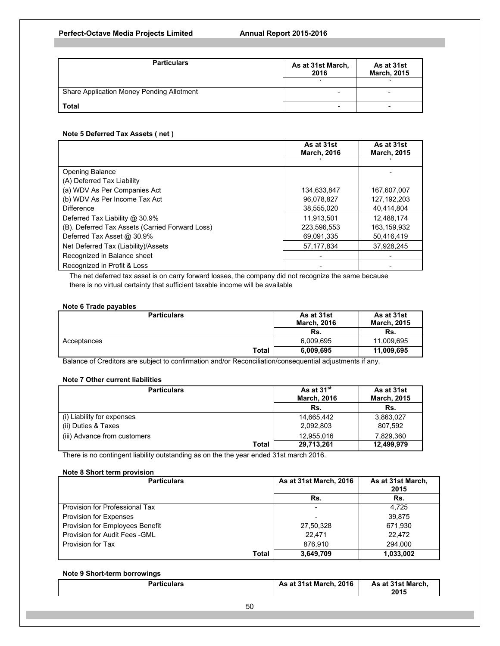| <b>Particulars</b>                        | As at 31st March,<br>2016 | As at 31st<br><b>March, 2015</b> |  |
|-------------------------------------------|---------------------------|----------------------------------|--|
|                                           |                           |                                  |  |
| Share Application Money Pending Allotment | ۰                         |                                  |  |
| <b>Total</b>                              | -                         | -                                |  |

## **Note 5 Deferred Tax Assets ( net )**

|                                                 | As at 31st<br><b>March, 2016</b> | As at 31st<br><b>March, 2015</b> |
|-------------------------------------------------|----------------------------------|----------------------------------|
|                                                 |                                  |                                  |
| <b>Opening Balance</b>                          |                                  |                                  |
| (A) Deferred Tax Liability                      |                                  |                                  |
| (a) WDV As Per Companies Act                    | 134,633,847                      | 167,607,007                      |
| (b) WDV As Per Income Tax Act                   | 96.078.827                       | 127, 192, 203                    |
| <b>Difference</b>                               | 38.555.020                       | 40.414.804                       |
| Deferred Tax Liability @ 30.9%                  | 11.913.501                       | 12.488.174                       |
| (B). Deferred Tax Assets (Carried Forward Loss) | 223.596.553                      | 163,159,932                      |
| Deferred Tax Asset @ 30.9%                      | 69,091,335                       | 50,416,419                       |
| Net Deferred Tax (Liability)/Assets             | 57,177,834                       | 37,928,245                       |
| Recognized in Balance sheet                     |                                  |                                  |
| Recognized in Profit & Loss                     |                                  |                                  |

The net deferred tax asset is on carry forward losses, the company did not recognize the same because there is no virtual certainty that sufficient taxable income will be available

## **Note 6 Trade payables**

| <b>Particulars</b> |       | As at 31st<br><b>March, 2016</b> | As at 31st<br><b>March, 2015</b> |  |
|--------------------|-------|----------------------------------|----------------------------------|--|
|                    |       | Rs.                              | Rs.                              |  |
| Acceptances        |       | 6.009.695                        | 11.009.695                       |  |
|                    | Total | 6,009,695                        | 11,009,695                       |  |

Balance of Creditors are subject to confirmation and/or Reconciliation/consequential adjustments if any.

## **Note 7 Other current liabilities**

| <b>Particulars</b>           | As at 31 <sup>st</sup><br><b>March, 2016</b> | As at 31st<br><b>March, 2015</b> |  |
|------------------------------|----------------------------------------------|----------------------------------|--|
|                              | Rs.                                          | Rs.                              |  |
| (i) Liability for expenses   | 14,665,442                                   | 3,863,027                        |  |
| (ii) Duties & Taxes          | 2,092,803                                    | 807,592                          |  |
| (iii) Advance from customers | 12,955,016                                   | 7,829,360                        |  |
| Total                        | 29,713,261                                   | 12,499,979                       |  |

There is no contingent liability outstanding as on the the year ended 31st march 2016.

## **Note 8 Short term provision**

| <b>Particulars</b>                     | As at 31st March, 2016 | As at 31st March,<br>2015 |
|----------------------------------------|------------------------|---------------------------|
|                                        | Rs.                    | Rs.                       |
| Provision for Professional Tax         |                        | 4.725                     |
| <b>Provision for Expenses</b>          |                        | 39.875                    |
| <b>Provision for Employees Benefit</b> | 27,50,328              | 671,930                   |
| Provision for Audit Fees - GML         | 22.471                 | 22.472                    |
| Provision for Tax                      | 876.910                | 294.000                   |
| Total                                  | 3,649,709              | 1,033,002                 |

## **Note 9 Short-term borrowings**

| <b>Particulars</b> | <b>As at 31st March, 2016</b> | As at 31st March, |
|--------------------|-------------------------------|-------------------|
|                    |                               | 2015              |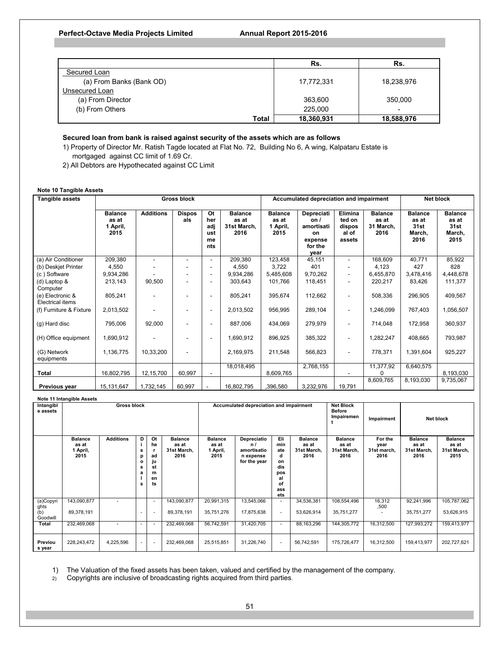|                          | Rs.        | Rs.        |
|--------------------------|------------|------------|
| Secured Loan             |            |            |
| (a) From Banks (Bank OD) | 17,772,331 | 18,238,976 |
| Unsecured Loan           |            |            |
| (a) From Director        | 363,600    | 350,000    |
| (b) From Others          | 225,000    | -          |
| Total                    | 18,360,931 | 18,588,976 |

## **Secured loan from bank is raised against security of the assets which are as follows**

1) Property of Director Mr. Ratish Tagde located at Flat No. 72, Building No 6, A wing, Kalpataru Estate is mortgaged against CC limit of 1.69 Cr.

2) All Debtors are Hypothecated against CC Limit

## **Note 10 Tangible Assets**

| <b>Tangible assets</b>               | <b>Gross block</b>                          |                          |                      |                                             |                                                | Accumulated depreciation and impairment     |                                                                             |                                                |                                              | Net block                                         |                                                   |
|--------------------------------------|---------------------------------------------|--------------------------|----------------------|---------------------------------------------|------------------------------------------------|---------------------------------------------|-----------------------------------------------------------------------------|------------------------------------------------|----------------------------------------------|---------------------------------------------------|---------------------------------------------------|
|                                      | <b>Balance</b><br>as at<br>1 April,<br>2015 | <b>Additions</b>         | <b>Dispos</b><br>als | <b>Ot</b><br>her<br>adj<br>ust<br>me<br>nts | <b>Balance</b><br>as at<br>31st March.<br>2016 | <b>Balance</b><br>as at<br>1 April,<br>2015 | Depreciati<br>on <i>l</i><br>amortisati<br>on<br>expense<br>for the<br>vear | Elimina<br>ted on<br>dispos<br>al of<br>assets | <b>Balance</b><br>as at<br>31 March.<br>2016 | <b>Balance</b><br>as at<br>31st<br>March,<br>2016 | <b>Balance</b><br>as at<br>31st<br>March,<br>2015 |
| (a) Air Conditioner                  | 209,380                                     | $\overline{\phantom{a}}$ | $\blacksquare$       | ٠                                           | 209,380                                        | 123,458                                     | 45,151                                                                      | $\overline{\phantom{a}}$                       | 168,609                                      | 40,771                                            | 85,922                                            |
| (b) Deskjet Printer                  | 4,550                                       |                          |                      | $\blacksquare$                              | 4.550                                          | 3,722                                       | 401                                                                         |                                                | 4,123                                        | 427                                               | 828                                               |
| (c) Software                         | 9,934,286                                   |                          |                      | $\overline{\phantom{a}}$                    | 9,934,286                                      | 5,485,608                                   | 9,70,262                                                                    | $\overline{\phantom{a}}$                       | 6,455,870                                    | 3,478,416                                         | 4,448,678                                         |
| $(d)$ Laptop &<br>Computer           | 213,143                                     | 90,500                   |                      | ٠                                           | 303,643                                        | 101,766                                     | 118,451                                                                     |                                                | 220,217                                      | 83,426                                            | 111,377                                           |
| (e) Electronic &<br>Electrical items | 805,241                                     |                          |                      | $\blacksquare$                              | 805,241                                        | 395,674                                     | 112,662                                                                     | $\blacksquare$                                 | 508,336                                      | 296,905                                           | 409,567                                           |
| (f) Furniture & Fixture              | 2,013,502                                   |                          |                      | ٠                                           | 2,013,502                                      | 956,995                                     | 289,104                                                                     | $\overline{\phantom{a}}$                       | 1,246,099                                    | 767,403                                           | 1,056,507                                         |
| (g) Hard disc                        | 795,006                                     | 92,000                   |                      | $\blacksquare$                              | 887,006                                        | 434,069                                     | 279,979                                                                     | $\blacksquare$                                 | 714,048                                      | 172,958                                           | 360,937                                           |
| (H) Office equipment                 | 1,690,912                                   | ٠                        |                      | $\overline{\phantom{a}}$                    | 1,690,912                                      | 896,925                                     | 385,322                                                                     | $\blacksquare$                                 | 1,282,247                                    | 408,665                                           | 793,987                                           |
| (G) Network<br>equipments            | 1,136,775                                   | 10,33,200                |                      |                                             | 2,169,975                                      | 211,548                                     | 566,823                                                                     | $\overline{\phantom{a}}$                       | 778,371                                      | 1,391,604                                         | 925,227                                           |
| <b>Total</b>                         |                                             |                          | 60,997               |                                             | 18,018,495                                     |                                             | 2,768,155                                                                   |                                                | 11,377,92                                    | 6,640,575                                         |                                                   |
|                                      | 16,802,795                                  | 12,15,700                |                      |                                             |                                                | 8,609,765                                   |                                                                             |                                                | 8,609,765                                    | 8,193,030                                         | 8,193,030<br>9,735,067                            |
| Previous year                        | 15,131,647                                  | 1,732,145                | 60,997               |                                             | 16,802,795                                     | ,396,580                                    | 3,232,976                                                                   | 19,791                                         |                                              |                                                   |                                                   |

#### **Note 11 Intangible Assets**

| Intangibl<br>e assets    | <b>Gross block</b>                          |                  |                                       |                                       | Accumulated depreciation and impairment        |                                             |                                                               | <b>Net Block</b><br><b>Before</b><br>Impairemen                      | Impairment                                     |                                                | Net block                              |                                                |                                                |
|--------------------------|---------------------------------------------|------------------|---------------------------------------|---------------------------------------|------------------------------------------------|---------------------------------------------|---------------------------------------------------------------|----------------------------------------------------------------------|------------------------------------------------|------------------------------------------------|----------------------------------------|------------------------------------------------|------------------------------------------------|
|                          | <b>Balance</b><br>as at<br>1 April,<br>2015 | <b>Additions</b> | D<br>s<br>р<br>$\circ$<br>s<br>а<br>s | Ot<br>he<br>ad<br>st<br>m<br>en<br>ts | <b>Balance</b><br>as at<br>31st March,<br>2016 | <b>Balance</b><br>as at<br>1 April,<br>2015 | Depreciatio<br>n/<br>amortisatio<br>n expense<br>for the year | Eli<br>min<br>ate<br>d<br>on<br>dis<br>pos<br>al<br>of<br>ass<br>ets | <b>Balance</b><br>as at<br>31st March,<br>2016 | <b>Balance</b><br>as at<br>31st March,<br>2016 | For the<br>year<br>31st march,<br>2016 | <b>Balance</b><br>as at<br>31st March,<br>2016 | <b>Balance</b><br>as at<br>31st March,<br>2015 |
| (a)Copyri<br>ghts<br>(b) | 143,090,877                                 | ٠                |                                       | $\overline{a}$                        | 143,090,877                                    | 20,991,315                                  | 13,545,066                                                    | $\sim$                                                               | 34,536,381                                     | 108,554,496                                    | 16,312<br>,500                         | 92,241,996                                     | 105,787,062                                    |
| Goodwill                 | 89,378,191                                  |                  | ٠                                     | $\overline{a}$                        | 89,378,191                                     | 35,751,276                                  | 17,875,638                                                    | $\sim$                                                               | 53,626,914                                     | 35,751,277                                     |                                        | 35,751,277                                     | 53,626,915                                     |
| Total                    | 232,469,068                                 | ٠                | ٠                                     |                                       | 232,469,068                                    | 56,742,591                                  | 31,420,705                                                    | $\sim$                                                               | 88, 163, 296                                   | 144,305,772                                    | 16,312,500                             | 127,993,272                                    | 159,413,977                                    |
| Previou<br>s year        | 228,243,472                                 | 4,225,596        | ٠                                     | $\overline{\phantom{a}}$              | 232,469,068                                    | 25,515,851                                  | 31,226,740                                                    | $\overline{\phantom{a}}$                                             | 56,742,591                                     | 175,726,477                                    | 16,312,500                             | 159,413,977                                    | 202,727,621                                    |

1) The Valuation of the fixed assets has been taken, valued and certified by the management of the company.

2) Copyrights are inclusive of broadcasting rights acquired from third parties.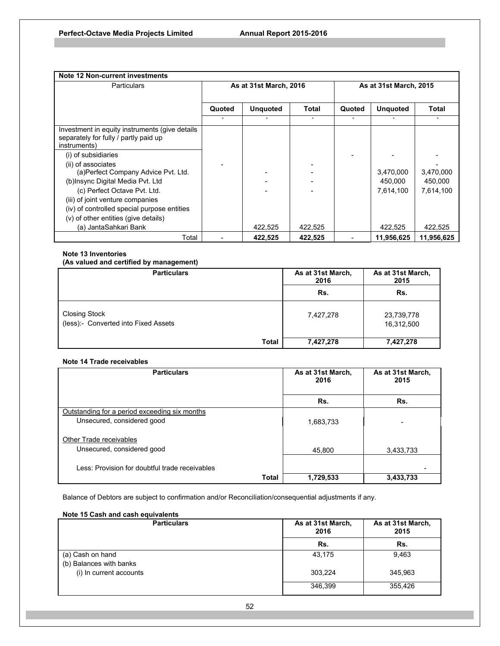| Note 12 Non-current investments                                                                         |                        |                 |         |         |                        |            |
|---------------------------------------------------------------------------------------------------------|------------------------|-----------------|---------|---------|------------------------|------------|
| <b>Particulars</b>                                                                                      | As at 31st March, 2016 |                 |         |         | As at 31st March, 2015 |            |
|                                                                                                         | Quoted                 | <b>Unquoted</b> | Total   | Quoted  | <b>Unquoted</b>        | Total      |
|                                                                                                         | $\cdot$                |                 | $\cdot$ | $\cdot$ | $\cdot$                | $\cdot$    |
| Investment in equity instruments (give details<br>separately for fully / partly paid up<br>instruments) |                        |                 |         |         |                        |            |
| (i) of subsidiaries                                                                                     |                        |                 |         |         |                        |            |
| (ii) of associates                                                                                      |                        |                 |         |         |                        |            |
| (a) Perfect Company Advice Pvt. Ltd.                                                                    |                        |                 |         |         | 3,470,000              | 3,470,000  |
| (b)Insync Digital Media Pvt. Ltd                                                                        |                        |                 |         |         | 450,000                | 450,000    |
| (c) Perfect Octave Pvt. Ltd.                                                                            |                        |                 |         |         | 7,614,100              | 7,614,100  |
| (iii) of joint venture companies                                                                        |                        |                 |         |         |                        |            |
| (iv) of controlled special purpose entities                                                             |                        |                 |         |         |                        |            |
| (v) of other entities (give details)                                                                    |                        |                 |         |         |                        |            |
| (a) JantaSahkari Bank                                                                                   |                        | 422,525         | 422,525 |         | 422,525                | 422,525    |
| Total                                                                                                   |                        | 422.525         | 422,525 |         | 11,956,625             | 11,956,625 |

## **Note 13 Inventories**

# **(As valued and certified by management)**

| <b>Particulars</b>                                           | As at 31st March,<br>2016 | As at 31st March,<br>2015 |
|--------------------------------------------------------------|---------------------------|---------------------------|
|                                                              | Rs.                       | Rs.                       |
| <b>Closing Stock</b><br>(less):- Converted into Fixed Assets | 7,427,278                 | 23,739,778<br>16,312,500  |
| <b>Total</b>                                                 | 7,427,278                 | 7,427,278                 |

## **Note 14 Trade receivables**

| <b>Particulars</b>                             |              | As at 31st March,<br>2016 | As at 31st March,<br>2015 |  |
|------------------------------------------------|--------------|---------------------------|---------------------------|--|
|                                                |              | Rs.                       | Rs.                       |  |
| Outstanding for a period exceeding six months  |              |                           |                           |  |
| Unsecured, considered good                     |              | 1,683,733                 |                           |  |
| <b>Other Trade receivables</b>                 |              |                           |                           |  |
| Unsecured, considered good                     |              | 45.800                    | 3.433.733                 |  |
| Less: Provision for doubtful trade receivables |              |                           |                           |  |
|                                                | <b>Total</b> | 1,729,533                 | 3,433,733                 |  |

Balance of Debtors are subject to confirmation and/or Reconciliation/consequential adjustments if any.

# **Note 15 Cash and cash equivalents**

| <b>Particulars</b>                          | As at 31st March,<br>2016 | As at 31st March,<br>2015 |  |
|---------------------------------------------|---------------------------|---------------------------|--|
|                                             | Rs.                       | Rs.                       |  |
| (a) Cash on hand<br>(b) Balances with banks | 43,175                    | 9.463                     |  |
| (i) In current accounts                     | 303,224                   | 345.963                   |  |
|                                             | 346.399                   | 355,426                   |  |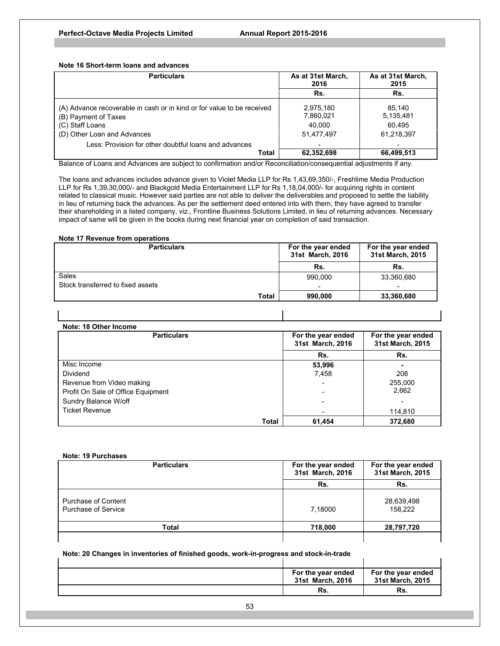**Note 16 Short-term loans and advances** 

| <b>Particulars</b>                                                                                                                               | As at 31st March,<br>2016                      | As at 31st March,<br>2015                   |
|--------------------------------------------------------------------------------------------------------------------------------------------------|------------------------------------------------|---------------------------------------------|
|                                                                                                                                                  | Rs.                                            | Rs.                                         |
| (A) Advance recoverable in cash or in kind or for value to be received<br>(B) Payment of Taxes<br>(C) Staff Loans<br>(D) Other Loan and Advances | 2,975,180<br>7,860,021<br>40.000<br>51,477,497 | 85.140<br>5,135,481<br>60.495<br>61,218,397 |
| Less: Provision for other doubtful loans and advances                                                                                            |                                                |                                             |
| Total                                                                                                                                            | 62,352,698                                     | 66,499,513                                  |

Balance of Loans and Advances are subject to confirmation and/or Reconciliation/consequential adjustments if any.

The loans and advances includes advance given to Violet Media LLP for Rs 1,43,69,350/-, Freshlime Media Production LLP for Rs 1,39,30,000/- and Blackgold Media Entertainment LLP for Rs 1,18,04,000/- for acquiring rights in content related to classical music. However said parties are not able to deliver the deliverables and proposed to settle the liability in lieu of returning back the advances. As per the settlement deed entered into with them, they have agreed to transfer their shareholding in a listed company, viz., Frontline Business Solutions Limited, in lieu of returning advances. Necessary impact of same will be given in the books during next financial year on completion of said transaction.

#### **Note 17 Revenue from operations**

| <b>Particulars</b>                | For the year ended<br>31st March, 2016 | For the year ended<br>31st March, 2015 |  |
|-----------------------------------|----------------------------------------|----------------------------------------|--|
|                                   | Rs.                                    | Rs.                                    |  |
| Sales                             | 990.000                                | 33,360,680                             |  |
| Stock transferred to fixed assets |                                        |                                        |  |
| Total                             | 990.000                                | 33,360,680                             |  |

 $\blacksquare$ 

| Note: 18 Other Income              |       |                                        |                                        |  |
|------------------------------------|-------|----------------------------------------|----------------------------------------|--|
| <b>Particulars</b>                 |       | For the year ended<br>31st March, 2016 | For the year ended<br>31st March, 2015 |  |
|                                    |       | Rs.                                    | Rs.                                    |  |
| Misc Income                        |       | 53,996                                 |                                        |  |
| Dividend                           |       | 7,458                                  | 208                                    |  |
| Revenue from Video making          |       |                                        | 255,000                                |  |
| Profit On Sale of Office Equipment |       |                                        | 2,662                                  |  |
| Sundry Balance W/off               |       |                                        | $\overline{\phantom{0}}$               |  |
| <b>Ticket Revenue</b>              |       |                                        | 114,810                                |  |
|                                    | Total | 61,454                                 | 372,680                                |  |

#### **Note: 19 Purchases**

| <b>Particulars</b>                         | For the year ended<br>31st March, 2016 | For the year ended<br>31st March, 2015 |  |
|--------------------------------------------|----------------------------------------|----------------------------------------|--|
|                                            | Rs.                                    | Rs.                                    |  |
| Purchase of Content<br>Purchase of Service | 7,18000                                | 28,639,498<br>158.222                  |  |
| Total                                      | 718.000                                | 28,797,720                             |  |
|                                            |                                        |                                        |  |

## **Note: 20 Changes in inventories of finished goods, work-in-progress and stock-in-trade**

|  | For the year ended<br>31st March, 2016 | For the year ended<br>31st March, 2015 |
|--|----------------------------------------|----------------------------------------|
|  | Rs.                                    | Rs.                                    |

Ĭ.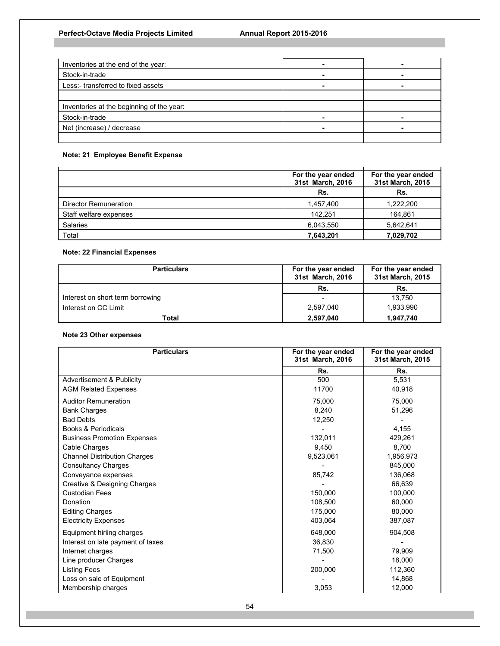| Inventories at the end of the year:       |  |
|-------------------------------------------|--|
| Stock-in-trade                            |  |
| Less:- transferred to fixed assets        |  |
|                                           |  |
| Inventories at the beginning of the year: |  |
| Stock-in-trade                            |  |
| Net (increase) / decrease                 |  |
|                                           |  |

# **Note: 21 Employee Benefit Expense**

|                        | For the year ended<br>31st March, 2016 | For the year ended<br>31st March, 2015 |
|------------------------|----------------------------------------|----------------------------------------|
|                        | Rs.                                    | Rs.                                    |
| Director Remuneration  | 1,457,400                              | 1,222,200                              |
| Staff welfare expenses | 142.251                                | 164,861                                |
| Salaries               | 6,043,550                              | 5,642,641                              |
| Total                  | 7,643,201                              | 7,029,702                              |

# **Note: 22 Financial Expenses**

| <b>Particulars</b>               | For the year ended<br>31st March, 2016 | For the year ended<br>31st March, 2015 |
|----------------------------------|----------------------------------------|----------------------------------------|
|                                  | Rs.                                    | Rs.                                    |
| Interest on short term borrowing |                                        | 13.750                                 |
| Interest on CC Limit             | 2,597,040                              | 1,933,990                              |
| Total                            | 2,597,040                              | 1,947,740                              |

## **Note 23 Other expenses**

| <b>Particulars</b>                      | For the year ended<br>31st March, 2016 | For the year ended<br>31st March, 2015 |
|-----------------------------------------|----------------------------------------|----------------------------------------|
|                                         | Rs.                                    | Rs.                                    |
| <b>Advertisement &amp; Publicity</b>    | 500                                    | 5,531                                  |
| <b>AGM Related Expenses</b>             | 11700                                  | 40,918                                 |
| <b>Auditor Remuneration</b>             | 75,000                                 | 75,000                                 |
| <b>Bank Charges</b>                     | 8,240                                  | 51,296                                 |
| <b>Bad Debts</b>                        | 12,250                                 |                                        |
| Books & Periodicals                     |                                        | 4,155                                  |
| <b>Business Promotion Expenses</b>      | 132,011                                | 429,261                                |
| Cable Charges                           | 9.450                                  | 8.700                                  |
| <b>Channel Distribution Charges</b>     | 9,523,061                              | 1,956,973                              |
| <b>Consultancy Charges</b>              |                                        | 845,000                                |
| Conveyance expenses                     | 85,742                                 | 136,068                                |
| <b>Creative &amp; Designing Charges</b> |                                        | 66,639                                 |
| <b>Custodian Fees</b>                   | 150,000                                | 100,000                                |
| Donation                                | 108.500                                | 60.000                                 |
| <b>Editing Charges</b>                  | 175,000                                | 80.000                                 |
| <b>Electricity Expenses</b>             | 403,064                                | 387,087                                |
| Equipment hiriing charges               | 648,000                                | 904,508                                |
| Interest on late payment of taxes       | 36.830                                 |                                        |
| Internet charges                        | 71,500                                 | 79,909                                 |
| Line producer Charges                   |                                        | 18,000                                 |
| <b>Listing Fees</b>                     | 200,000                                | 112,360                                |
| Loss on sale of Equipment               |                                        | 14,868                                 |
| Membership charges                      | 3,053                                  | 12,000                                 |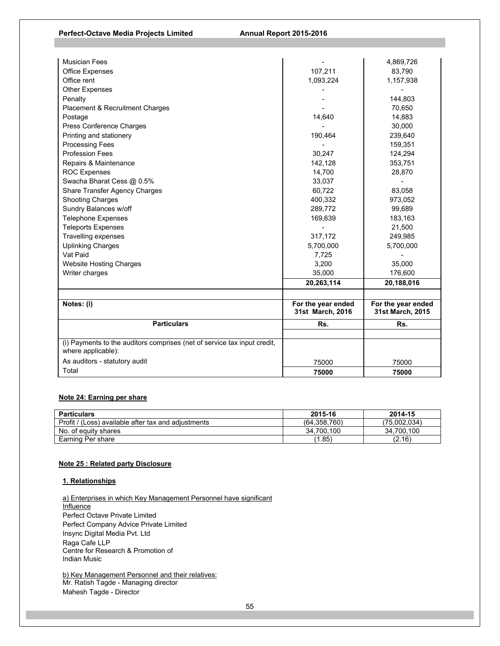## Perfect-Octave Media Projects Limited **Annual Report 2015-2016**

| <b>Musician Fees</b>                                                                           |                                        | 4,869,726                              |
|------------------------------------------------------------------------------------------------|----------------------------------------|----------------------------------------|
| <b>Office Expenses</b>                                                                         | 107,211                                | 83,790                                 |
| Office rent                                                                                    | 1,093,224                              | 1,157,938                              |
| <b>Other Expenses</b>                                                                          |                                        |                                        |
| Penalty                                                                                        |                                        | 144,803                                |
| <b>Placement &amp; Recruitment Charges</b>                                                     |                                        | 70,650                                 |
| Postage                                                                                        | 14,640                                 | 14,883                                 |
| Press Conference Charges                                                                       |                                        | 30,000                                 |
| Printing and stationery                                                                        | 190,464                                | 239,640                                |
| <b>Processing Fees</b>                                                                         |                                        | 159,351                                |
| <b>Profession Fees</b>                                                                         | 30,247                                 | 124,294                                |
| Repairs & Maintenance                                                                          | 142,128                                | 353,751                                |
| <b>ROC Expenses</b>                                                                            | 14,700                                 | 28,870                                 |
| Swacha Bharat Cess @ 0.5%                                                                      | 33,037                                 |                                        |
| Share Transfer Agency Charges                                                                  | 60,722                                 | 83,058                                 |
| <b>Shooting Charges</b>                                                                        | 400,332                                | 973,052                                |
| Sundry Balances w/off                                                                          | 289,772                                | 99,689                                 |
| <b>Telephone Expenses</b>                                                                      | 169,639                                | 183,163                                |
| <b>Teleports Expenses</b>                                                                      |                                        | 21,500                                 |
| <b>Travelling expenses</b>                                                                     | 317,172                                | 249,985                                |
| <b>Uplinking Charges</b>                                                                       | 5,700,000                              | 5,700,000                              |
| Vat Paid                                                                                       | 7,725                                  |                                        |
| <b>Website Hosting Charges</b>                                                                 | 3,200                                  | 35,000                                 |
| Writer charges                                                                                 | 35,000                                 | 176,600                                |
|                                                                                                | 20,263,114                             | 20,188,016                             |
|                                                                                                |                                        |                                        |
| Notes: (i)                                                                                     | For the year ended<br>31st March, 2016 | For the year ended<br>31st March, 2015 |
| <b>Particulars</b>                                                                             | Rs.                                    | Rs.                                    |
|                                                                                                |                                        |                                        |
| (i) Payments to the auditors comprises (net of service tax input credit,<br>where applicable): |                                        |                                        |
| As auditors - statutory audit                                                                  | 75000                                  | 75000                                  |
| Total                                                                                          | 75000                                  | 75000                                  |

## **Note 24: Earning per share**

| <b>Particulars</b>                                  | 2015-16      | 2014-15      |
|-----------------------------------------------------|--------------|--------------|
| Profit / (Loss) available after tax and adiustments | (64.358.760) | (75.002.034) |
| No. of equity shares                                | 34.700.100   | 34.700.100   |
| Earning Per share                                   | 1.85         | (2.16)       |

## **Note 25 : Related party Disclosure**

## **1. Relationships**

a) Enterprises in which Key Management Personnel have significant **Influence** Perfect Octave Private Limited Perfect Company Advice Private Limited Insync Digital Media Pvt. Ltd Raga Cafe LLP Centre for Research & Promotion of Indian Music

b) Key Management Personnel and their relatives: Mr. Ratish Tagde - Managing director Mahesh Tagde - Director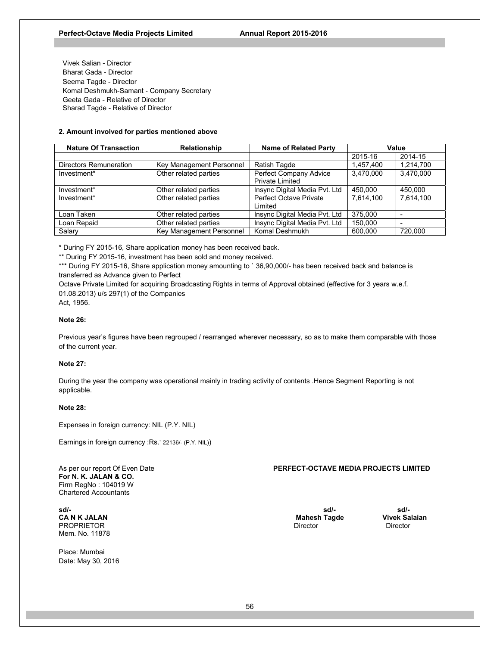Vivek Salian - Director Bharat Gada - Director Seema Tagde - Director Komal Deshmukh-Samant - Company Secretary Geeta Gada - Relative of Director Sharad Tagde - Relative of Director

## **2. Amount involved for parties mentioned above**

| <b>Nature Of Transaction</b> | <b>Relationship</b>      | <b>Name of Related Party</b>  | Value     |                          |
|------------------------------|--------------------------|-------------------------------|-----------|--------------------------|
|                              |                          |                               | 2015-16   | 2014-15                  |
| Directors Remuneration       | Key Management Personnel | <b>Ratish Tagde</b>           | 1,457,400 | 1,214,700                |
| Investment*                  | Other related parties    | Perfect Company Advice        | 3.470.000 | 3.470.000                |
|                              |                          | <b>Private Limited</b>        |           |                          |
| Investment*                  | Other related parties    | Insync Digital Media Pvt. Ltd | 450.000   | 450.000                  |
| Investment*                  | Other related parties    | <b>Perfect Octave Private</b> | 7.614.100 | 7.614.100                |
|                              |                          | Limited                       |           |                          |
| Loan Taken                   | Other related parties    | Insync Digital Media Pvt. Ltd | 375,000   |                          |
| Loan Repaid                  | Other related parties    | Insync Digital Media Pvt. Ltd | 150,000   | $\overline{\phantom{a}}$ |
| Salary                       | Key Management Personnel | Komal Deshmukh                | 600.000   | 720.000                  |

\* During FY 2015-16, Share application money has been received back.

\*\* During FY 2015-16, investment has been sold and money received.

\*\*\* During FY 2015-16, Share application money amounting to ` 36,90,000/- has been received back and balance is transferred as Advance given to Perfect

Octave Private Limited for acquiring Broadcasting Rights in terms of Approval obtained (effective for 3 years w.e.f. 01.08.2013) u/s 297(1) of the Companies

Act, 1956.

#### **Note 26:**

Previous year's figures have been regrouped / rearranged wherever necessary, so as to make them comparable with those of the current year.

#### **Note 27:**

During the year the company was operational mainly in trading activity of contents .Hence Segment Reporting is not applicable.

#### **Note 28:**

Expenses in foreign currency: NIL (P.Y. NIL)

Earnings in foreign currency :Rs.` 22136/- (P.Y. NIL))

**For N. K. JALAN & CO.**  Firm RegNo : 104019 W Chartered Accountants

**sd/- sd/- sd/- CA N K JALAN CONTRACT CONTRACT CAN A CONTRACT CAN A CONTRACT CONTRACT CONTRACT CONTRACT CONTRACT CONTRACT CONTR<br>
CONTRACT PROPRIETOR PROPRIETOR** Mem. No. 11878

Place: Mumbai Date: May 30, 2016

As per our report Of Even Date **PERFECT-OCTAVE MEDIA PROJECTS LIMITED**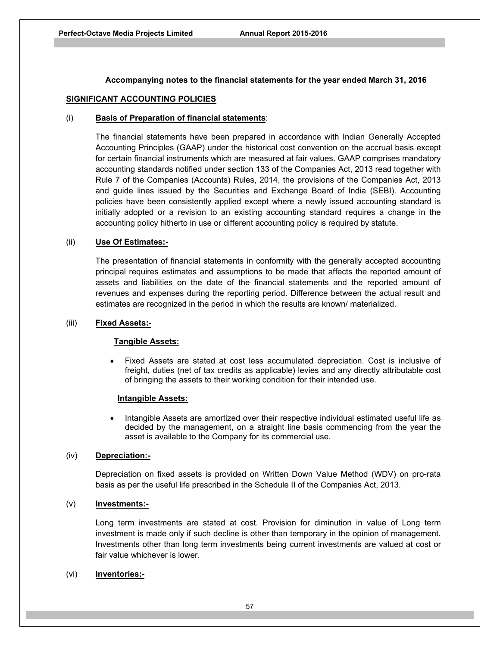## **Accompanying notes to the financial statements for the year ended March 31, 2016**

## **SIGNIFICANT ACCOUNTING POLICIES**

## (i) **Basis of Preparation of financial statements**:

The financial statements have been prepared in accordance with Indian Generally Accepted Accounting Principles (GAAP) under the historical cost convention on the accrual basis except for certain financial instruments which are measured at fair values. GAAP comprises mandatory accounting standards notified under section 133 of the Companies Act, 2013 read together with Rule 7 of the Companies (Accounts) Rules, 2014, the provisions of the Companies Act, 2013 and guide lines issued by the Securities and Exchange Board of India (SEBI). Accounting policies have been consistently applied except where a newly issued accounting standard is initially adopted or a revision to an existing accounting standard requires a change in the accounting policy hitherto in use or different accounting policy is required by statute.

## (ii) **Use Of Estimates:-**

The presentation of financial statements in conformity with the generally accepted accounting principal requires estimates and assumptions to be made that affects the reported amount of assets and liabilities on the date of the financial statements and the reported amount of revenues and expenses during the reporting period. Difference between the actual result and estimates are recognized in the period in which the results are known/ materialized.

## (iii) **Fixed Assets:-**

## **Tangible Assets:**

 Fixed Assets are stated at cost less accumulated depreciation. Cost is inclusive of freight, duties (net of tax credits as applicable) levies and any directly attributable cost of bringing the assets to their working condition for their intended use.

## **Intangible Assets:**

 Intangible Assets are amortized over their respective individual estimated useful life as decided by the management, on a straight line basis commencing from the year the asset is available to the Company for its commercial use.

## (iv) **Depreciation:-**

Depreciation on fixed assets is provided on Written Down Value Method (WDV) on pro-rata basis as per the useful life prescribed in the Schedule II of the Companies Act, 2013.

## (v) **Investments:-**

Long term investments are stated at cost. Provision for diminution in value of Long term investment is made only if such decline is other than temporary in the opinion of management. Investments other than long term investments being current investments are valued at cost or fair value whichever is lower.

## (vi) **Inventories:-**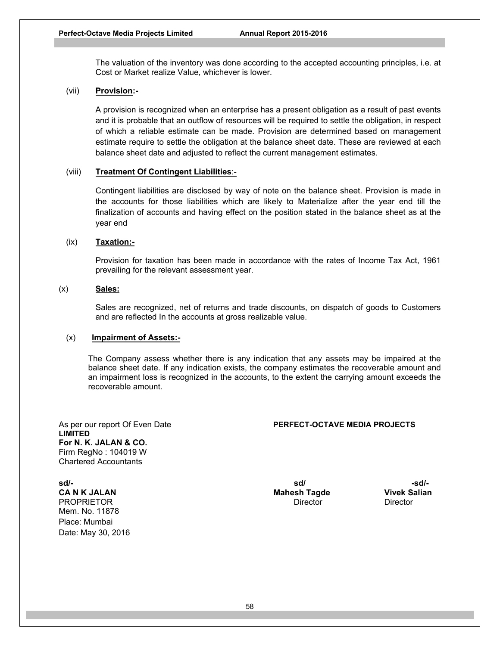The valuation of the inventory was done according to the accepted accounting principles, i.e. at Cost or Market realize Value, whichever is lower.

## (vii) **Provision:-**

A provision is recognized when an enterprise has a present obligation as a result of past events and it is probable that an outflow of resources will be required to settle the obligation, in respect of which a reliable estimate can be made. Provision are determined based on management estimate require to settle the obligation at the balance sheet date. These are reviewed at each balance sheet date and adjusted to reflect the current management estimates.

## (viii) **Treatment Of Contingent Liabilities**:-

Contingent liabilities are disclosed by way of note on the balance sheet. Provision is made in the accounts for those liabilities which are likely to Materialize after the year end till the finalization of accounts and having effect on the position stated in the balance sheet as at the year end

# (ix) **Taxation:-**

Provision for taxation has been made in accordance with the rates of Income Tax Act, 1961 prevailing for the relevant assessment year.

# (x) **Sales:**

Sales are recognized, net of returns and trade discounts, on dispatch of goods to Customers and are reflected In the accounts at gross realizable value.

## (x) **Impairment of Assets:-**

The Company assess whether there is any indication that any assets may be impaired at the balance sheet date. If any indication exists, the company estimates the recoverable amount and an impairment loss is recognized in the accounts, to the extent the carrying amount exceeds the recoverable amount.

As per our report Of Even Date **PERFECT-OCTAVE MEDIA PROJECTS LIMITED For N. K. JALAN & CO.**  Firm RegNo : 104019 W Chartered Accountants

**sd/-** sd/- sd/-  $\mathbf{s}$ **CA N K JALAN Mahesh Tagde Vivek Salian**  PROPRIETOR **Director** Director Director Director Director Director Mem. No. 11878 Place: Mumbai Date: May 30, 2016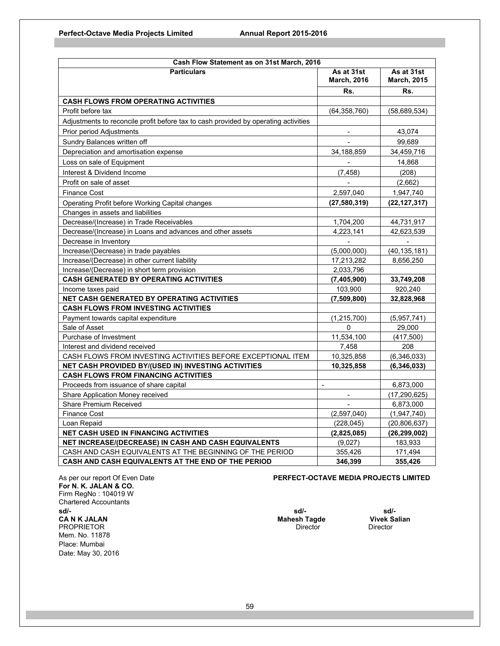| Cash Flow Statement as on 31st March, 2016                                          |                                  |                                  |
|-------------------------------------------------------------------------------------|----------------------------------|----------------------------------|
| <b>Particulars</b>                                                                  | As at 31st<br><b>March, 2016</b> | As at 31st<br><b>March, 2015</b> |
|                                                                                     | Rs.                              | Rs.                              |
| <b>CASH FLOWS FROM OPERATING ACTIVITIES</b>                                         |                                  |                                  |
| Profit before tax                                                                   | (64, 358, 760)                   | (58, 689, 534)                   |
| Adjustments to reconcile profit before tax to cash provided by operating activities |                                  |                                  |
| Prior period Adjustments                                                            | $\overline{\phantom{a}}$         | 43,074                           |
| Sundry Balances written off                                                         |                                  | 99.689                           |
| Depreciation and amortisation expense                                               | 34,188,859                       | 34,459,716                       |
| Loss on sale of Equipment                                                           |                                  | 14,868                           |
| Interest & Dividend Income                                                          | (7, 458)                         | (208)                            |
| Profit on sale of asset                                                             |                                  | (2,662)                          |
| <b>Finance Cost</b>                                                                 | 2,597,040                        | 1,947,740                        |
| Operating Profit before Working Capital changes                                     | (27,580,319)                     | (22, 127, 317)                   |
| Changes in assets and liabilities                                                   |                                  |                                  |
| Decrease/(Increase) in Trade Receivables                                            | 1,704,200                        | 44,731,917                       |
| Decrease/(Increase) in Loans and advances and other assets                          | 4,223,141                        | 42,623,539                       |
| Decrease in Inventory                                                               |                                  |                                  |
| Increase/(Decrease) in trade payables                                               | (5,000,000)                      | (40,135,181)                     |
| Increase/(Decrease) in other current liability                                      | 17,213,282                       | 8,656,250                        |
| Increase/(Decrease) in short term provision                                         | 2,033,796                        |                                  |
| <b>CASH GENERATED BY OPERATING ACTIVITIES</b>                                       | (7,405,900)                      | 33,749,208                       |
| Income taxes paid                                                                   | 103,900                          | 920,240                          |
| <b>NET CASH GENERATED BY OPERATING ACTIVITIES</b>                                   | (7,509,800)                      | 32,828,968                       |
| <b>CASH FLOWS FROM INVESTING ACTIVITIES</b>                                         |                                  |                                  |
| Payment towards capital expenditure                                                 | (1, 215, 700)                    | (5,957,741)                      |
| Sale of Asset                                                                       | 0                                | 29,000                           |
| Purchase of Investment                                                              | 11,534,100                       | (417,500)                        |
| Interest and dividend received                                                      | 7,458                            | 208                              |
| CASH FLOWS FROM INVESTING ACTIVITIES BEFORE EXCEPTIONAL ITEM                        | 10,325,858                       | (6,346,033)                      |
| <b>NET CASH PROVIDED BY/(USED IN) INVESTING ACTIVITIES</b>                          | 10,325,858                       | (6,346,033)                      |
| <b>CASH FLOWS FROM FINANCING ACTIVITIES</b>                                         |                                  |                                  |
| Proceeds from issuance of share capital                                             |                                  | 6,873,000                        |
| Share Application Money received                                                    | $\blacksquare$                   | (17, 290, 625)                   |
| <b>Share Premium Received</b>                                                       |                                  | 6,873,000                        |
| <b>Finance Cost</b>                                                                 | (2,597,040)                      | (1,947,740)                      |
| Loan Repaid                                                                         | (228, 045)                       | (20, 806, 637)                   |
| <b>NET CASH USED IN FINANCING ACTIVITIES</b>                                        | (2,825,085)                      | (26, 299, 002)                   |
| NET INCREASE/(DECREASE) IN CASH AND CASH EQUIVALENTS                                | (9,027)                          | 183,933                          |
| CASH AND CASH EQUIVALENTS AT THE BEGINNING OF THE PERIOD                            | 355,426                          | 171,494                          |
| CASH AND CASH EQUIVALENTS AT THE END OF THE PERIOD                                  | 346,399                          | 355,426                          |

**For N. K. JALAN & CO.**  Firm RegNo : 104019 W Chartered Accountants **sd/- sd/- sd/- CA N K JALAN Mahesh Tagde Vivek Salian CA N K JALAN** PROPRIETOR Director Director Director Director Director Director Director Director Mem. No. 11878 Place: Mumbai Date: May 30, 2016

As per our report Of Even Date **PERFECT-OCTAVE MEDIA PROJECTS LIMITED**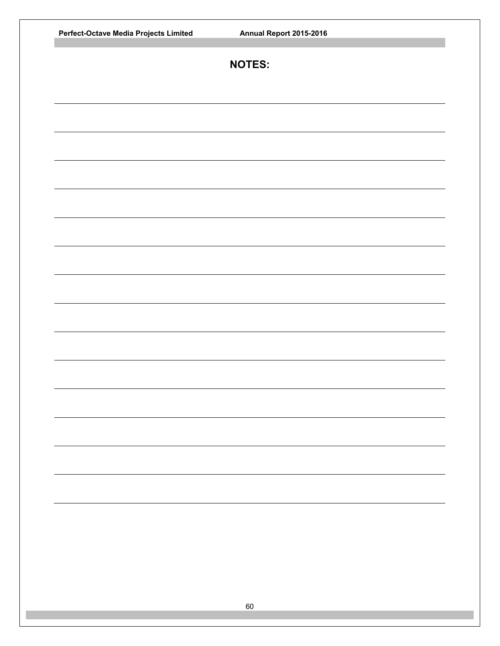| Perfect-Octave Media Projects Limited<br>Annual Report 2015-2016 |  |
|------------------------------------------------------------------|--|
| <b>NOTES:</b>                                                    |  |
|                                                                  |  |
|                                                                  |  |
|                                                                  |  |
|                                                                  |  |
|                                                                  |  |
|                                                                  |  |
|                                                                  |  |
|                                                                  |  |
|                                                                  |  |
|                                                                  |  |
|                                                                  |  |
|                                                                  |  |
|                                                                  |  |
|                                                                  |  |
|                                                                  |  |
|                                                                  |  |
|                                                                  |  |
|                                                                  |  |
|                                                                  |  |
| 60                                                               |  |
|                                                                  |  |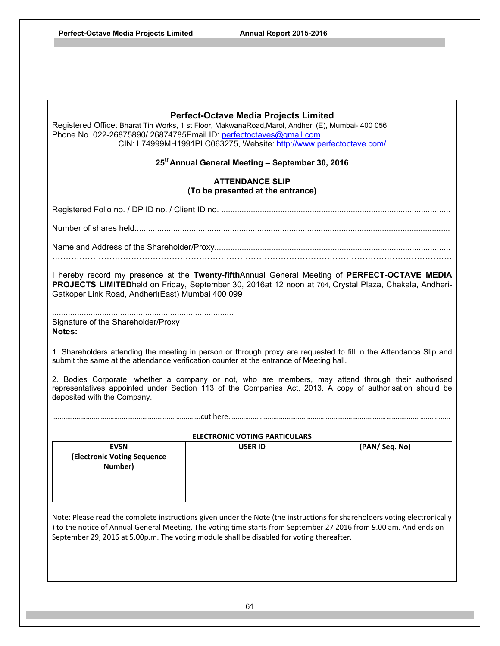| <b>Perfect-Octave Media Projects Limited</b><br>Registered Office: Bharat Tin Works, 1 st Floor, MakwanaRoad, Marol, Andheri (E), Mumbai- 400 056<br>Phone No. 022-26875890/ 26874785Email ID: perfectoctaves@gmail.com<br>CIN: L74999MH1991PLC063275, Website: http://www.perfectoctave.com/                                                |                                                             |               |  |
|----------------------------------------------------------------------------------------------------------------------------------------------------------------------------------------------------------------------------------------------------------------------------------------------------------------------------------------------|-------------------------------------------------------------|---------------|--|
|                                                                                                                                                                                                                                                                                                                                              | 25th Annual General Meeting - September 30, 2016            |               |  |
|                                                                                                                                                                                                                                                                                                                                              | <b>ATTENDANCE SLIP</b><br>(To be presented at the entrance) |               |  |
|                                                                                                                                                                                                                                                                                                                                              |                                                             |               |  |
|                                                                                                                                                                                                                                                                                                                                              |                                                             |               |  |
|                                                                                                                                                                                                                                                                                                                                              |                                                             |               |  |
| I hereby record my presence at the Twenty-fifthAnnual General Meeting of PERFECT-OCTAVE MEDIA<br>PROJECTS LIMITEDheld on Friday, September 30, 2016at 12 noon at 704, Crystal Plaza, Chakala, Andheri-<br>Gatkoper Link Road, Andheri(East) Mumbai 400 099<br>Signature of the Shareholder/Proxy<br>Notes:                                   |                                                             |               |  |
| 1. Shareholders attending the meeting in person or through proxy are requested to fill in the Attendance Slip and<br>submit the same at the attendance verification counter at the entrance of Meeting hall.                                                                                                                                 |                                                             |               |  |
| 2. Bodies Corporate, whether a company or not, who are members, may attend through their authorised<br>representatives appointed under Section 113 of the Companies Act, 2013. A copy of authorisation should be<br>deposited with the Company.                                                                                              |                                                             |               |  |
|                                                                                                                                                                                                                                                                                                                                              |                                                             |               |  |
| <b>ELECTRONIC VOTING PARTICULARS</b>                                                                                                                                                                                                                                                                                                         |                                                             |               |  |
| <b>EVSN</b><br>(Electronic Voting Sequence<br>Number)                                                                                                                                                                                                                                                                                        | <b>USER ID</b>                                              | (PAN/Seq. No) |  |
| Note: Please read the complete instructions given under the Note (the instructions for shareholders voting electronically<br>) to the notice of Annual General Meeting. The voting time starts from September 27 2016 from 9.00 am. And ends on<br>September 29, 2016 at 5.00p.m. The voting module shall be disabled for voting thereafter. |                                                             |               |  |